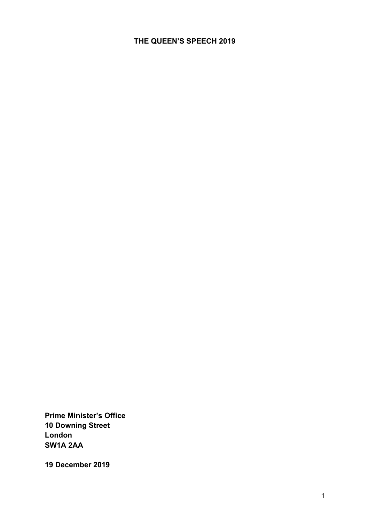# **THE QUEEN'S SPEECH 2019**

**Prime Minister's Office 10 Downing Street London SW1A 2AA**

**19 December 2019**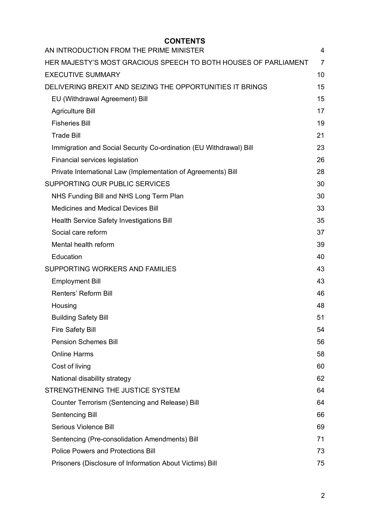| <b>CONTENTS</b>                                                    |    |
|--------------------------------------------------------------------|----|
| AN INTRODUCTION FROM THE PRIME MINISTER                            | 4  |
| HER MAJESTY'S MOST GRACIOUS SPEECH TO BOTH HOUSES OF PARLIAMENT    | 7  |
| <b>EXECUTIVE SUMMARY</b>                                           | 10 |
| DELIVERING BREXIT AND SEIZING THE OPPORTUNITIES IT BRINGS          | 15 |
| EU (Withdrawal Agreement) Bill                                     | 15 |
| <b>Agriculture Bill</b>                                            | 17 |
| <b>Fisheries Bill</b>                                              | 19 |
| <b>Trade Bill</b>                                                  | 21 |
| Immigration and Social Security Co-ordination (EU Withdrawal) Bill | 23 |
| Financial services legislation                                     | 26 |
| Private International Law (Implementation of Agreements) Bill      | 28 |
| SUPPORTING OUR PUBLIC SERVICES                                     | 30 |
| NHS Funding Bill and NHS Long Term Plan                            | 30 |
| <b>Medicines and Medical Devices Bill</b>                          | 33 |
| <b>Health Service Safety Investigations Bill</b>                   | 35 |
| Social care reform                                                 | 37 |
| Mental health reform                                               | 39 |
| Education                                                          | 40 |
| SUPPORTING WORKERS AND FAMILIES                                    | 43 |
| <b>Employment Bill</b>                                             | 43 |
| Renters' Reform Bill                                               | 46 |
| Housing                                                            | 48 |
| <b>Building Safety Bill</b>                                        | 51 |
| <b>Fire Safety Bill</b>                                            | 54 |
| <b>Pension Schemes Bill</b>                                        | 56 |
| <b>Online Harms</b>                                                | 58 |
| Cost of living                                                     | 60 |
| National disability strategy                                       | 62 |
| STRENGTHENING THE JUSTICE SYSTEM                                   | 64 |
| Counter Terrorism (Sentencing and Release) Bill                    | 64 |
| <b>Sentencing Bill</b>                                             | 66 |
| Serious Violence Bill                                              | 69 |
| Sentencing (Pre-consolidation Amendments) Bill                     | 71 |
| <b>Police Powers and Protections Bill</b>                          | 73 |
| Prisoners (Disclosure of Information About Victims) Bill           | 75 |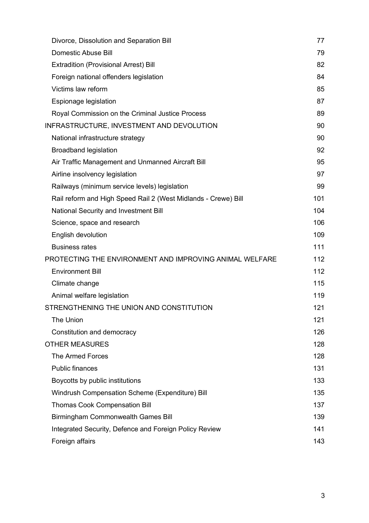| Divorce, Dissolution and Separation Bill                       | 77  |
|----------------------------------------------------------------|-----|
| <b>Domestic Abuse Bill</b>                                     | 79  |
| <b>Extradition (Provisional Arrest) Bill</b>                   | 82  |
| Foreign national offenders legislation                         | 84  |
| Victims law reform                                             | 85  |
| Espionage legislation                                          | 87  |
| Royal Commission on the Criminal Justice Process               | 89  |
| INFRASTRUCTURE, INVESTMENT AND DEVOLUTION                      | 90  |
| National infrastructure strategy                               | 90  |
| <b>Broadband legislation</b>                                   | 92  |
| Air Traffic Management and Unmanned Aircraft Bill              | 95  |
| Airline insolvency legislation                                 | 97  |
| Railways (minimum service levels) legislation                  | 99  |
| Rail reform and High Speed Rail 2 (West Midlands - Crewe) Bill | 101 |
| National Security and Investment Bill                          | 104 |
| Science, space and research                                    | 106 |
| English devolution                                             | 109 |
| <b>Business rates</b>                                          | 111 |
| PROTECTING THE ENVIRONMENT AND IMPROVING ANIMAL WELFARE        | 112 |
| <b>Environment Bill</b>                                        | 112 |
| Climate change                                                 | 115 |
| Animal welfare legislation                                     | 119 |
| STRENGTHENING THE UNION AND CONSTITUTION                       | 121 |
| The Union                                                      | 121 |
| Constitution and democracy                                     | 126 |
| <b>OTHER MEASURES</b>                                          | 128 |
| <b>The Armed Forces</b>                                        | 128 |
| <b>Public finances</b>                                         | 131 |
| Boycotts by public institutions                                | 133 |
| Windrush Compensation Scheme (Expenditure) Bill                | 135 |
| <b>Thomas Cook Compensation Bill</b>                           | 137 |
| Birmingham Commonwealth Games Bill                             | 139 |
| Integrated Security, Defence and Foreign Policy Review         | 141 |
| Foreign affairs                                                | 143 |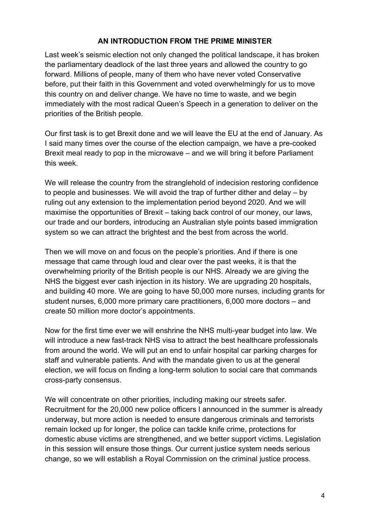#### **AN INTRODUCTION FROM THE PRIME MINISTER**

Last week's seismic election not only changed the political landscape, it has broken the parliamentary deadlock of the last three years and allowed the country to go forward. Millions of people, many of them who have never voted Conservative before, put their faith in this Government and voted overwhelmingly for us to move this country on and deliver change. We have no time to waste, and we begin immediately with the most radical Queen's Speech in a generation to deliver on the priorities of the British people.

Our first task is to get Brexit done and we will leave the EU at the end of January. As I said many times over the course of the election campaign, we have a pre-cooked Brexit meal ready to pop in the microwave – and we will bring it before Parliament this week.

We will release the country from the stranglehold of indecision restoring confidence to people and businesses. We will avoid the trap of further dither and delay – by ruling out any extension to the implementation period beyond 2020. And we will maximise the opportunities of Brexit – taking back control of our money, our laws, our trade and our borders, introducing an Australian style points based immigration system so we can attract the brightest and the best from across the world.

Then we will move on and focus on the people's priorities. And if there is one message that came through loud and clear over the past weeks, it is that the overwhelming priority of the British people is our NHS. Already we are giving the NHS the biggest ever cash injection in its history. We are upgrading 20 hospitals, and building 40 more. We are going to have 50,000 more nurses, including grants for student nurses, 6,000 more primary care practitioners, 6,000 more doctors – and create 50 million more doctor's appointments.

Now for the first time ever we will enshrine the NHS multi-year budget into law. We will introduce a new fast-track NHS visa to attract the best healthcare professionals from around the world. We will put an end to unfair hospital car parking charges for staff and vulnerable patients. And with the mandate given to us at the general election, we will focus on finding a long-term solution to social care that commands cross-party consensus.

We will concentrate on other priorities, including making our streets safer. Recruitment for the 20,000 new police officers I announced in the summer is already underway, but more action is needed to ensure dangerous criminals and terrorists remain locked up for longer, the police can tackle knife crime, protections for domestic abuse victims are strengthened, and we better support victims. Legislation in this session will ensure those things. Our current justice system needs serious change, so we will establish a Royal Commission on the criminal justice process.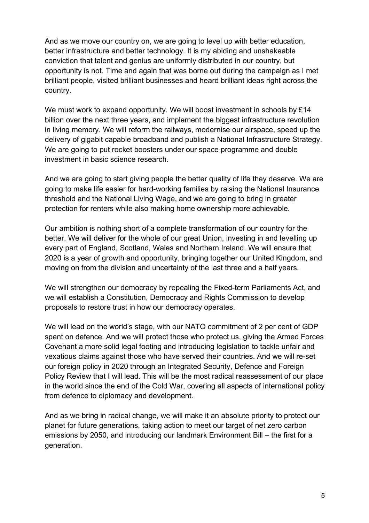And as we move our country on, we are going to level up with better education, better infrastructure and better technology. It is my abiding and unshakeable conviction that talent and genius are uniformly distributed in our country, but opportunity is not. Time and again that was borne out during the campaign as I met brilliant people, visited brilliant businesses and heard brilliant ideas right across the country.

We must work to expand opportunity. We will boost investment in schools by £14 billion over the next three years, and implement the biggest infrastructure revolution in living memory. We will reform the railways, modernise our airspace, speed up the delivery of gigabit capable broadband and publish a National Infrastructure Strategy. We are going to put rocket boosters under our space programme and double investment in basic science research.

And we are going to start giving people the better quality of life they deserve. We are going to make life easier for hard-working families by raising the National Insurance threshold and the National Living Wage, and we are going to bring in greater protection for renters while also making home ownership more achievable.

Our ambition is nothing short of a complete transformation of our country for the better. We will deliver for the whole of our great Union, investing in and levelling up every part of England, Scotland, Wales and Northern Ireland. We will ensure that 2020 is a year of growth and opportunity, bringing together our United Kingdom, and moving on from the division and uncertainty of the last three and a half years.

We will strengthen our democracy by repealing the Fixed-term Parliaments Act, and we will establish a Constitution, Democracy and Rights Commission to develop proposals to restore trust in how our democracy operates.

We will lead on the world's stage, with our NATO commitment of 2 per cent of GDP spent on defence. And we will protect those who protect us, giving the Armed Forces Covenant a more solid legal footing and introducing legislation to tackle unfair and vexatious claims against those who have served their countries. And we will re-set our foreign policy in 2020 through an Integrated Security, Defence and Foreign Policy Review that I will lead. This will be the most radical reassessment of our place in the world since the end of the Cold War, covering all aspects of international policy from defence to diplomacy and development.

And as we bring in radical change, we will make it an absolute priority to protect our planet for future generations, taking action to meet our target of net zero carbon emissions by 2050, and introducing our landmark Environment Bill – the first for a generation.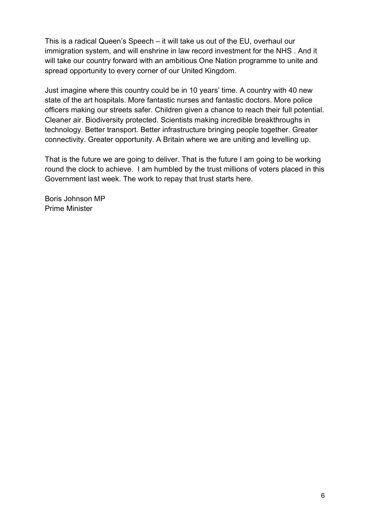This is a radical Queen's Speech – it will take us out of the EU, overhaul our immigration system, and will enshrine in law record investment for the NHS . And it will take our country forward with an ambitious One Nation programme to unite and spread opportunity to every corner of our United Kingdom.

Just imagine where this country could be in 10 years' time. A country with 40 new state of the art hospitals. More fantastic nurses and fantastic doctors. More police officers making our streets safer. Children given a chance to reach their full potential. Cleaner air. Biodiversity protected. Scientists making incredible breakthroughs in technology. Better transport. Better infrastructure bringing people together. Greater connectivity. Greater opportunity. A Britain where we are uniting and levelling up.

That is the future we are going to deliver. That is the future I am going to be working round the clock to achieve. I am humbled by the trust millions of voters placed in this Government last week. The work to repay that trust starts here.

Boris Johnson MP Prime Minister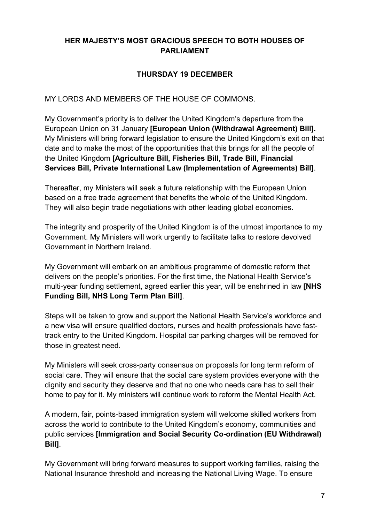# **HER MAJESTY'S MOST GRACIOUS SPEECH TO BOTH HOUSES OF PARLIAMENT**

# **THURSDAY 19 DECEMBER**

MY LORDS AND MEMBERS OF THE HOUSE OF COMMONS.

My Government's priority is to deliver the United Kingdom's departure from the European Union on 31 January **[European Union (Withdrawal Agreement) Bill].**  My Ministers will bring forward legislation to ensure the United Kingdom's exit on that date and to make the most of the opportunities that this brings for all the people of the United Kingdom **[Agriculture Bill, Fisheries Bill, Trade Bill, Financial Services Bill, Private International Law (Implementation of Agreements) Bill]**.

Thereafter, my Ministers will seek a future relationship with the European Union based on a free trade agreement that benefits the whole of the United Kingdom. They will also begin trade negotiations with other leading global economies.

The integrity and prosperity of the United Kingdom is of the utmost importance to my Government. My Ministers will work urgently to facilitate talks to restore devolved Government in Northern Ireland.

My Government will embark on an ambitious programme of domestic reform that delivers on the people's priorities. For the first time, the National Health Service's multi-year funding settlement, agreed earlier this year, will be enshrined in law **[NHS Funding Bill, NHS Long Term Plan Bill]**.

Steps will be taken to grow and support the National Health Service's workforce and a new visa will ensure qualified doctors, nurses and health professionals have fasttrack entry to the United Kingdom. Hospital car parking charges will be removed for those in greatest need.

My Ministers will seek cross-party consensus on proposals for long term reform of social care. They will ensure that the social care system provides everyone with the dignity and security they deserve and that no one who needs care has to sell their home to pay for it. My ministers will continue work to reform the Mental Health Act.

A modern, fair, points-based immigration system will welcome skilled workers from across the world to contribute to the United Kingdom's economy, communities and public services **[Immigration and Social Security Co-ordination (EU Withdrawal) Bill]**.

My Government will bring forward measures to support working families, raising the National Insurance threshold and increasing the National Living Wage. To ensure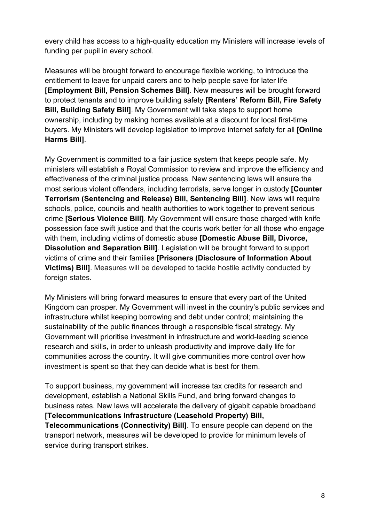every child has access to a high-quality education my Ministers will increase levels of funding per pupil in every school.

Measures will be brought forward to encourage flexible working, to introduce the entitlement to leave for unpaid carers and to help people save for later life **[Employment Bill, Pension Schemes Bill]**. New measures will be brought forward to protect tenants and to improve building safety **[Renters' Reform Bill, Fire Safety Bill, Building Safety Bill]**. My Government will take steps to support home ownership, including by making homes available at a discount for local first-time buyers. My Ministers will develop legislation to improve internet safety for all **[Online Harms Bill]**.

My Government is committed to a fair justice system that keeps people safe. My ministers will establish a Royal Commission to review and improve the efficiency and effectiveness of the criminal justice process. New sentencing laws will ensure the most serious violent offenders, including terrorists, serve longer in custody **[Counter Terrorism (Sentencing and Release) Bill, Sentencing Bill]**. New laws will require schools, police, councils and health authorities to work together to prevent serious crime **[Serious Violence Bill]**. My Government will ensure those charged with knife possession face swift justice and that the courts work better for all those who engage with them, including victims of domestic abuse **[Domestic Abuse Bill, Divorce, Dissolution and Separation Bill]**. Legislation will be brought forward to support victims of crime and their families **[Prisoners (Disclosure of Information About Victims) Bill]**. Measures will be developed to tackle hostile activity conducted by foreign states.

My Ministers will bring forward measures to ensure that every part of the United Kingdom can prosper. My Government will invest in the country's public services and infrastructure whilst keeping borrowing and debt under control; maintaining the sustainability of the public finances through a responsible fiscal strategy. My Government will prioritise investment in infrastructure and world-leading science research and skills, in order to unleash productivity and improve daily life for communities across the country. It will give communities more control over how investment is spent so that they can decide what is best for them.

To support business, my government will increase tax credits for research and development, establish a National Skills Fund, and bring forward changes to business rates. New laws will accelerate the delivery of gigabit capable broadband **[Telecommunications Infrastructure (Leasehold Property) Bill, Telecommunications (Connectivity) Bill]**. To ensure people can depend on the transport network, measures will be developed to provide for minimum levels of service during transport strikes.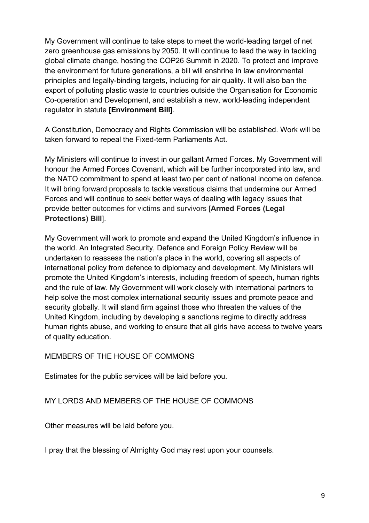My Government will continue to take steps to meet the world-leading target of net zero greenhouse gas emissions by 2050. It will continue to lead the way in tackling global climate change, hosting the COP26 Summit in 2020. To protect and improve the environment for future generations, a bill will enshrine in law environmental principles and legally-binding targets, including for air quality. It will also ban the export of polluting plastic waste to countries outside the Organisation for Economic Co-operation and Development, and establish a new, world-leading independent regulator in statute **[Environment Bill]**.

A Constitution, Democracy and Rights Commission will be established. Work will be taken forward to repeal the Fixed-term Parliaments Act.

My Ministers will continue to invest in our gallant Armed Forces. My Government will honour the Armed Forces Covenant, which will be further incorporated into law, and the NATO commitment to spend at least two per cent of national income on defence. It will bring forward proposals to tackle vexatious claims that undermine our Armed Forces and will continue to seek better ways of dealing with legacy issues that provide better outcomes for victims and survivors [**Armed Forces (Legal Protections) Bill**].

My Government will work to promote and expand the United Kingdom's influence in the world. An Integrated Security, Defence and Foreign Policy Review will be undertaken to reassess the nation's place in the world, covering all aspects of international policy from defence to diplomacy and development. My Ministers will promote the United Kingdom's interests, including freedom of speech, human rights and the rule of law. My Government will work closely with international partners to help solve the most complex international security issues and promote peace and security globally. It will stand firm against those who threaten the values of the United Kingdom, including by developing a sanctions regime to directly address human rights abuse, and working to ensure that all girls have access to twelve years of quality education.

#### MEMBERS OF THE HOUSE OF COMMONS

Estimates for the public services will be laid before you.

#### MY LORDS AND MEMBERS OF THE HOUSE OF COMMONS

Other measures will be laid before you.

I pray that the blessing of Almighty God may rest upon your counsels.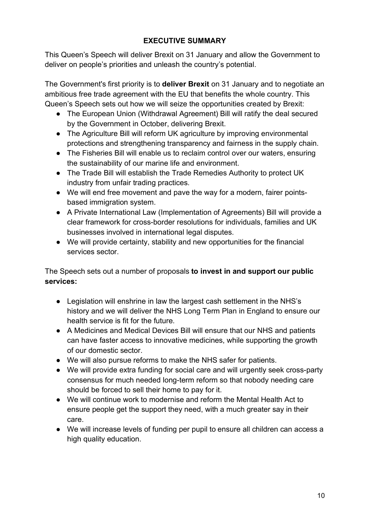# **EXECUTIVE SUMMARY**

This Queen's Speech will deliver Brexit on 31 January and allow the Government to deliver on people's priorities and unleash the country's potential.

The Government's first priority is to **deliver Brexit** on 31 January and to negotiate an ambitious free trade agreement with the EU that benefits the whole country. This Queen's Speech sets out how we will seize the opportunities created by Brexit:

- The European Union (Withdrawal Agreement) Bill will ratify the deal secured by the Government in October, delivering Brexit.
- The Agriculture Bill will reform UK agriculture by improving environmental protections and strengthening transparency and fairness in the supply chain.
- The Fisheries Bill will enable us to reclaim control over our waters, ensuring the sustainability of our marine life and environment.
- The Trade Bill will establish the Trade Remedies Authority to protect UK industry from unfair trading practices.
- We will end free movement and pave the way for a modern, fairer pointsbased immigration system.
- A Private International Law (Implementation of Agreements) Bill will provide a clear framework for cross-border resolutions for individuals, families and UK businesses involved in international legal disputes.
- We will provide certainty, stability and new opportunities for the financial services sector.

The Speech sets out a number of proposals **to invest in and support our public services:**

- Legislation will enshrine in law the largest cash settlement in the NHS's history and we will deliver the NHS Long Term Plan in England to ensure our health service is fit for the future.
- A Medicines and Medical Devices Bill will ensure that our NHS and patients can have faster access to innovative medicines, while supporting the growth of our domestic sector.
- We will also pursue reforms to make the NHS safer for patients.
- We will provide extra funding for social care and will urgently seek cross-party consensus for much needed long-term reform so that nobody needing care should be forced to sell their home to pay for it.
- We will continue work to modernise and reform the Mental Health Act to ensure people get the support they need, with a much greater say in their care.
- We will increase levels of funding per pupil to ensure all children can access a high quality education.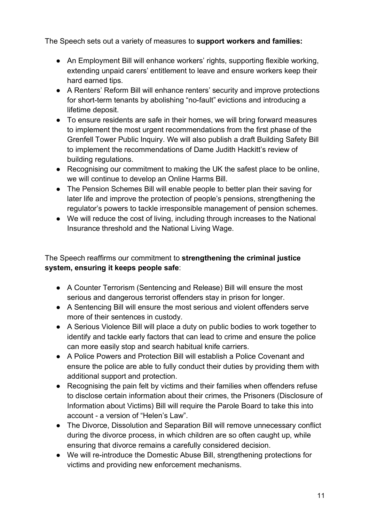The Speech sets out a variety of measures to **support workers and families:**

- An Employment Bill will enhance workers' rights, supporting flexible working, extending unpaid carers' entitlement to leave and ensure workers keep their hard earned tips.
- A Renters' Reform Bill will enhance renters' security and improve protections for short-term tenants by abolishing "no-fault" evictions and introducing a lifetime deposit.
- To ensure residents are safe in their homes, we will bring forward measures to implement the most urgent recommendations from the first phase of the Grenfell Tower Public Inquiry. We will also publish a draft Building Safety Bill to implement the recommendations of Dame Judith Hackitt's review of building regulations.
- Recognising our commitment to making the UK the safest place to be online, we will continue to develop an Online Harms Bill.
- The Pension Schemes Bill will enable people to better plan their saving for later life and improve the protection of people's pensions, strengthening the regulator's powers to tackle irresponsible management of pension schemes.
- We will reduce the cost of living, including through increases to the National Insurance threshold and the National Living Wage.

# The Speech reaffirms our commitment to **strengthening the criminal justice system, ensuring it keeps people safe**:

- A Counter Terrorism (Sentencing and Release) Bill will ensure the most serious and dangerous terrorist offenders stay in prison for longer.
- A Sentencing Bill will ensure the most serious and violent offenders serve more of their sentences in custody.
- A Serious Violence Bill will place a duty on public bodies to work together to identify and tackle early factors that can lead to crime and ensure the police can more easily stop and search habitual knife carriers.
- A Police Powers and Protection Bill will establish a Police Covenant and ensure the police are able to fully conduct their duties by providing them with additional support and protection.
- Recognising the pain felt by victims and their families when offenders refuse to disclose certain information about their crimes, the Prisoners (Disclosure of Information about Victims) Bill will require the Parole Board to take this into account - a version of "Helen's Law".
- The Divorce, Dissolution and Separation Bill will remove unnecessary conflict during the divorce process, in which children are so often caught up, while ensuring that divorce remains a carefully considered decision.
- We will re-introduce the Domestic Abuse Bill, strengthening protections for victims and providing new enforcement mechanisms.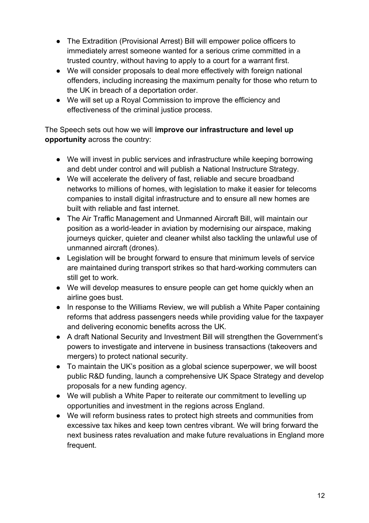- The Extradition (Provisional Arrest) Bill will empower police officers to immediately arrest someone wanted for a serious crime committed in a trusted country, without having to apply to a court for a warrant first.
- We will consider proposals to deal more effectively with foreign national offenders, including increasing the maximum penalty for those who return to the UK in breach of a deportation order.
- We will set up a Royal Commission to improve the efficiency and effectiveness of the criminal justice process.

The Speech sets out how we will **improve our infrastructure and level up opportunity** across the country:

- We will invest in public services and infrastructure while keeping borrowing and debt under control and will publish a National Instructure Strategy.
- We will accelerate the delivery of fast, reliable and secure broadband networks to millions of homes, with legislation to make it easier for telecoms companies to install digital infrastructure and to ensure all new homes are built with reliable and fast internet.
- The Air Traffic Management and Unmanned Aircraft Bill, will maintain our position as a world-leader in aviation by modernising our airspace, making journeys quicker, quieter and cleaner whilst also tackling the unlawful use of unmanned aircraft (drones).
- Legislation will be brought forward to ensure that minimum levels of service are maintained during transport strikes so that hard-working commuters can still get to work.
- We will develop measures to ensure people can get home quickly when an airline goes bust.
- In response to the Williams Review, we will publish a White Paper containing reforms that address passengers needs while providing value for the taxpayer and delivering economic benefits across the UK.
- A draft National Security and Investment Bill will strengthen the Government's powers to investigate and intervene in business transactions (takeovers and mergers) to protect national security.
- To maintain the UK's position as a global science superpower, we will boost public R&D funding, launch a comprehensive UK Space Strategy and develop proposals for a new funding agency.
- We will publish a White Paper to reiterate our commitment to levelling up opportunities and investment in the regions across England.
- We will reform business rates to protect high streets and communities from excessive tax hikes and keep town centres vibrant. We will bring forward the next business rates revaluation and make future revaluations in England more frequent.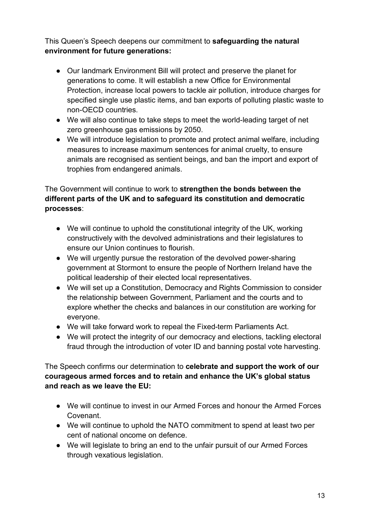This Queen's Speech deepens our commitment to **safeguarding the natural environment for future generations:** 

- Our landmark Environment Bill will protect and preserve the planet for generations to come. It will establish a new Office for Environmental Protection, increase local powers to tackle air pollution, introduce charges for specified single use plastic items, and ban exports of polluting plastic waste to non-OECD countries.
- We will also continue to take steps to meet the world-leading target of net zero greenhouse gas emissions by 2050.
- We will introduce legislation to promote and protect animal welfare, including measures to increase maximum sentences for animal cruelty, to ensure animals are recognised as sentient beings, and ban the import and export of trophies from endangered animals.

# The Government will continue to work to **strengthen the bonds between the different parts of the UK and to safeguard its constitution and democratic processes**:

- We will continue to uphold the constitutional integrity of the UK, working constructively with the devolved administrations and their legislatures to ensure our Union continues to flourish.
- We will urgently pursue the restoration of the devolved power-sharing government at Stormont to ensure the people of Northern Ireland have the political leadership of their elected local representatives.
- We will set up a Constitution, Democracy and Rights Commission to consider the relationship between Government, Parliament and the courts and to explore whether the checks and balances in our constitution are working for everyone.
- We will take forward work to repeal the Fixed-term Parliaments Act.
- We will protect the integrity of our democracy and elections, tackling electoral fraud through the introduction of voter ID and banning postal vote harvesting.

# The Speech confirms our determination to **celebrate and support the work of our courageous armed forces and to retain and enhance the UK's global status and reach as we leave the EU:**

- We will continue to invest in our Armed Forces and honour the Armed Forces Covenant.
- We will continue to uphold the NATO commitment to spend at least two per cent of national oncome on defence.
- We will legislate to bring an end to the unfair pursuit of our Armed Forces through vexatious legislation.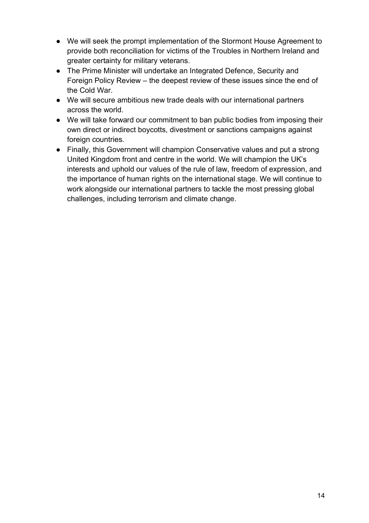- We will seek the prompt implementation of the Stormont House Agreement to provide both reconciliation for victims of the Troubles in Northern Ireland and greater certainty for military veterans.
- The Prime Minister will undertake an Integrated Defence, Security and Foreign Policy Review – the deepest review of these issues since the end of the Cold War.
- We will secure ambitious new trade deals with our international partners across the world.
- We will take forward our commitment to ban public bodies from imposing their own direct or indirect boycotts, divestment or sanctions campaigns against foreign countries.
- Finally, this Government will champion Conservative values and put a strong United Kingdom front and centre in the world. We will champion the UK's interests and uphold our values of the rule of law, freedom of expression, and the importance of human rights on the international stage. We will continue to work alongside our international partners to tackle the most pressing global challenges, including terrorism and climate change.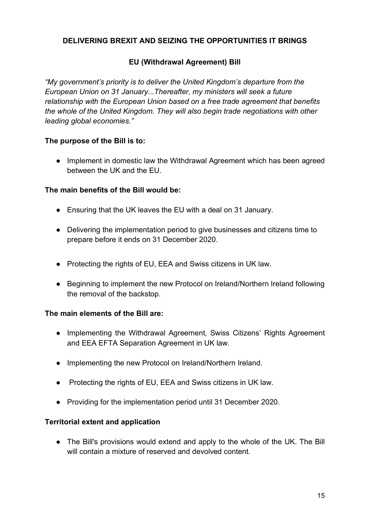## **DELIVERING BREXIT AND SEIZING THE OPPORTUNITIES IT BRINGS**

## **EU (Withdrawal Agreement) Bill**

*"My government's priority is to deliver the United Kingdom's departure from the European Union on 31 January...Thereafter, my ministers will seek a future relationship with the European Union based on a free trade agreement that benefits the whole of the United Kingdom. They will also begin trade negotiations with other leading global economies."*

#### **The purpose of the Bill is to:**

• Implement in domestic law the Withdrawal Agreement which has been agreed between the UK and the EU.

#### **The main benefits of the Bill would be:**

- Ensuring that the UK leaves the EU with a deal on 31 January.
- Delivering the implementation period to give businesses and citizens time to prepare before it ends on 31 December 2020.
- Protecting the rights of EU, EEA and Swiss citizens in UK law.
- Beginning to implement the new Protocol on Ireland/Northern Ireland following the removal of the backstop.

#### **The main elements of the Bill are:**

- Implementing the Withdrawal Agreement, Swiss Citizens' Rights Agreement and EEA EFTA Separation Agreement in UK law.
- Implementing the new Protocol on Ireland/Northern Ireland.
- Protecting the rights of EU, EEA and Swiss citizens in UK law.
- Providing for the implementation period until 31 December 2020.

#### **Territorial extent and application**

• The Bill's provisions would extend and apply to the whole of the UK. The Bill will contain a mixture of reserved and devolved content.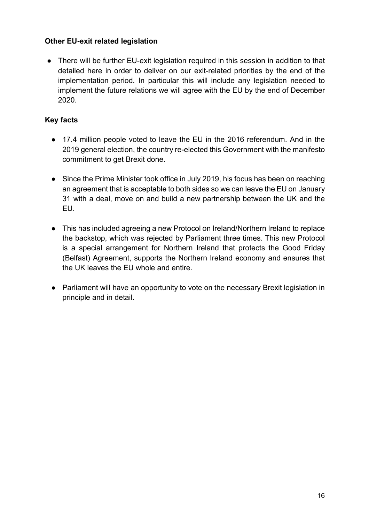#### **Other EU-exit related legislation**

● There will be further EU-exit legislation required in this session in addition to that detailed here in order to deliver on our exit-related priorities by the end of the implementation period. In particular this will include any legislation needed to implement the future relations we will agree with the EU by the end of December 2020.

- 17.4 million people voted to leave the EU in the 2016 referendum. And in the 2019 general election, the country re-elected this Government with the manifesto commitment to get Brexit done.
- Since the Prime Minister took office in July 2019, his focus has been on reaching an agreement that is acceptable to both sides so we can leave the EU on January 31 with a deal, move on and build a new partnership between the UK and the EU.
- This has included agreeing a new Protocol on Ireland/Northern Ireland to replace the backstop, which was rejected by Parliament three times. This new Protocol is a special arrangement for Northern Ireland that protects the Good Friday (Belfast) Agreement, supports the Northern Ireland economy and ensures that the UK leaves the EU whole and entire.
- Parliament will have an opportunity to vote on the necessary Brexit legislation in principle and in detail.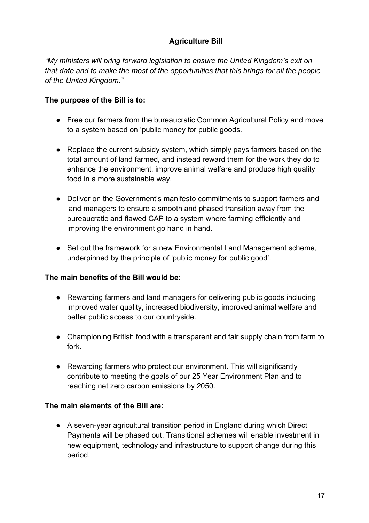# **Agriculture Bill**

*"My ministers will bring forward legislation to ensure the United Kingdom's exit on that date and to make the most of the opportunities that this brings for all the people of the United Kingdom."*

## **The purpose of the Bill is to:**

- Free our farmers from the bureaucratic Common Agricultural Policy and move to a system based on 'public money for public goods.
- Replace the current subsidy system, which simply pays farmers based on the total amount of land farmed, and instead reward them for the work they do to enhance the environment, improve animal welfare and produce high quality food in a more sustainable way.
- Deliver on the Government's manifesto commitments to support farmers and land managers to ensure a smooth and phased transition away from the bureaucratic and flawed CAP to a system where farming efficiently and improving the environment go hand in hand.
- Set out the framework for a new Environmental Land Management scheme, underpinned by the principle of 'public money for public good'.

#### **The main benefits of the Bill would be:**

- Rewarding farmers and land managers for delivering public goods including improved water quality, increased biodiversity, improved animal welfare and better public access to our countryside.
- Championing British food with a transparent and fair supply chain from farm to fork.
- Rewarding farmers who protect our environment. This will significantly contribute to meeting the goals of our 25 Year Environment Plan and to reaching net zero carbon emissions by 2050.

#### **The main elements of the Bill are:**

● A seven-year agricultural transition period in England during which Direct Payments will be phased out. Transitional schemes will enable investment in new equipment, technology and infrastructure to support change during this period.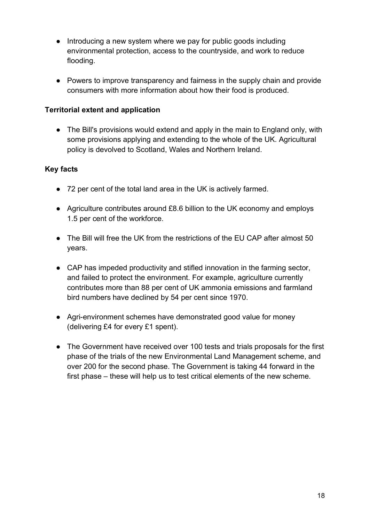- Introducing a new system where we pay for public goods including environmental protection, access to the countryside, and work to reduce flooding.
- Powers to improve transparency and fairness in the supply chain and provide consumers with more information about how their food is produced.

#### **Territorial extent and application**

● The Bill's provisions would extend and apply in the main to England only, with some provisions applying and extending to the whole of the UK. Agricultural policy is devolved to Scotland, Wales and Northern Ireland.

- 72 per cent of the total land area in the UK is actively farmed.
- Agriculture contributes around £8.6 billion to the UK economy and employs 1.5 per cent of the workforce.
- The Bill will free the UK from the restrictions of the EU CAP after almost 50 years.
- CAP has impeded productivity and stifled innovation in the farming sector, and failed to protect the environment. For example, agriculture currently contributes more than 88 per cent of UK ammonia emissions and farmland bird numbers have declined by 54 per cent since 1970.
- Agri-environment schemes have demonstrated good value for money (delivering £4 for every £1 spent).
- The Government have received over 100 tests and trials proposals for the first phase of the trials of the new Environmental Land Management scheme, and over 200 for the second phase. The Government is taking 44 forward in the first phase – these will help us to test critical elements of the new scheme.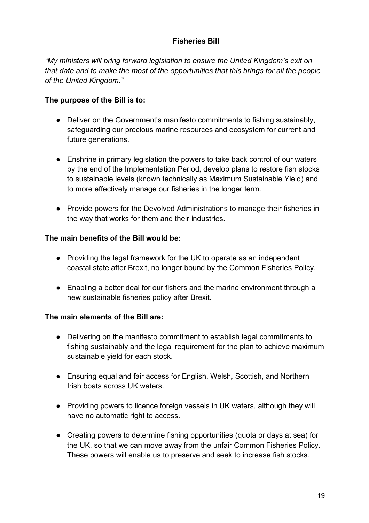## **Fisheries Bill**

*"My ministers will bring forward legislation to ensure the United Kingdom's exit on that date and to make the most of the opportunities that this brings for all the people of the United Kingdom."*

#### **The purpose of the Bill is to:**

- Deliver on the Government's manifesto commitments to fishing sustainably, safeguarding our precious marine resources and ecosystem for current and future generations.
- Enshrine in primary legislation the powers to take back control of our waters by the end of the Implementation Period, develop plans to restore fish stocks to sustainable levels (known technically as Maximum Sustainable Yield) and to more effectively manage our fisheries in the longer term.
- Provide powers for the Devolved Administrations to manage their fisheries in the way that works for them and their industries.

## **The main benefits of the Bill would be:**

- Providing the legal framework for the UK to operate as an independent coastal state after Brexit, no longer bound by the Common Fisheries Policy.
- Enabling a better deal for our fishers and the marine environment through a new sustainable fisheries policy after Brexit.

#### **The main elements of the Bill are:**

- Delivering on the manifesto commitment to establish legal commitments to fishing sustainably and the legal requirement for the plan to achieve maximum sustainable yield for each stock.
- Ensuring equal and fair access for English, Welsh, Scottish, and Northern Irish boats across UK waters.
- Providing powers to licence foreign vessels in UK waters, although they will have no automatic right to access.
- Creating powers to determine fishing opportunities (quota or days at sea) for the UK, so that we can move away from the unfair Common Fisheries Policy. These powers will enable us to preserve and seek to increase fish stocks.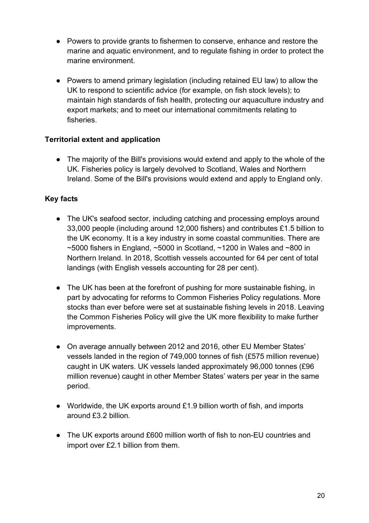- Powers to provide grants to fishermen to conserve, enhance and restore the marine and aquatic environment, and to regulate fishing in order to protect the marine environment.
- Powers to amend primary legislation (including retained EU law) to allow the UK to respond to scientific advice (for example, on fish stock levels); to maintain high standards of fish health, protecting our aquaculture industry and export markets; and to meet our international commitments relating to fisheries.

#### **Territorial extent and application**

● The majority of the Bill's provisions would extend and apply to the whole of the UK. Fisheries policy is largely devolved to Scotland, Wales and Northern Ireland. Some of the Bill's provisions would extend and apply to England only.

- The UK's seafood sector, including catching and processing employs around 33,000 people (including around 12,000 fishers) and contributes £1.5 billion to the UK economy. It is a key industry in some coastal communities. There are  $\sim$  5000 fishers in England,  $\sim$  5000 in Scotland,  $\sim$  1200 in Wales and  $\sim$  800 in Northern Ireland. In 2018, Scottish vessels accounted for 64 per cent of total landings (with English vessels accounting for 28 per cent).
- The UK has been at the forefront of pushing for more sustainable fishing, in part by advocating for reforms to Common Fisheries Policy regulations. More stocks than ever before were set at sustainable fishing levels in 2018. Leaving the Common Fisheries Policy will give the UK more flexibility to make further improvements.
- On average annually between 2012 and 2016, other EU Member States' vessels landed in the region of 749,000 tonnes of fish (£575 million revenue) caught in UK waters. UK vessels landed approximately 96,000 tonnes (£96 million revenue) caught in other Member States' waters per year in the same period.
- Worldwide, the UK exports around £1.9 billion worth of fish, and imports around £3.2 billion.
- The UK exports around £600 million worth of fish to non-EU countries and import over £2.1 billion from them.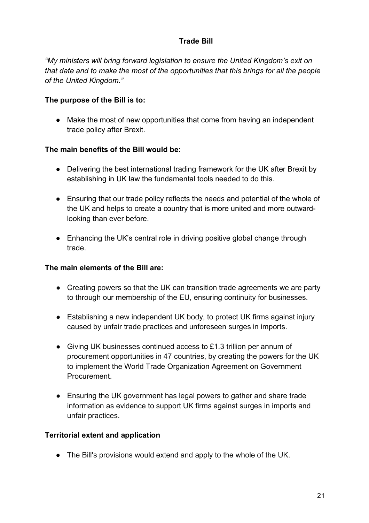## **Trade Bill**

*"My ministers will bring forward legislation to ensure the United Kingdom's exit on that date and to make the most of the opportunities that this brings for all the people of the United Kingdom."*

#### **The purpose of the Bill is to:**

● Make the most of new opportunities that come from having an independent trade policy after Brexit.

#### **The main benefits of the Bill would be:**

- Delivering the best international trading framework for the UK after Brexit by establishing in UK law the fundamental tools needed to do this.
- Ensuring that our trade policy reflects the needs and potential of the whole of the UK and helps to create a country that is more united and more outwardlooking than ever before.
- Enhancing the UK's central role in driving positive global change through trade.

#### **The main elements of the Bill are:**

- Creating powers so that the UK can transition trade agreements we are party to through our membership of the EU, ensuring continuity for businesses.
- Establishing a new independent UK body, to protect UK firms against injury caused by unfair trade practices and unforeseen surges in imports.
- Giving UK businesses continued access to £1.3 trillion per annum of procurement opportunities in 47 countries, by creating the powers for the UK to implement the World Trade Organization Agreement on Government Procurement.
- Ensuring the UK government has legal powers to gather and share trade information as evidence to support UK firms against surges in imports and unfair practices.

# **Territorial extent and application**

• The Bill's provisions would extend and apply to the whole of the UK.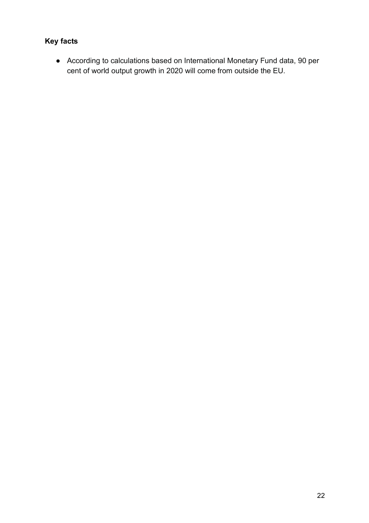# **Key facts**

● According to calculations based on International Monetary Fund data, 90 per cent of world output growth in 2020 will come from outside the EU.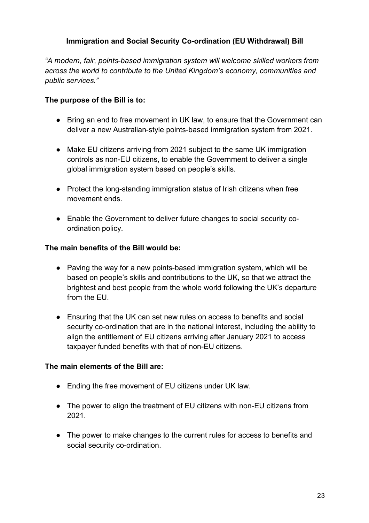## **Immigration and Social Security Co-ordination (EU Withdrawal) Bill**

*"A modern, fair, points-based immigration system will welcome skilled workers from across the world to contribute to the United Kingdom's economy, communities and public services."*

#### **The purpose of the Bill is to:**

- Bring an end to free movement in UK law, to ensure that the Government can deliver a new Australian-style points-based immigration system from 2021.
- Make EU citizens arriving from 2021 subject to the same UK immigration controls as non-EU citizens, to enable the Government to deliver a single global immigration system based on people's skills.
- Protect the long-standing immigration status of Irish citizens when free movement ends.
- Enable the Government to deliver future changes to social security coordination policy.

#### **The main benefits of the Bill would be:**

- Paving the way for a new points-based immigration system, which will be based on people's skills and contributions to the UK, so that we attract the brightest and best people from the whole world following the UK's departure from the EU.
- Ensuring that the UK can set new rules on access to benefits and social security co-ordination that are in the national interest, including the ability to align the entitlement of EU citizens arriving after January 2021 to access taxpayer funded benefits with that of non-EU citizens.

#### **The main elements of the Bill are:**

- Ending the free movement of EU citizens under UK law.
- The power to align the treatment of EU citizens with non-EU citizens from 2021.
- The power to make changes to the current rules for access to benefits and social security co-ordination.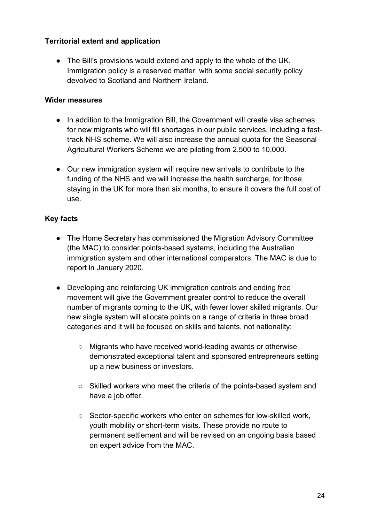#### **Territorial extent and application**

● The Bill's provisions would extend and apply to the whole of the UK. Immigration policy is a reserved matter, with some social security policy devolved to Scotland and Northern Ireland.

#### **Wider measures**

- In addition to the Immigration Bill, the Government will create visa schemes for new migrants who will fill shortages in our public services, including a fasttrack NHS scheme. We will also increase the annual quota for the Seasonal Agricultural Workers Scheme we are piloting from 2,500 to 10,000.
- Our new immigration system will require new arrivals to contribute to the funding of the NHS and we will increase the health surcharge, for those staying in the UK for more than six months, to ensure it covers the full cost of use.

- The Home Secretary has commissioned the Migration Advisory Committee (the MAC) to consider points-based systems, including the Australian immigration system and other international comparators. The MAC is due to report in January 2020.
- Developing and reinforcing UK immigration controls and ending free movement will give the Government greater control to reduce the overall number of migrants coming to the UK, with fewer lower skilled migrants. Our new single system will allocate points on a range of criteria in three broad categories and it will be focused on skills and talents, not nationality:
	- Migrants who have received world-leading awards or otherwise demonstrated exceptional talent and sponsored entrepreneurs setting up a new business or investors.
	- Skilled workers who meet the criteria of the points-based system and have a job offer.
	- Sector-specific workers who enter on schemes for low-skilled work, youth mobility or short-term visits. These provide no route to permanent settlement and will be revised on an ongoing basis based on expert advice from the MAC.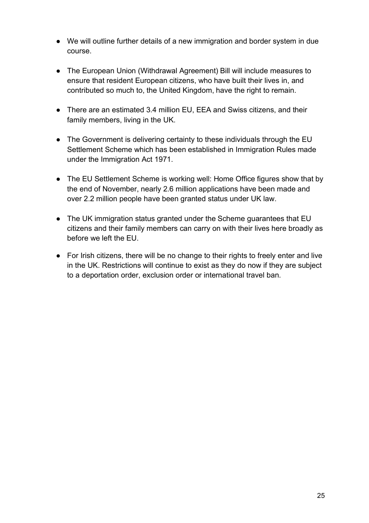- We will outline further details of a new immigration and border system in due course.
- The European Union (Withdrawal Agreement) Bill will include measures to ensure that resident European citizens, who have built their lives in, and contributed so much to, the United Kingdom, have the right to remain.
- There are an estimated 3.4 million EU, EEA and Swiss citizens, and their family members, living in the UK.
- The Government is delivering certainty to these individuals through the EU Settlement Scheme which has been established in Immigration Rules made under the Immigration Act 1971.
- The EU Settlement Scheme is working well: Home Office figures show that by the end of November, nearly 2.6 million applications have been made and over 2.2 million people have been granted status under UK law.
- The UK immigration status granted under the Scheme guarantees that EU citizens and their family members can carry on with their lives here broadly as before we left the EU.
- For Irish citizens, there will be no change to their rights to freely enter and live in the UK. Restrictions will continue to exist as they do now if they are subject to a deportation order, exclusion order or international travel ban.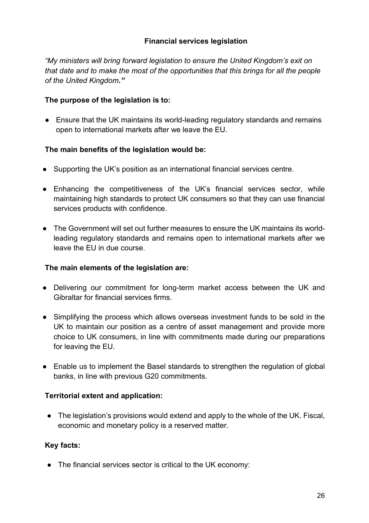#### **Financial services legislation**

*"My ministers will bring forward legislation to ensure the United Kingdom's exit on that date and to make the most of the opportunities that this brings for all the people of the United Kingdom."*

#### **The purpose of the legislation is to:**

● Ensure that the UK maintains its world-leading regulatory standards and remains open to international markets after we leave the EU.

## **The main benefits of the legislation would be:**

- Supporting the UK's position as an international financial services centre.
- Enhancing the competitiveness of the UK's financial services sector, while maintaining high standards to protect UK consumers so that they can use financial services products with confidence.
- The Government will set out further measures to ensure the UK maintains its worldleading regulatory standards and remains open to international markets after we leave the EU in due course.

#### **The main elements of the legislation are:**

- Delivering our commitment for long-term market access between the UK and Gibraltar for financial services firms.
- Simplifying the process which allows overseas investment funds to be sold in the UK to maintain our position as a centre of asset management and provide more choice to UK consumers, in line with commitments made during our preparations for leaving the EU.
- Enable us to implement the Basel standards to strengthen the regulation of global banks, in line with previous G20 commitments.

# **Territorial extent and application:**

● The legislation's provisions would extend and apply to the whole of the UK. Fiscal, economic and monetary policy is a reserved matter.

# **Key facts:**

● The financial services sector is critical to the UK economy: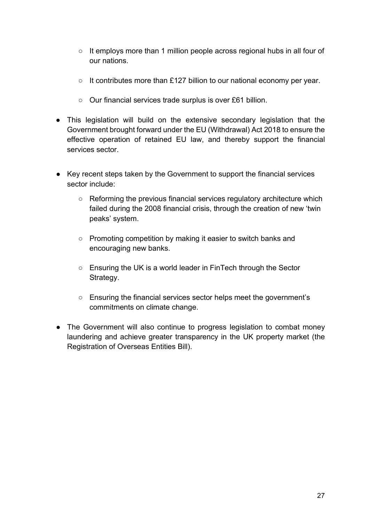- It employs more than 1 million people across regional hubs in all four of our nations.
- It contributes more than £127 billion to our national economy per year.
- Our financial services trade surplus is over £61 billion.
- This legislation will build on the extensive secondary legislation that the Government brought forward under the EU (Withdrawal) Act 2018 to ensure the effective operation of retained EU law, and thereby support the financial services sector.
- Key recent steps taken by the Government to support the financial services sector include:
	- Reforming the previous financial services regulatory architecture which failed during the 2008 financial crisis, through the creation of new 'twin peaks' system.
	- Promoting competition by making it easier to switch banks and encouraging new banks.
	- Ensuring the UK is a world leader in FinTech through the Sector Strategy.
	- Ensuring the financial services sector helps meet the government's commitments on climate change.
- The Government will also continue to progress legislation to combat money laundering and achieve greater transparency in the UK property market (the Registration of Overseas Entities Bill).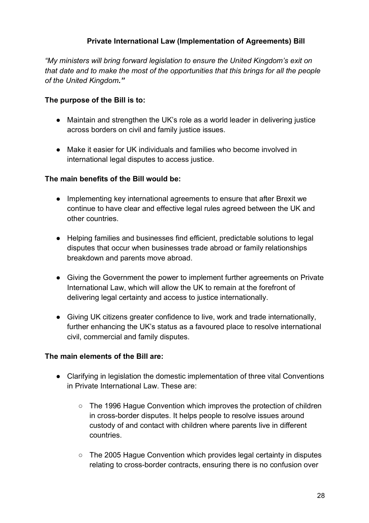## **Private International Law (Implementation of Agreements) Bill**

*"My ministers will bring forward legislation to ensure the United Kingdom's exit on that date and to make the most of the opportunities that this brings for all the people of the United Kingdom."*

## **The purpose of the Bill is to:**

- Maintain and strengthen the UK's role as a world leader in delivering justice across borders on civil and family justice issues.
- Make it easier for UK individuals and families who become involved in international legal disputes to access justice.

#### **The main benefits of the Bill would be:**

- Implementing key international agreements to ensure that after Brexit we continue to have clear and effective legal rules agreed between the UK and other countries.
- Helping families and businesses find efficient, predictable solutions to legal disputes that occur when businesses trade abroad or family relationships breakdown and parents move abroad.
- Giving the Government the power to implement further agreements on Private International Law, which will allow the UK to remain at the forefront of delivering legal certainty and access to justice internationally.
- Giving UK citizens greater confidence to live, work and trade internationally, further enhancing the UK's status as a favoured place to resolve international civil, commercial and family disputes.

#### **The main elements of the Bill are:**

- Clarifying in legislation the domestic implementation of three vital Conventions in Private International Law. These are:
	- The 1996 Hague Convention which improves the protection of children in cross-border disputes. It helps people to resolve issues around custody of and contact with children where parents live in different countries.
	- The 2005 Hague Convention which provides legal certainty in disputes relating to cross-border contracts, ensuring there is no confusion over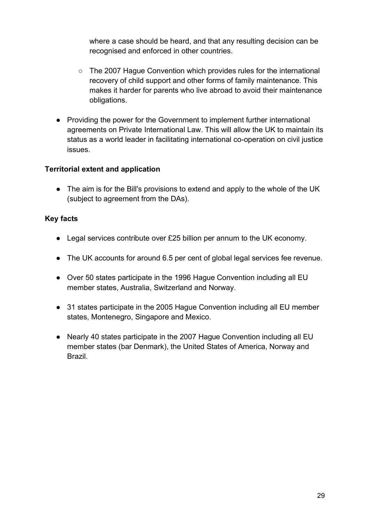where a case should be heard, and that any resulting decision can be recognised and enforced in other countries.

- The 2007 Hague Convention which provides rules for the international recovery of child support and other forms of family maintenance. This makes it harder for parents who live abroad to avoid their maintenance obligations.
- Providing the power for the Government to implement further international agreements on Private International Law. This will allow the UK to maintain its status as a world leader in facilitating international co-operation on civil justice issues.

#### **Territorial extent and application**

● The aim is for the Bill's provisions to extend and apply to the whole of the UK (subject to agreement from the DAs).

- Legal services contribute over £25 billion per annum to the UK economy.
- The UK accounts for around 6.5 per cent of global legal services fee revenue.
- Over 50 states participate in the 1996 Hague Convention including all EU member states, Australia, Switzerland and Norway.
- 31 states participate in the 2005 Hague Convention including all EU member states, Montenegro, Singapore and Mexico.
- Nearly 40 states participate in the 2007 Hague Convention including all EU member states (bar Denmark), the United States of America, Norway and Brazil.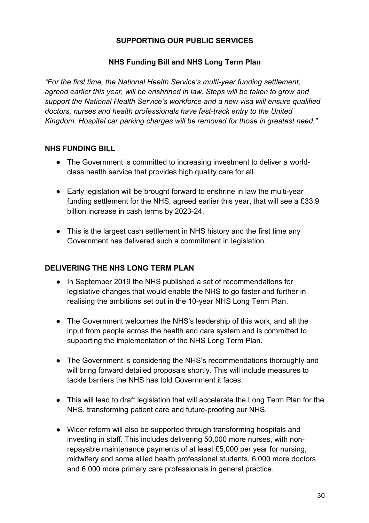#### **SUPPORTING OUR PUBLIC SERVICES**

## **NHS Funding Bill and NHS Long Term Plan**

*"For the first time, the National Health Service's multi-year funding settlement, agreed earlier this year, will be enshrined in law. Steps will be taken to grow and support the National Health Service's workforce and a new visa will ensure qualified doctors, nurses and health professionals have fast-track entry to the United Kingdom. Hospital car parking charges will be removed for those in greatest need."*

#### **NHS FUNDING BILL**

- The Government is committed to increasing investment to deliver a worldclass health service that provides high quality care for all.
- Early legislation will be brought forward to enshrine in law the multi-year funding settlement for the NHS, agreed earlier this year, that will see a £33.9 billion increase in cash terms by 2023-24.
- This is the largest cash settlement in NHS history and the first time any Government has delivered such a commitment in legislation.

#### **DELIVERING THE NHS LONG TERM PLAN**

- In September 2019 the NHS published a set of recommendations for legislative changes that would enable the NHS to go faster and further in realising the ambitions set out in the 10-year NHS Long Term Plan.
- The Government welcomes the NHS's leadership of this work, and all the input from people across the health and care system and is committed to supporting the implementation of the NHS Long Term Plan.
- The Government is considering the NHS's recommendations thoroughly and will bring forward detailed proposals shortly. This will include measures to tackle barriers the NHS has told Government it faces.
- This will lead to draft legislation that will accelerate the Long Term Plan for the NHS, transforming patient care and future-proofing our NHS.
- Wider reform will also be supported through transforming hospitals and investing in staff. This includes delivering 50,000 more nurses, with nonrepayable maintenance payments of at least £5,000 per year for nursing, midwifery and some allied health professional students, 6,000 more doctors and 6,000 more primary care professionals in general practice.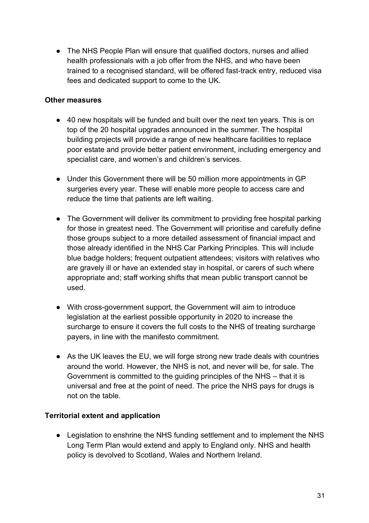• The NHS People Plan will ensure that qualified doctors, nurses and allied health professionals with a job offer from the NHS, and who have been trained to a recognised standard, will be offered fast-track entry, reduced visa fees and dedicated support to come to the UK.

#### **Other measures**

- 40 new hospitals will be funded and built over the next ten years. This is on top of the 20 hospital upgrades announced in the summer. The hospital building projects will provide a range of new healthcare facilities to replace poor estate and provide better patient environment, including emergency and specialist care, and women's and children's services.
- Under this Government there will be 50 million more appointments in GP surgeries every year. These will enable more people to access care and reduce the time that patients are left waiting.
- The Government will deliver its commitment to providing free hospital parking for those in greatest need. The Government will prioritise and carefully define those groups subject to a more detailed assessment of financial impact and those already identified in the NHS Car Parking Principles. This will include blue badge holders; frequent outpatient attendees; visitors with relatives who are gravely ill or have an extended stay in hospital, or carers of such where appropriate and; staff working shifts that mean public transport cannot be used.
- With cross-government support, the Government will aim to introduce legislation at the earliest possible opportunity in 2020 to increase the surcharge to ensure it covers the full costs to the NHS of treating surcharge payers, in line with the manifesto commitment.
- As the UK leaves the EU, we will forge strong new trade deals with countries around the world. However, the NHS is not, and never will be, for sale. The Government is committed to the guiding principles of the NHS – that it is universal and free at the point of need. The price the NHS pays for drugs is not on the table.

#### **Territorial extent and application**

• Legislation to enshrine the NHS funding settlement and to implement the NHS Long Term Plan would extend and apply to England only. NHS and health policy is devolved to Scotland, Wales and Northern Ireland.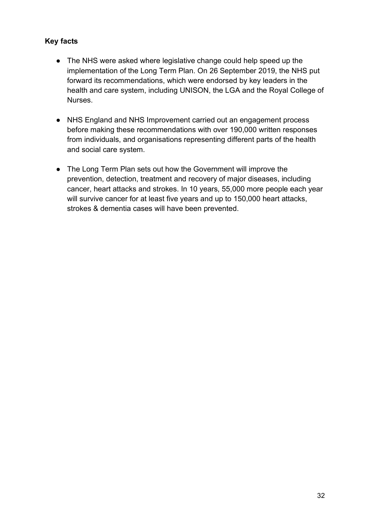- The NHS were asked where legislative change could help speed up the implementation of the Long Term Plan. On 26 September 2019, the NHS put forward its recommendations, which were endorsed by key leaders in the health and care system, including UNISON, the LGA and the Royal College of Nurses.
- NHS England and NHS Improvement carried out an engagement process before making these recommendations with over 190,000 written responses from individuals, and organisations representing different parts of the health and social care system.
- The Long Term Plan sets out how the Government will improve the prevention, detection, treatment and recovery of major diseases, including cancer, heart attacks and strokes. In 10 years, 55,000 more people each year will survive cancer for at least five years and up to 150,000 heart attacks, strokes & dementia cases will have been prevented.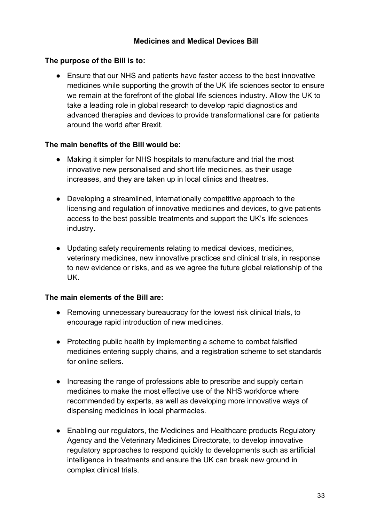#### **Medicines and Medical Devices Bill**

#### **The purpose of the Bill is to:**

● Ensure that our NHS and patients have faster access to the best innovative medicines while supporting the growth of the UK life sciences sector to ensure we remain at the forefront of the global life sciences industry. Allow the UK to take a leading role in global research to develop rapid diagnostics and advanced therapies and devices to provide transformational care for patients around the world after Brexit.

#### **The main benefits of the Bill would be:**

- Making it simpler for NHS hospitals to manufacture and trial the most innovative new personalised and short life medicines, as their usage increases, and they are taken up in local clinics and theatres.
- Developing a streamlined, internationally competitive approach to the licensing and regulation of innovative medicines and devices, to give patients access to the best possible treatments and support the UK's life sciences industry.
- Updating safety requirements relating to medical devices, medicines, veterinary medicines, new innovative practices and clinical trials, in response to new evidence or risks, and as we agree the future global relationship of the UK.

#### **The main elements of the Bill are:**

- Removing unnecessary bureaucracy for the lowest risk clinical trials, to encourage rapid introduction of new medicines.
- Protecting public health by implementing a scheme to combat falsified medicines entering supply chains, and a registration scheme to set standards for online sellers.
- Increasing the range of professions able to prescribe and supply certain medicines to make the most effective use of the NHS workforce where recommended by experts, as well as developing more innovative ways of dispensing medicines in local pharmacies.
- Enabling our regulators, the Medicines and Healthcare products Regulatory Agency and the Veterinary Medicines Directorate, to develop innovative regulatory approaches to respond quickly to developments such as artificial intelligence in treatments and ensure the UK can break new ground in complex clinical trials.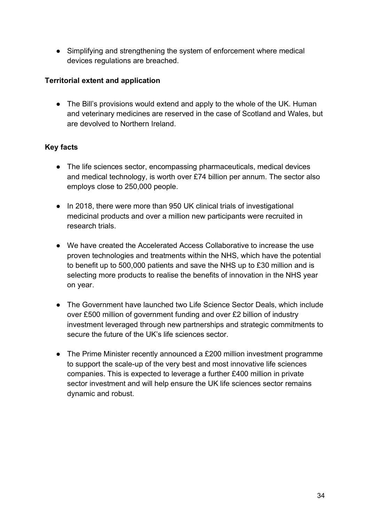● Simplifying and strengthening the system of enforcement where medical devices regulations are breached.

## **Territorial extent and application**

• The Bill's provisions would extend and apply to the whole of the UK. Human and veterinary medicines are reserved in the case of Scotland and Wales, but are devolved to Northern Ireland.

- The life sciences sector, encompassing pharmaceuticals, medical devices and medical technology, is worth over £74 billion per annum. The sector also employs close to 250,000 people.
- In 2018, there were more than 950 UK clinical trials of investigational medicinal products and over a million new participants were recruited in research trials.
- We have created the Accelerated Access Collaborative to increase the use proven technologies and treatments within the NHS, which have the potential to benefit up to 500,000 patients and save the NHS up to £30 million and is selecting more products to realise the benefits of innovation in the NHS year on year.
- The Government have launched two Life Science Sector Deals, which include over £500 million of government funding and over £2 billion of industry investment leveraged through new partnerships and strategic commitments to secure the future of the UK's life sciences sector.
- The Prime Minister recently announced a £200 million investment programme to support the scale-up of the very best and most innovative life sciences companies. This is expected to leverage a further £400 million in private sector investment and will help ensure the UK life sciences sector remains dynamic and robust.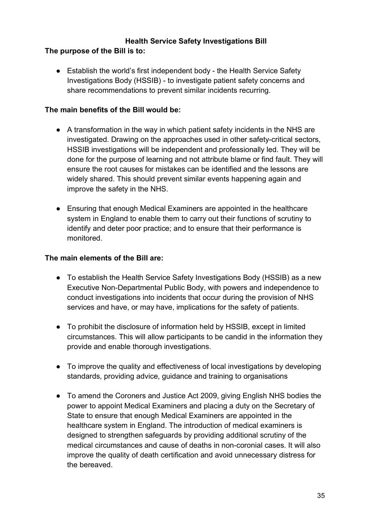# **Health Service Safety Investigations Bill**

## **The purpose of the Bill is to:**

• Establish the world's first independent body - the Health Service Safety Investigations Body (HSSIB) - to investigate patient safety concerns and share recommendations to prevent similar incidents recurring.

#### **The main benefits of the Bill would be:**

- A transformation in the way in which patient safety incidents in the NHS are investigated. Drawing on the approaches used in other safety-critical sectors, HSSIB investigations will be independent and professionally led. They will be done for the purpose of learning and not attribute blame or find fault. They will ensure the root causes for mistakes can be identified and the lessons are widely shared. This should prevent similar events happening again and improve the safety in the NHS.
- Ensuring that enough Medical Examiners are appointed in the healthcare system in England to enable them to carry out their functions of scrutiny to identify and deter poor practice; and to ensure that their performance is monitored.

#### **The main elements of the Bill are:**

- To establish the Health Service Safety Investigations Body (HSSIB) as a new Executive Non-Departmental Public Body, with powers and independence to conduct investigations into incidents that occur during the provision of NHS services and have, or may have, implications for the safety of patients.
- To prohibit the disclosure of information held by HSSIB, except in limited circumstances. This will allow participants to be candid in the information they provide and enable thorough investigations.
- To improve the quality and effectiveness of local investigations by developing standards, providing advice, guidance and training to organisations
- To amend the Coroners and Justice Act 2009, giving English NHS bodies the power to appoint Medical Examiners and placing a duty on the Secretary of State to ensure that enough Medical Examiners are appointed in the healthcare system in England. The introduction of medical examiners is designed to strengthen safeguards by providing additional scrutiny of the medical circumstances and cause of deaths in non-coronial cases. It will also improve the quality of death certification and avoid unnecessary distress for the bereaved.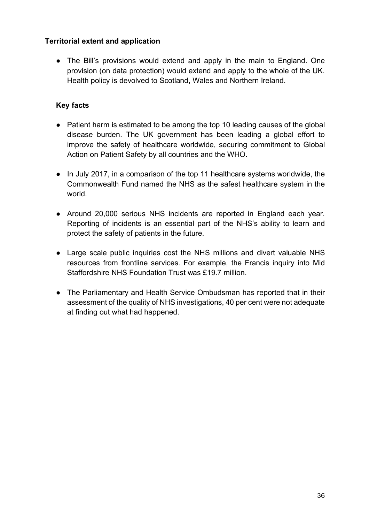#### **Territorial extent and application**

• The Bill's provisions would extend and apply in the main to England. One provision (on data protection) would extend and apply to the whole of the UK. Health policy is devolved to Scotland, Wales and Northern Ireland.

- Patient harm is estimated to be among the top 10 leading causes of the global disease burden. The UK government has been leading a global effort to improve the safety of healthcare worldwide, securing commitment to Global Action on Patient Safety by all countries and the WHO.
- In July 2017, in a comparison of the top 11 healthcare systems worldwide, the Commonwealth Fund named the NHS as the safest healthcare system in the world.
- Around 20,000 serious NHS incidents are reported in England each year. Reporting of incidents is an essential part of the NHS's ability to learn and protect the safety of patients in the future.
- Large scale public inquiries cost the NHS millions and divert valuable NHS resources from frontline services. For example, the Francis inquiry into Mid Staffordshire NHS Foundation Trust was £19.7 million.
- The Parliamentary and Health Service Ombudsman has reported that in their assessment of the quality of NHS investigations, 40 per cent were not adequate at finding out what had happened.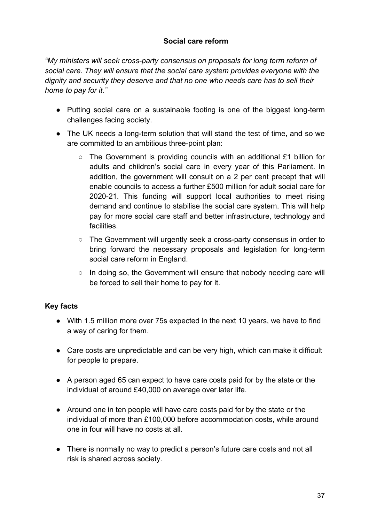## **Social care reform**

*"My ministers will seek cross-party consensus on proposals for long term reform of social care. They will ensure that the social care system provides everyone with the dignity and security they deserve and that no one who needs care has to sell their home to pay for it."*

- Putting social care on a sustainable footing is one of the biggest long-term challenges facing society.
- The UK needs a long-term solution that will stand the test of time, and so we are committed to an ambitious three-point plan:
	- The Government is providing councils with an additional £1 billion for adults and children's social care in every year of this Parliament. In addition, the government will consult on a 2 per cent precept that will enable councils to access a further £500 million for adult social care for 2020-21. This funding will support local authorities to meet rising demand and continue to stabilise the social care system. This will help pay for more social care staff and better infrastructure, technology and facilities.
	- The Government will urgently seek a cross-party consensus in order to bring forward the necessary proposals and legislation for long-term social care reform in England.
	- In doing so, the Government will ensure that nobody needing care will be forced to sell their home to pay for it.

- With 1.5 million more over 75s expected in the next 10 years, we have to find a way of caring for them.
- Care costs are unpredictable and can be very high, which can make it difficult for people to prepare.
- A person aged 65 can expect to have care costs paid for by the state or the individual of around £40,000 on average over later life.
- Around one in ten people will have care costs paid for by the state or the individual of more than £100,000 before accommodation costs, while around one in four will have no costs at all.
- There is normally no way to predict a person's future care costs and not all risk is shared across society.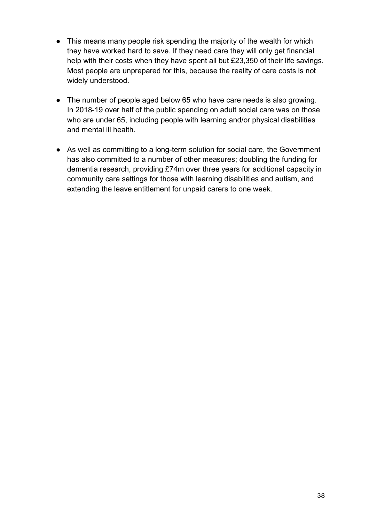- This means many people risk spending the majority of the wealth for which they have worked hard to save. If they need care they will only get financial help with their costs when they have spent all but £23,350 of their life savings. Most people are unprepared for this, because the reality of care costs is not widely understood.
- The number of people aged below 65 who have care needs is also growing. In 2018-19 over half of the public spending on adult social care was on those who are under 65, including people with learning and/or physical disabilities and mental ill health.
- As well as committing to a long-term solution for social care, the Government has also committed to a number of other measures; doubling the funding for dementia research, providing £74m over three years for additional capacity in community care settings for those with learning disabilities and autism, and extending the leave entitlement for unpaid carers to one week.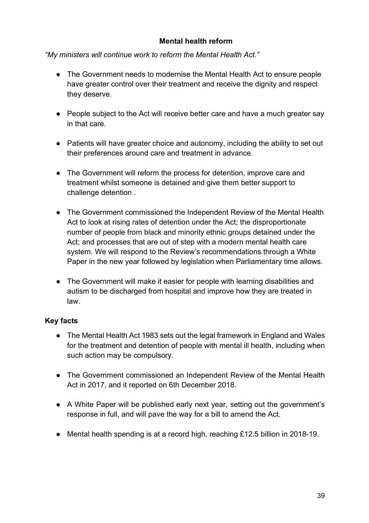## **Mental health reform**

*"My ministers will continue work to reform the Mental Health Act."*

- The Government needs to modernise the Mental Health Act to ensure people have greater control over their treatment and receive the dignity and respect they deserve.
- People subject to the Act will receive better care and have a much greater say in that care.
- Patients will have greater choice and autonomy, including the ability to set out their preferences around care and treatment in advance.
- The Government will reform the process for detention, improve care and treatment whilst someone is detained and give them better support to challenge detention .
- The Government commissioned the Independent Review of the Mental Health Act to look at rising rates of detention under the Act; the disproportionate number of people from black and minority ethnic groups detained under the Act; and processes that are out of step with a modern mental health care system. We will respond to the Review's recommendations through a White Paper in the new year followed by legislation when Parliamentary time allows.
- The Government will make it easier for people with learning disabilities and autism to be discharged from hospital and improve how they are treated in law.

- The Mental Health Act 1983 sets out the legal framework in England and Wales for the treatment and detention of people with mental ill health, including when such action may be compulsory.
- The Government commissioned an Independent Review of the Mental Health Act in 2017, and it reported on 6th December 2018.
- A White Paper will be published early next year, setting out the government's response in full, and will pave the way for a bill to amend the Act.
- Mental health spending is at a record high, reaching £12.5 billion in 2018-19.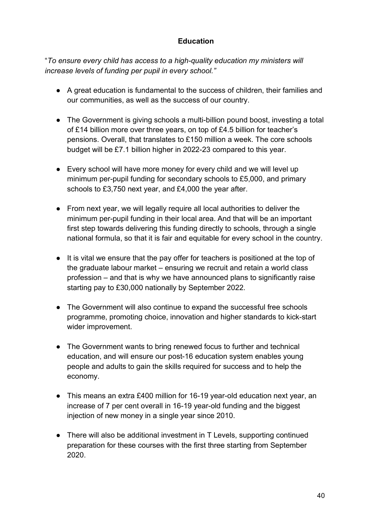## **Education**

"*To ensure every child has access to a high-quality education my ministers will increase levels of funding per pupil in every school."*

- A great education is fundamental to the success of children, their families and our communities, as well as the success of our country.
- The Government is giving schools a multi-billion pound boost, investing a total of £14 billion more over three years, on top of £4.5 billion for teacher's pensions. Overall, that translates to £150 million a week. The core schools budget will be £7.1 billion higher in 2022-23 compared to this year.
- Every school will have more money for every child and we will level up minimum per-pupil funding for secondary schools to £5,000, and primary schools to £3,750 next year, and £4,000 the year after.
- From next year, we will legally require all local authorities to deliver the minimum per-pupil funding in their local area. And that will be an important first step towards delivering this funding directly to schools, through a single national formula, so that it is fair and equitable for every school in the country.
- It is vital we ensure that the pay offer for teachers is positioned at the top of the graduate labour market – ensuring we recruit and retain a world class profession – and that is why we have announced plans to significantly raise starting pay to £30,000 nationally by September 2022.
- The Government will also continue to expand the successful free schools programme, promoting choice, innovation and higher standards to kick-start wider improvement.
- The Government wants to bring renewed focus to further and technical education, and will ensure our post-16 education system enables young people and adults to gain the skills required for success and to help the economy.
- This means an extra £400 million for 16-19 year-old education next year, an increase of 7 per cent overall in 16-19 year-old funding and the biggest injection of new money in a single year since 2010.
- There will also be additional investment in T Levels, supporting continued preparation for these courses with the first three starting from September 2020.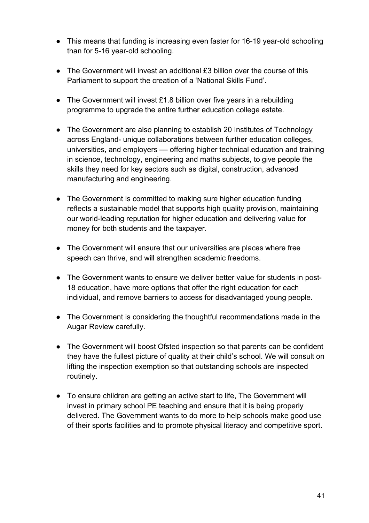- This means that funding is increasing even faster for 16-19 year-old schooling than for 5-16 year-old schooling.
- The Government will invest an additional £3 billion over the course of this Parliament to support the creation of a 'National Skills Fund'.
- The Government will invest £1.8 billion over five years in a rebuilding programme to upgrade the entire further education college estate.
- The Government are also planning to establish 20 Institutes of Technology across England- unique collaborations between further education colleges, universities, and employers — offering higher technical education and training in science, technology, engineering and maths subjects, to give people the skills they need for key sectors such as digital, construction, advanced manufacturing and engineering.
- The Government is committed to making sure higher education funding reflects a sustainable model that supports high quality provision, maintaining our world-leading reputation for higher education and delivering value for money for both students and the taxpayer.
- The Government will ensure that our universities are places where free speech can thrive, and will strengthen academic freedoms.
- The Government wants to ensure we deliver better value for students in post-18 education, have more options that offer the right education for each individual, and remove barriers to access for disadvantaged young people.
- The Government is considering the thoughtful recommendations made in the Augar Review carefully.
- The Government will boost Ofsted inspection so that parents can be confident they have the fullest picture of quality at their child's school. We will consult on lifting the inspection exemption so that outstanding schools are inspected routinely.
- To ensure children are getting an active start to life, The Government will invest in primary school PE teaching and ensure that it is being properly delivered. The Government wants to do more to help schools make good use of their sports facilities and to promote physical literacy and competitive sport.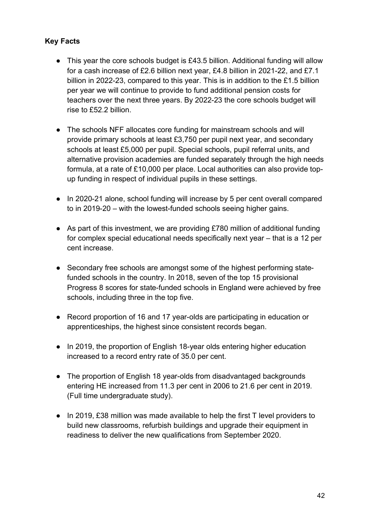## **Key Facts**

- This year the core schools budget is £43.5 billion. Additional funding will allow for a cash increase of £2.6 billion next year, £4.8 billion in 2021-22, and £7.1 billion in 2022-23, compared to this year. This is in addition to the £1.5 billion per year we will continue to provide to fund additional pension costs for teachers over the next three years. By 2022-23 the core schools budget will rise to £52.2 billion.
- The schools NFF allocates core funding for mainstream schools and will provide primary schools at least £3,750 per pupil next year, and secondary schools at least £5,000 per pupil. Special schools, pupil referral units, and alternative provision academies are funded separately through the high needs formula, at a rate of £10,000 per place. Local authorities can also provide topup funding in respect of individual pupils in these settings.
- In 2020-21 alone, school funding will increase by 5 per cent overall compared to in 2019-20 – with the lowest-funded schools seeing higher gains.
- As part of this investment, we are providing £780 million of additional funding for complex special educational needs specifically next year – that is a 12 per cent increase.
- Secondary free schools are amongst some of the highest performing statefunded schools in the country. In 2018, seven of the top 15 provisional Progress 8 scores for state-funded schools in England were achieved by free schools, including three in the top five.
- Record proportion of 16 and 17 year-olds are participating in education or apprenticeships, the highest since consistent records began.
- In 2019, the proportion of English 18-year olds entering higher education increased to a record entry rate of 35.0 per cent.
- The proportion of English 18 year-olds from disadvantaged backgrounds entering HE increased from 11.3 per cent in 2006 to 21.6 per cent in 2019. (Full time undergraduate study).
- In 2019, £38 million was made available to help the first T level providers to build new classrooms, refurbish buildings and upgrade their equipment in readiness to deliver the new qualifications from September 2020.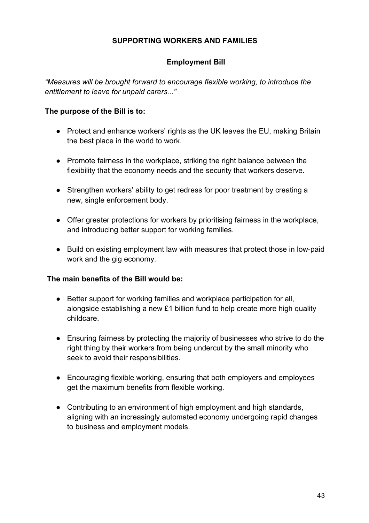## **SUPPORTING WORKERS AND FAMILIES**

## **Employment Bill**

*"Measures will be brought forward to encourage flexible working, to introduce the entitlement to leave for unpaid carers..."*

### **The purpose of the Bill is to:**

- Protect and enhance workers' rights as the UK leaves the EU, making Britain the best place in the world to work.
- Promote fairness in the workplace, striking the right balance between the flexibility that the economy needs and the security that workers deserve.
- Strengthen workers' ability to get redress for poor treatment by creating a new, single enforcement body.
- Offer greater protections for workers by prioritising fairness in the workplace, and introducing better support for working families.
- Build on existing employment law with measures that protect those in low-paid work and the gig economy.

#### **The main benefits of the Bill would be:**

- Better support for working families and workplace participation for all, alongside establishing a new £1 billion fund to help create more high quality childcare.
- Ensuring fairness by protecting the majority of businesses who strive to do the right thing by their workers from being undercut by the small minority who seek to avoid their responsibilities.
- Encouraging flexible working, ensuring that both employers and employees get the maximum benefits from flexible working.
- Contributing to an environment of high employment and high standards, aligning with an increasingly automated economy undergoing rapid changes to business and employment models.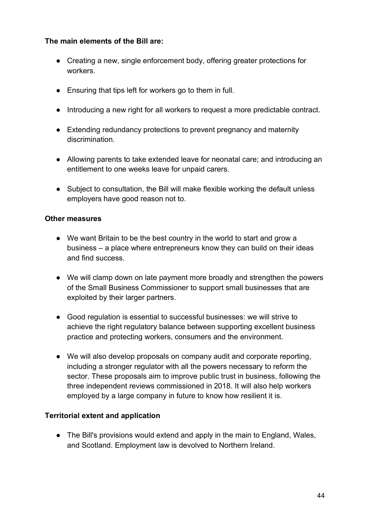### **The main elements of the Bill are:**

- Creating a new, single enforcement body, offering greater protections for workers.
- Ensuring that tips left for workers go to them in full.
- Introducing a new right for all workers to request a more predictable contract.
- Extending redundancy protections to prevent pregnancy and maternity discrimination.
- Allowing parents to take extended leave for neonatal care; and introducing an entitlement to one weeks leave for unpaid carers.
- Subject to consultation, the Bill will make flexible working the default unless employers have good reason not to.

#### **Other measures**

- We want Britain to be the best country in the world to start and grow a business – a place where entrepreneurs know they can build on their ideas and find success.
- We will clamp down on late payment more broadly and strengthen the powers of the Small Business Commissioner to support small businesses that are exploited by their larger partners.
- Good regulation is essential to successful businesses: we will strive to achieve the right regulatory balance between supporting excellent business practice and protecting workers, consumers and the environment.
- We will also develop proposals on company audit and corporate reporting, including a stronger regulator with all the powers necessary to reform the sector. These proposals aim to improve public trust in business, following the three independent reviews commissioned in 2018. It will also help workers employed by a large company in future to know how resilient it is.

## **Territorial extent and application**

• The Bill's provisions would extend and apply in the main to England, Wales, and Scotland. Employment law is devolved to Northern Ireland.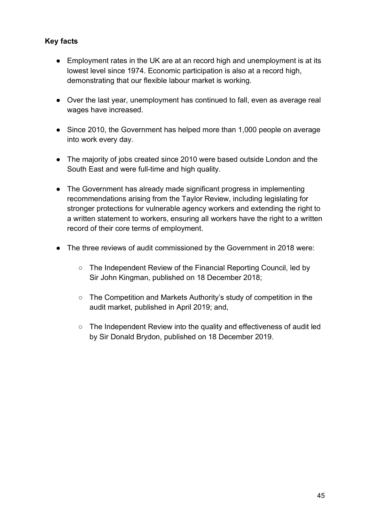- Employment rates in the UK are at an record high and unemployment is at its lowest level since 1974. Economic participation is also at a record high, demonstrating that our flexible labour market is working.
- Over the last year, unemployment has continued to fall, even as average real wages have increased.
- Since 2010, the Government has helped more than 1,000 people on average into work every day.
- The majority of jobs created since 2010 were based outside London and the South East and were full-time and high quality.
- The Government has already made significant progress in implementing recommendations arising from the Taylor Review, including legislating for stronger protections for vulnerable agency workers and extending the right to a written statement to workers, ensuring all workers have the right to a written record of their core terms of employment.
- The three reviews of audit commissioned by the Government in 2018 were:
	- The Independent Review of the Financial Reporting Council, led by Sir John Kingman, published on 18 December 2018;
	- The Competition and Markets Authority's study of competition in the audit market, published in April 2019; and,
	- The Independent Review into the quality and effectiveness of audit led by Sir Donald Brydon, published on 18 December 2019.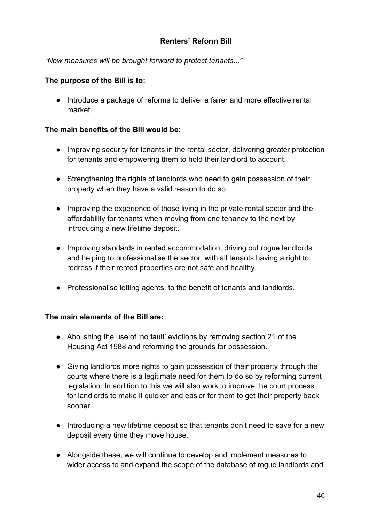## **Renters' Reform Bill**

*"New measures will be brought forward to protect tenants..."*

## **The purpose of the Bill is to:**

● Introduce a package of reforms to deliver a fairer and more effective rental market.

## **The main benefits of the Bill would be:**

- Improving security for tenants in the rental sector, delivering greater protection for tenants and empowering them to hold their landlord to account.
- Strengthening the rights of landlords who need to gain possession of their property when they have a valid reason to do so.
- Improving the experience of those living in the private rental sector and the affordability for tenants when moving from one tenancy to the next by introducing a new lifetime deposit.
- Improving standards in rented accommodation, driving out rogue landlords and helping to professionalise the sector, with all tenants having a right to redress if their rented properties are not safe and healthy.
- Professionalise letting agents, to the benefit of tenants and landlords.

## **The main elements of the Bill are:**

- Abolishing the use of 'no fault' evictions by removing section 21 of the Housing Act 1988 and reforming the grounds for possession.
- Giving landlords more rights to gain possession of their property through the courts where there is a legitimate need for them to do so by reforming current legislation. In addition to this we will also work to improve the court process for landlords to make it quicker and easier for them to get their property back sooner.
- Introducing a new lifetime deposit so that tenants don't need to save for a new deposit every time they move house.
- Alongside these, we will continue to develop and implement measures to wider access to and expand the scope of the database of rogue landlords and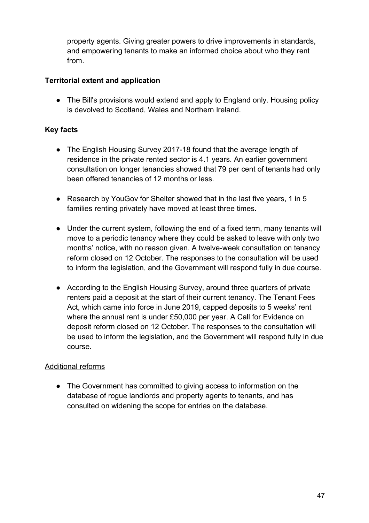property agents. Giving greater powers to drive improvements in standards, and empowering tenants to make an informed choice about who they rent from.

## **Territorial extent and application**

• The Bill's provisions would extend and apply to England only. Housing policy is devolved to Scotland, Wales and Northern Ireland.

## **Key facts**

- The English Housing Survey 2017-18 found that the average length of residence in the private rented sector is 4.1 years. An earlier government consultation on longer tenancies showed that 79 per cent of tenants had only been offered tenancies of 12 months or less.
- Research by YouGov for Shelter showed that in the last five years, 1 in 5 families renting privately have moved at least three times.
- Under the current system, following the end of a fixed term, many tenants will move to a periodic tenancy where they could be asked to leave with only two months' notice, with no reason given. A twelve-week consultation on tenancy reform closed on 12 October. The responses to the consultation will be used to inform the legislation, and the Government will respond fully in due course.
- According to the English Housing Survey, around three quarters of private renters paid a deposit at the start of their current tenancy. The Tenant Fees Act, which came into force in June 2019, capped deposits to 5 weeks' rent where the annual rent is under £50,000 per year. A Call for Evidence on deposit reform closed on 12 October. The responses to the consultation will be used to inform the legislation, and the Government will respond fully in due course.

## Additional reforms

• The Government has committed to giving access to information on the database of rogue landlords and property agents to tenants, and has consulted on widening the scope for entries on the database.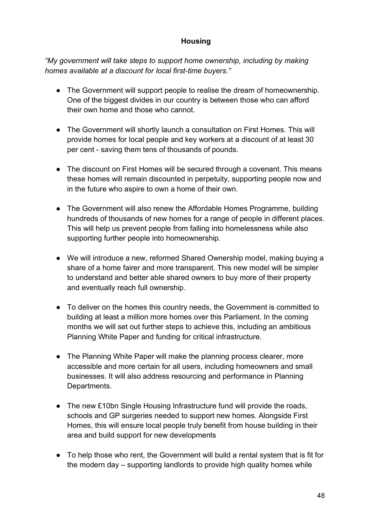### **Housing**

*"My government will take steps to support home ownership, including by making homes available at a discount for local first-time buyers."*

- The Government will support people to realise the dream of homeownership. One of the biggest divides in our country is between those who can afford their own home and those who cannot.
- The Government will shortly launch a consultation on First Homes. This will provide homes for local people and key workers at a discount of at least 30 per cent - saving them tens of thousands of pounds.
- The discount on First Homes will be secured through a covenant. This means these homes will remain discounted in perpetuity, supporting people now and in the future who aspire to own a home of their own.
- The Government will also renew the Affordable Homes Programme, building hundreds of thousands of new homes for a range of people in different places. This will help us prevent people from falling into homelessness while also supporting further people into homeownership.
- We will introduce a new, reformed Shared Ownership model, making buying a share of a home fairer and more transparent. This new model will be simpler to understand and better able shared owners to buy more of their property and eventually reach full ownership.
- To deliver on the homes this country needs, the Government is committed to building at least a million more homes over this Parliament. In the coming months we will set out further steps to achieve this, including an ambitious Planning White Paper and funding for critical infrastructure.
- The Planning White Paper will make the planning process clearer, more accessible and more certain for all users, including homeowners and small businesses. It will also address resourcing and performance in Planning Departments.
- The new £10bn Single Housing Infrastructure fund will provide the roads, schools and GP surgeries needed to support new homes. Alongside First Homes, this will ensure local people truly benefit from house building in their area and build support for new developments
- To help those who rent, the Government will build a rental system that is fit for the modern day – supporting landlords to provide high quality homes while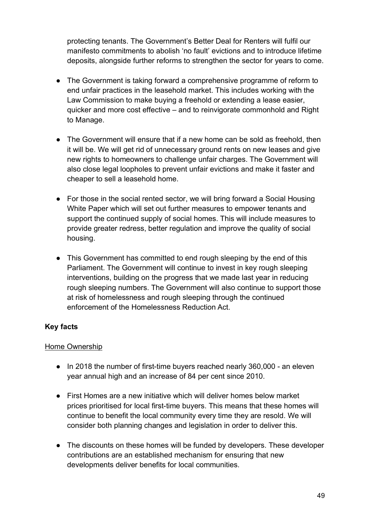protecting tenants. The Government's Better Deal for Renters will fulfil our manifesto commitments to abolish 'no fault' evictions and to introduce lifetime deposits, alongside further reforms to strengthen the sector for years to come.

- The Government is taking forward a comprehensive programme of reform to end unfair practices in the leasehold market. This includes working with the Law Commission to make buying a freehold or extending a lease easier, quicker and more cost effective – and to reinvigorate commonhold and Right to Manage.
- The Government will ensure that if a new home can be sold as freehold, then it will be. We will get rid of unnecessary ground rents on new leases and give new rights to homeowners to challenge unfair charges. The Government will also close legal loopholes to prevent unfair evictions and make it faster and cheaper to sell a leasehold home.
- For those in the social rented sector, we will bring forward a Social Housing White Paper which will set out further measures to empower tenants and support the continued supply of social homes. This will include measures to provide greater redress, better regulation and improve the quality of social housing.
- This Government has committed to end rough sleeping by the end of this Parliament. The Government will continue to invest in key rough sleeping interventions, building on the progress that we made last year in reducing rough sleeping numbers. The Government will also continue to support those at risk of homelessness and rough sleeping through the continued enforcement of the Homelessness Reduction Act.

## **Key facts**

## Home Ownership

- In 2018 the number of first-time buyers reached nearly 360,000 an eleven year annual high and an increase of 84 per cent since 2010.
- First Homes are a new initiative which will deliver homes below market prices prioritised for local first-time buyers. This means that these homes will continue to benefit the local community every time they are resold. We will consider both planning changes and legislation in order to deliver this.
- The discounts on these homes will be funded by developers. These developer contributions are an established mechanism for ensuring that new developments deliver benefits for local communities.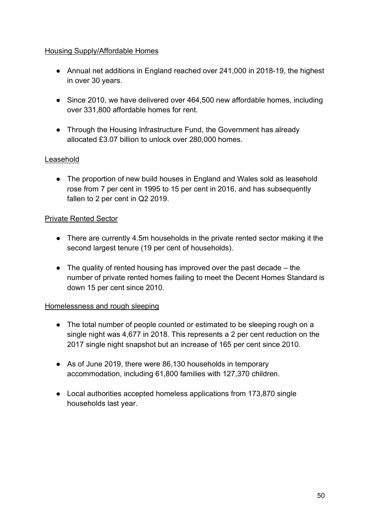## Housing Supply/Affordable Homes

- Annual net additions in England reached over 241,000 in 2018-19, the highest in over 30 years.
- Since 2010, we have delivered over 464,500 new affordable homes, including over 331,800 affordable homes for rent.
- Through the Housing Infrastructure Fund, the Government has already allocated £3.07 billion to unlock over 280,000 homes.

# **Leasehold**

● The proportion of new build houses in England and Wales sold as leasehold rose from 7 per cent in 1995 to 15 per cent in 2016, and has subsequently fallen to 2 per cent in Q2 2019.

# Private Rented Sector

- There are currently 4.5m households in the private rented sector making it the second largest tenure (19 per cent of households).
- $\bullet$  The quality of rented housing has improved over the past decade the number of private rented homes failing to meet the Decent Homes Standard is down 15 per cent since 2010.

## Homelessness and rough sleeping

- The total number of people counted or estimated to be sleeping rough on a single night was 4,677 in 2018. This represents a 2 per cent reduction on the 2017 single night snapshot but an increase of 165 per cent since 2010.
- As of June 2019, there were 86,130 households in temporary accommodation, including 61,800 families with 127,370 children.
- Local authorities accepted homeless applications from 173,870 single households last year.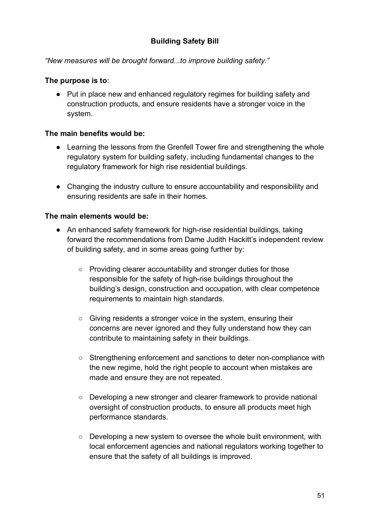# **Building Safety Bill**

*"New measures will be brought forward...to improve building safety."*

## **The purpose is to**:

● Put in place new and enhanced regulatory regimes for building safety and construction products, and ensure residents have a stronger voice in the system.

### **The main benefits would be:**

- Learning the lessons from the Grenfell Tower fire and strengthening the whole regulatory system for building safety, including fundamental changes to the regulatory framework for high rise residential buildings.
- Changing the industry culture to ensure accountability and responsibility and ensuring residents are safe in their homes.

#### **The main elements would be:**

- An enhanced safety framework for high-rise residential buildings, taking forward the recommendations from Dame Judith Hackitt's independent review of building safety, and in some areas going further by:
	- Providing clearer accountability and stronger duties for those responsible for the safety of high-rise buildings throughout the building's design, construction and occupation, with clear competence requirements to maintain high standards.
	- Giving residents a stronger voice in the system, ensuring their concerns are never ignored and they fully understand how they can contribute to maintaining safety in their buildings.
	- Strengthening enforcement and sanctions to deter non-compliance with the new regime, hold the right people to account when mistakes are made and ensure they are not repeated.
	- Developing a new stronger and clearer framework to provide national oversight of construction products, to ensure all products meet high performance standards.
	- Developing a new system to oversee the whole built environment, with local enforcement agencies and national regulators working together to ensure that the safety of all buildings is improved.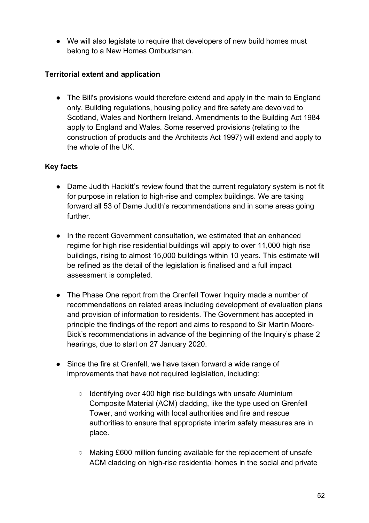● We will also legislate to require that developers of new build homes must belong to a New Homes Ombudsman.

# **Territorial extent and application**

● The Bill's provisions would therefore extend and apply in the main to England only. Building regulations, housing policy and fire safety are devolved to Scotland, Wales and Northern Ireland. Amendments to the Building Act 1984 apply to England and Wales. Some reserved provisions (relating to the construction of products and the Architects Act 1997) will extend and apply to the whole of the UK.

- Dame Judith Hackitt's review found that the current regulatory system is not fit for purpose in relation to high-rise and complex buildings. We are taking forward all 53 of Dame Judith's recommendations and in some areas going further.
- In the recent Government consultation, we estimated that an enhanced regime for high rise residential buildings will apply to over 11,000 high rise buildings, rising to almost 15,000 buildings within 10 years. This estimate will be refined as the detail of the legislation is finalised and a full impact assessment is completed.
- The Phase One report from the Grenfell Tower Inquiry made a number of recommendations on related areas including development of evaluation plans and provision of information to residents. The Government has accepted in principle the findings of the report and aims to respond to Sir Martin Moore-Bick's recommendations in advance of the beginning of the Inquiry's phase 2 hearings, due to start on 27 January 2020.
- Since the fire at Grenfell, we have taken forward a wide range of improvements that have not required legislation, including:
	- Identifying over 400 high rise buildings with unsafe Aluminium Composite Material (ACM) cladding, like the type used on Grenfell Tower, and working with local authorities and fire and rescue authorities to ensure that appropriate interim safety measures are in place.
	- Making £600 million funding available for the replacement of unsafe ACM cladding on high-rise residential homes in the social and private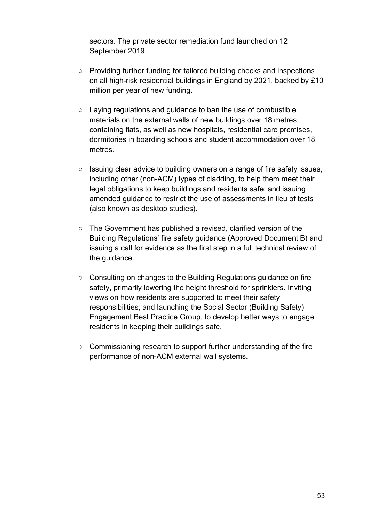sectors. The private sector remediation fund launched on 12 September 2019.

- Providing further funding for tailored building checks and inspections on all high-risk residential buildings in England by 2021, backed by £10 million per year of new funding.
- Laying regulations and guidance to ban the use of combustible materials on the external walls of new buildings over 18 metres containing flats, as well as new hospitals, residential care premises, dormitories in boarding schools and student accommodation over 18 metres.
- Issuing clear advice to building owners on a range of fire safety issues, including other (non-ACM) types of cladding, to help them meet their legal obligations to keep buildings and residents safe; and issuing amended guidance to restrict the use of assessments in lieu of tests (also known as desktop studies).
- The Government has published a revised, clarified version of the Building Regulations' fire safety guidance (Approved Document B) and issuing a call for evidence as the first step in a full technical review of the guidance.
- Consulting on changes to the Building Regulations guidance on fire safety, primarily lowering the height threshold for sprinklers. Inviting views on how residents are supported to meet their safety responsibilities; and launching the Social Sector (Building Safety) Engagement Best Practice Group, to develop better ways to engage residents in keeping their buildings safe.
- Commissioning research to support further understanding of the fire performance of non-ACM external wall systems.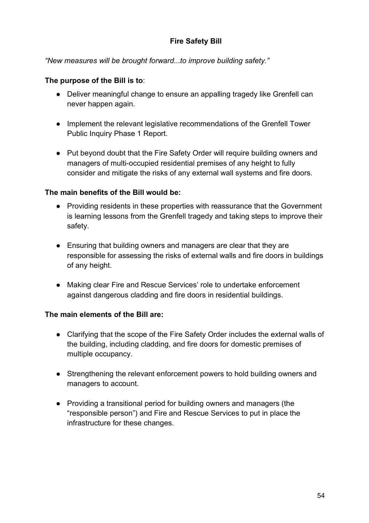# **Fire Safety Bill**

*"New measures will be brought forward...to improve building safety."*

## **The purpose of the Bill is to**:

- Deliver meaningful change to ensure an appalling tragedy like Grenfell can never happen again.
- Implement the relevant legislative recommendations of the Grenfell Tower Public Inquiry Phase 1 Report.
- Put beyond doubt that the Fire Safety Order will require building owners and managers of multi-occupied residential premises of any height to fully consider and mitigate the risks of any external wall systems and fire doors.

#### **The main benefits of the Bill would be:**

- Providing residents in these properties with reassurance that the Government is learning lessons from the Grenfell tragedy and taking steps to improve their safety.
- Ensuring that building owners and managers are clear that they are responsible for assessing the risks of external walls and fire doors in buildings of any height.
- Making clear Fire and Rescue Services' role to undertake enforcement against dangerous cladding and fire doors in residential buildings.

## **The main elements of the Bill are:**

- Clarifying that the scope of the Fire Safety Order includes the external walls of the building, including cladding, and fire doors for domestic premises of multiple occupancy.
- Strengthening the relevant enforcement powers to hold building owners and managers to account.
- Providing a transitional period for building owners and managers (the "responsible person") and Fire and Rescue Services to put in place the infrastructure for these changes.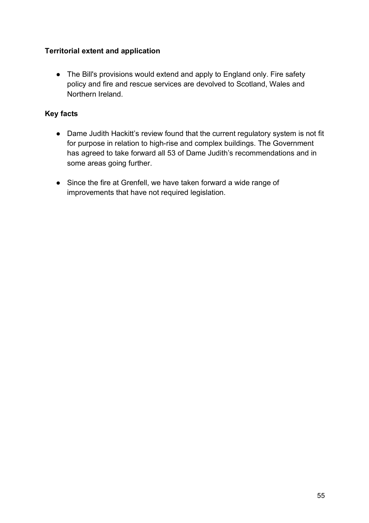# **Territorial extent and application**

• The Bill's provisions would extend and apply to England only. Fire safety policy and fire and rescue services are devolved to Scotland, Wales and Northern Ireland.

- Dame Judith Hackitt's review found that the current regulatory system is not fit for purpose in relation to high-rise and complex buildings. The Government has agreed to take forward all 53 of Dame Judith's recommendations and in some areas going further.
- Since the fire at Grenfell, we have taken forward a wide range of improvements that have not required legislation.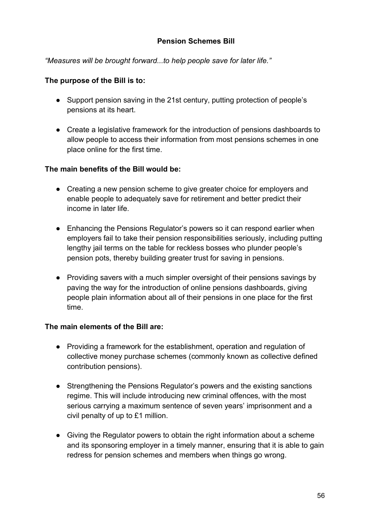## **Pension Schemes Bill**

*"Measures will be brought forward...to help people save for later life."*

## **The purpose of the Bill is to:**

- Support pension saving in the 21st century, putting protection of people's pensions at its heart.
- Create a legislative framework for the introduction of pensions dashboards to allow people to access their information from most pensions schemes in one place online for the first time.

## **The main benefits of the Bill would be:**

- Creating a new pension scheme to give greater choice for employers and enable people to adequately save for retirement and better predict their income in later life.
- Enhancing the Pensions Regulator's powers so it can respond earlier when employers fail to take their pension responsibilities seriously, including putting lengthy jail terms on the table for reckless bosses who plunder people's pension pots, thereby building greater trust for saving in pensions.
- Providing savers with a much simpler oversight of their pensions savings by paving the way for the introduction of online pensions dashboards, giving people plain information about all of their pensions in one place for the first time.

## **The main elements of the Bill are:**

- Providing a framework for the establishment, operation and regulation of collective money purchase schemes (commonly known as collective defined contribution pensions).
- Strengthening the Pensions Regulator's powers and the existing sanctions regime. This will include introducing new criminal offences, with the most serious carrying a maximum sentence of seven years' imprisonment and a civil penalty of up to £1 million.
- Giving the Regulator powers to obtain the right information about a scheme and its sponsoring employer in a timely manner, ensuring that it is able to gain redress for pension schemes and members when things go wrong.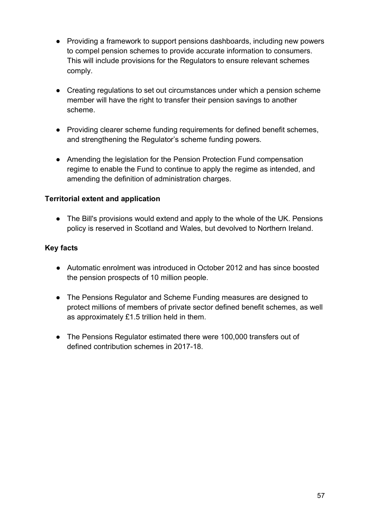- Providing a framework to support pensions dashboards, including new powers to compel pension schemes to provide accurate information to consumers. This will include provisions for the Regulators to ensure relevant schemes comply.
- Creating regulations to set out circumstances under which a pension scheme member will have the right to transfer their pension savings to another scheme.
- Providing clearer scheme funding requirements for defined benefit schemes, and strengthening the Regulator's scheme funding powers.
- Amending the legislation for the Pension Protection Fund compensation regime to enable the Fund to continue to apply the regime as intended, and amending the definition of administration charges.

## **Territorial extent and application**

• The Bill's provisions would extend and apply to the whole of the UK. Pensions policy is reserved in Scotland and Wales, but devolved to Northern Ireland.

- Automatic enrolment was introduced in October 2012 and has since boosted the pension prospects of 10 million people.
- The Pensions Regulator and Scheme Funding measures are designed to protect millions of members of private sector defined benefit schemes, as well as approximately £1.5 trillion held in them.
- The Pensions Regulator estimated there were 100,000 transfers out of defined contribution schemes in 2017-18.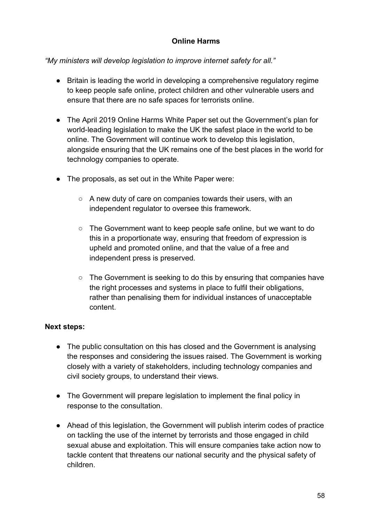## **Online Harms**

*"My ministers will develop legislation to improve internet safety for all."*

- Britain is leading the world in developing a comprehensive regulatory regime to keep people safe online, protect children and other vulnerable users and ensure that there are no safe spaces for terrorists online.
- The April 2019 Online Harms White Paper set out the Government's plan for world-leading legislation to make the UK the safest place in the world to be online. The Government will continue work to develop this legislation, alongside ensuring that the UK remains one of the best places in the world for technology companies to operate.
- The proposals, as set out in the White Paper were:
	- A new duty of care on companies towards their users, with an independent regulator to oversee this framework.
	- The Government want to keep people safe online, but we want to do this in a proportionate way, ensuring that freedom of expression is upheld and promoted online, and that the value of a free and independent press is preserved.
	- The Government is seeking to do this by ensuring that companies have the right processes and systems in place to fulfil their obligations, rather than penalising them for individual instances of unacceptable content.

## **Next steps:**

- The public consultation on this has closed and the Government is analysing the responses and considering the issues raised. The Government is working closely with a variety of stakeholders, including technology companies and civil society groups, to understand their views.
- The Government will prepare legislation to implement the final policy in response to the consultation.
- Ahead of this legislation, the Government will publish interim codes of practice on tackling the use of the internet by terrorists and those engaged in child sexual abuse and exploitation. This will ensure companies take action now to tackle content that threatens our national security and the physical safety of children.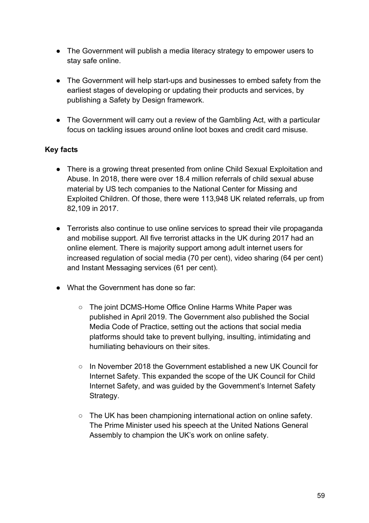- The Government will publish a media literacy strategy to empower users to stay safe online.
- The Government will help start-ups and businesses to embed safety from the earliest stages of developing or updating their products and services, by publishing a Safety by Design framework.
- The Government will carry out a review of the Gambling Act, with a particular focus on tackling issues around online loot boxes and credit card misuse.

- There is a growing threat presented from online Child Sexual Exploitation and Abuse. In 2018, there were over 18.4 million referrals of child sexual abuse material by US tech companies to the National Center for Missing and Exploited Children. Of those, there were 113,948 UK related referrals, up from 82,109 in 2017.
- Terrorists also continue to use online services to spread their vile propaganda and mobilise support. All five terrorist attacks in the UK during 2017 had an online element. There is majority support among adult internet users for increased regulation of social media (70 per cent), video sharing (64 per cent) and Instant Messaging services (61 per cent).
- What the Government has done so far:
	- The joint DCMS-Home Office Online Harms White Paper was published in April 2019. The Government also published the Social Media Code of Practice, setting out the actions that social media platforms should take to prevent bullying, insulting, intimidating and humiliating behaviours on their sites.
	- In November 2018 the Government established a new UK Council for Internet Safety. This expanded the scope of the UK Council for Child Internet Safety, and was guided by the Government's Internet Safety Strategy.
	- The UK has been championing international action on online safety. The Prime Minister used his speech at the United Nations General Assembly to champion the UK's work on online safety.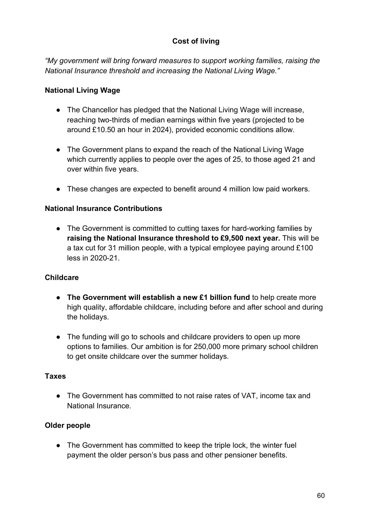# **Cost of living**

*"My government will bring forward measures to support working families, raising the National Insurance threshold and increasing the National Living Wage."*

## **National Living Wage**

- The Chancellor has pledged that the National Living Wage will increase, reaching two-thirds of median earnings within five years (projected to be around £10.50 an hour in 2024), provided economic conditions allow.
- The Government plans to expand the reach of the National Living Wage which currently applies to people over the ages of 25, to those aged 21 and over within five years.
- These changes are expected to benefit around 4 million low paid workers.

## **National Insurance Contributions**

• The Government is committed to cutting taxes for hard-working families by **raising the National Insurance threshold to £9,500 next year.** This will be a tax cut for 31 million people, with a typical employee paying around £100 less in 2020-21.

## **Childcare**

- **The Government will establish a new £1 billion fund** to help create more high quality, affordable childcare, including before and after school and during the holidays.
- The funding will go to schools and childcare providers to open up more options to families. Our ambition is for 250,000 more primary school children to get onsite childcare over the summer holidays.

## **Taxes**

• The Government has committed to not raise rates of VAT, income tax and National Insurance.

## **Older people**

• The Government has committed to keep the triple lock, the winter fuel payment the older person's bus pass and other pensioner benefits.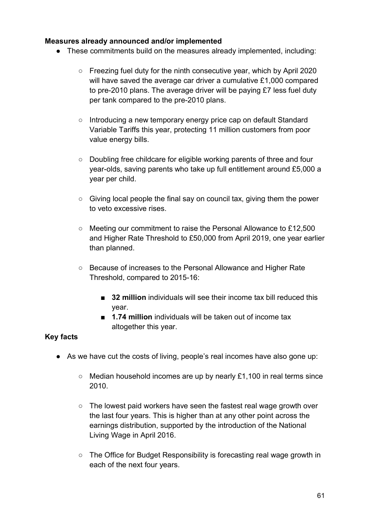## **Measures already announced and/or implemented**

- These commitments build on the measures already implemented, including:
	- Freezing fuel duty for the ninth consecutive year, which by April 2020 will have saved the average car driver a cumulative £1,000 compared to pre-2010 plans. The average driver will be paying £7 less fuel duty per tank compared to the pre-2010 plans.
	- Introducing a new temporary energy price cap on default Standard Variable Tariffs this year, protecting 11 million customers from poor value energy bills.
	- Doubling free childcare for eligible working parents of three and four year-olds, saving parents who take up full entitlement around £5,000 a year per child.
	- Giving local people the final say on council tax, giving them the power to veto excessive rises.
	- Meeting our commitment to raise the Personal Allowance to £12,500 and Higher Rate Threshold to £50,000 from April 2019, one year earlier than planned.
	- Because of increases to the Personal Allowance and Higher Rate Threshold, compared to 2015-16:
		- **32 million** individuals will see their income tax bill reduced this year.
		- **1.74 million** individuals will be taken out of income tax altogether this year.

- As we have cut the costs of living, people's real incomes have also gone up:
	- Median household incomes are up by nearly £1,100 in real terms since 2010.
	- $\circ$  The lowest paid workers have seen the fastest real wage growth over the last four years. This is higher than at any other point across the earnings distribution, supported by the introduction of the National Living Wage in April 2016.
	- The Office for Budget Responsibility is forecasting real wage growth in each of the next four years.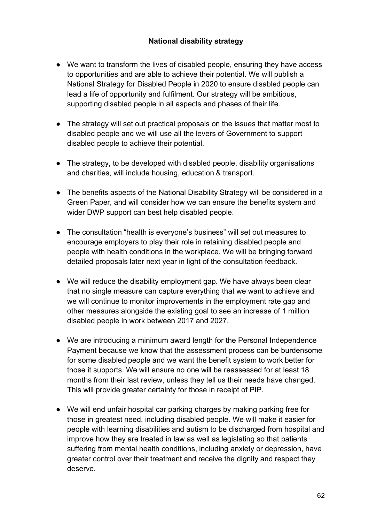## **National disability strategy**

- We want to transform the lives of disabled people, ensuring they have access to opportunities and are able to achieve their potential. We will publish a National Strategy for Disabled People in 2020 to ensure disabled people can lead a life of opportunity and fulfilment. Our strategy will be ambitious, supporting disabled people in all aspects and phases of their life.
- The strategy will set out practical proposals on the issues that matter most to disabled people and we will use all the levers of Government to support disabled people to achieve their potential.
- The strategy, to be developed with disabled people, disability organisations and charities, will include housing, education & transport.
- The benefits aspects of the National Disability Strategy will be considered in a Green Paper, and will consider how we can ensure the benefits system and wider DWP support can best help disabled people.
- The consultation "health is everyone's business" will set out measures to encourage employers to play their role in retaining disabled people and people with health conditions in the workplace. We will be bringing forward detailed proposals later next year in light of the consultation feedback.
- We will reduce the disability employment gap. We have always been clear that no single measure can capture everything that we want to achieve and we will continue to monitor improvements in the employment rate gap and other measures alongside the existing goal to see an increase of 1 million disabled people in work between 2017 and 2027.
- We are introducing a minimum award length for the Personal Independence Payment because we know that the assessment process can be burdensome for some disabled people and we want the benefit system to work better for those it supports. We will ensure no one will be reassessed for at least 18 months from their last review, unless they tell us their needs have changed. This will provide greater certainty for those in receipt of PIP.
- We will end unfair hospital car parking charges by making parking free for those in greatest need, including disabled people. We will make it easier for people with learning disabilities and autism to be discharged from hospital and improve how they are treated in law as well as legislating so that patients suffering from mental health conditions, including anxiety or depression, have greater control over their treatment and receive the dignity and respect they deserve.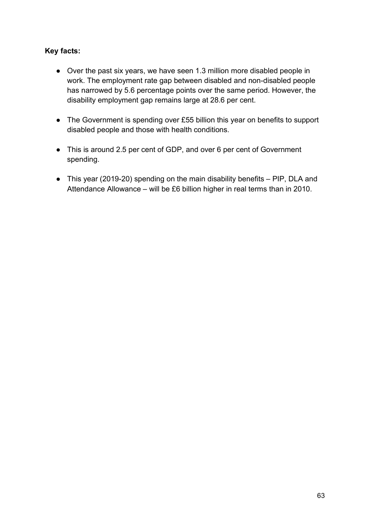- Over the past six years, we have seen 1.3 million more disabled people in work. The employment rate gap between disabled and non-disabled people has narrowed by 5.6 percentage points over the same period. However, the disability employment gap remains large at 28.6 per cent.
- The Government is spending over £55 billion this year on benefits to support disabled people and those with health conditions.
- This is around 2.5 per cent of GDP, and over 6 per cent of Government spending.
- This year (2019-20) spending on the main disability benefits PIP, DLA and Attendance Allowance – will be £6 billion higher in real terms than in 2010.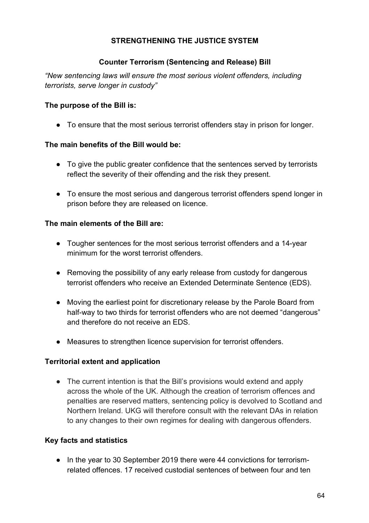# **STRENGTHENING THE JUSTICE SYSTEM**

## **Counter Terrorism (Sentencing and Release) Bill**

*"New sentencing laws will ensure the most serious violent offenders, including terrorists, serve longer in custody"*

## **The purpose of the Bill is:**

● To ensure that the most serious terrorist offenders stay in prison for longer.

## **The main benefits of the Bill would be:**

- To give the public greater confidence that the sentences served by terrorists reflect the severity of their offending and the risk they present.
- To ensure the most serious and dangerous terrorist offenders spend longer in prison before they are released on licence.

## **The main elements of the Bill are:**

- Tougher sentences for the most serious terrorist offenders and a 14-year minimum for the worst terrorist offenders.
- Removing the possibility of any early release from custody for dangerous terrorist offenders who receive an Extended Determinate Sentence (EDS).
- Moving the earliest point for discretionary release by the Parole Board from half-way to two thirds for terrorist offenders who are not deemed "dangerous" and therefore do not receive an EDS.
- Measures to strengthen licence supervision for terrorist offenders.

## **Territorial extent and application**

• The current intention is that the Bill's provisions would extend and apply across the whole of the UK. Although the creation of terrorism offences and penalties are reserved matters, sentencing policy is devolved to Scotland and Northern Ireland. UKG will therefore consult with the relevant DAs in relation to any changes to their own regimes for dealing with dangerous offenders.

## **Key facts and statistics**

● In the year to 30 September 2019 there were 44 convictions for terrorismrelated offences. 17 received custodial sentences of between four and ten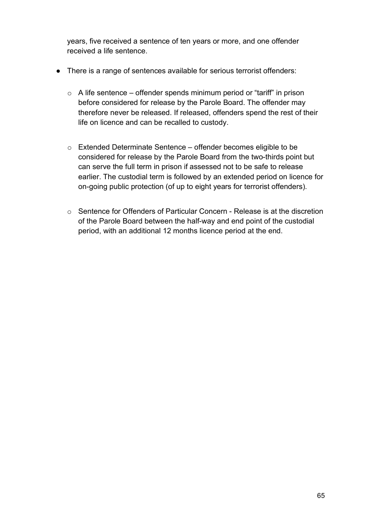years, five received a sentence of ten years or more, and one offender received a life sentence.

- There is a range of sentences available for serious terrorist offenders:
	- $\circ$  A life sentence offender spends minimum period or "tariff" in prison before considered for release by the Parole Board. The offender may therefore never be released. If released, offenders spend the rest of their life on licence and can be recalled to custody.
	- o Extended Determinate Sentence offender becomes eligible to be considered for release by the Parole Board from the two-thirds point but can serve the full term in prison if assessed not to be safe to release earlier. The custodial term is followed by an extended period on licence for on-going public protection (of up to eight years for terrorist offenders).
	- o Sentence for Offenders of Particular Concern Release is at the discretion of the Parole Board between the half-way and end point of the custodial period, with an additional 12 months licence period at the end.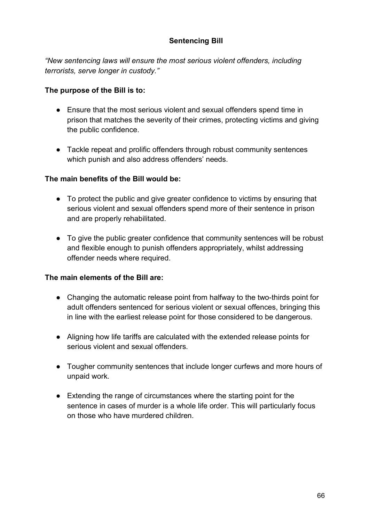## **Sentencing Bill**

*"New sentencing laws will ensure the most serious violent offenders, including terrorists, serve longer in custody."*

### **The purpose of the Bill is to:**

- Ensure that the most serious violent and sexual offenders spend time in prison that matches the severity of their crimes, protecting victims and giving the public confidence.
- Tackle repeat and prolific offenders through robust community sentences which punish and also address offenders' needs.

#### **The main benefits of the Bill would be:**

- To protect the public and give greater confidence to victims by ensuring that serious violent and sexual offenders spend more of their sentence in prison and are properly rehabilitated.
- To give the public greater confidence that community sentences will be robust and flexible enough to punish offenders appropriately, whilst addressing offender needs where required.

#### **The main elements of the Bill are:**

- Changing the automatic release point from halfway to the two-thirds point for adult offenders sentenced for serious violent or sexual offences, bringing this in line with the earliest release point for those considered to be dangerous.
- Aligning how life tariffs are calculated with the extended release points for serious violent and sexual offenders.
- Tougher community sentences that include longer curfews and more hours of unpaid work.
- Extending the range of circumstances where the starting point for the sentence in cases of murder is a whole life order. This will particularly focus on those who have murdered children.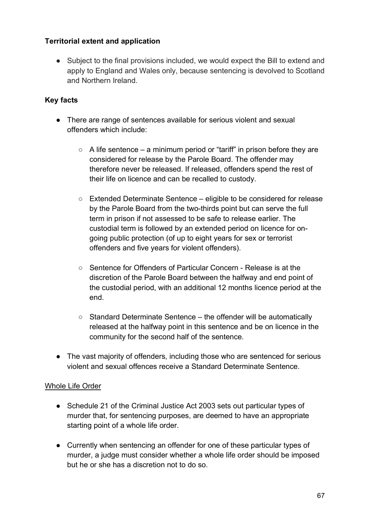## **Territorial extent and application**

● Subject to the final provisions included, we would expect the Bill to extend and apply to England and Wales only, because sentencing is devolved to Scotland and Northern Ireland.

# **Key facts**

- There are range of sentences available for serious violent and sexual offenders which include:
	- $\circ$  A life sentence a minimum period or "tariff" in prison before they are considered for release by the Parole Board. The offender may therefore never be released. If released, offenders spend the rest of their life on licence and can be recalled to custody.
	- Extended Determinate Sentence eligible to be considered for release by the Parole Board from the two-thirds point but can serve the full term in prison if not assessed to be safe to release earlier. The custodial term is followed by an extended period on licence for ongoing public protection (of up to eight years for sex or terrorist offenders and five years for violent offenders).
	- Sentence for Offenders of Particular Concern Release is at the discretion of the Parole Board between the halfway and end point of the custodial period, with an additional 12 months licence period at the end.
	- Standard Determinate Sentence the offender will be automatically released at the halfway point in this sentence and be on licence in the community for the second half of the sentence.
- The vast majority of offenders, including those who are sentenced for serious violent and sexual offences receive a Standard Determinate Sentence.

## Whole Life Order

- Schedule 21 of the Criminal Justice Act 2003 sets out particular types of murder that, for sentencing purposes, are deemed to have an appropriate starting point of a whole life order.
- Currently when sentencing an offender for one of these particular types of murder, a judge must consider whether a whole life order should be imposed but he or she has a discretion not to do so.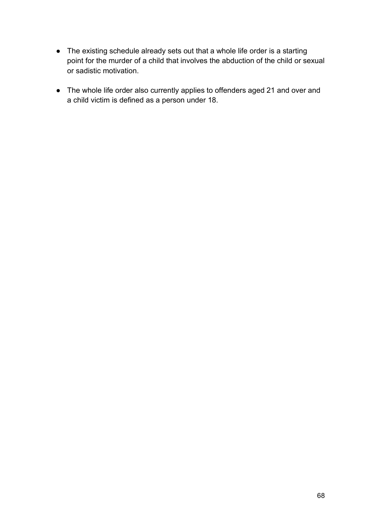- The existing schedule already sets out that a whole life order is a starting point for the murder of a child that involves the abduction of the child or sexual or sadistic motivation.
- The whole life order also currently applies to offenders aged 21 and over and a child victim is defined as a person under 18.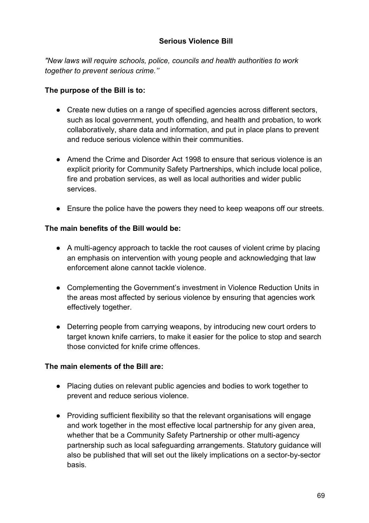## **Serious Violence Bill**

*"New laws will require schools, police, councils and health authorities to work together to prevent serious crime.''*

## **The purpose of the Bill is to:**

- Create new duties on a range of specified agencies across different sectors, such as local government, youth offending, and health and probation, to work collaboratively, share data and information, and put in place plans to prevent and reduce serious violence within their communities.
- Amend the Crime and Disorder Act 1998 to ensure that serious violence is an explicit priority for Community Safety Partnerships, which include local police, fire and probation services, as well as local authorities and wider public services.
- Ensure the police have the powers they need to keep weapons off our streets.

## **The main benefits of the Bill would be:**

- A multi-agency approach to tackle the root causes of violent crime by placing an emphasis on intervention with young people and acknowledging that law enforcement alone cannot tackle violence.
- Complementing the Government's investment in Violence Reduction Units in the areas most affected by serious violence by ensuring that agencies work effectively together.
- Deterring people from carrying weapons, by introducing new court orders to target known knife carriers, to make it easier for the police to stop and search those convicted for knife crime offences.

#### **The main elements of the Bill are:**

- Placing duties on relevant public agencies and bodies to work together to prevent and reduce serious violence.
- Providing sufficient flexibility so that the relevant organisations will engage and work together in the most effective local partnership for any given area, whether that be a Community Safety Partnership or other multi-agency partnership such as local safeguarding arrangements. Statutory guidance will also be published that will set out the likely implications on a sector-by-sector basis.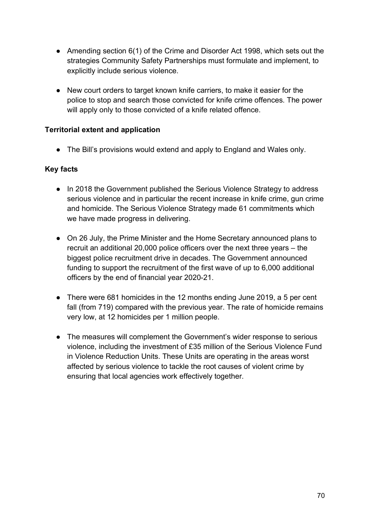- Amending section 6(1) of the Crime and Disorder Act 1998, which sets out the strategies Community Safety Partnerships must formulate and implement, to explicitly include serious violence.
- New court orders to target known knife carriers, to make it easier for the police to stop and search those convicted for knife crime offences. The power will apply only to those convicted of a knife related offence.

### **Territorial extent and application**

● The Bill's provisions would extend and apply to England and Wales only.

- In 2018 the Government published the Serious Violence Strategy to address serious violence and in particular the recent increase in knife crime, gun crime and homicide. The Serious Violence Strategy made 61 commitments which we have made progress in delivering.
- On 26 July, the Prime Minister and the Home Secretary announced plans to recruit an additional 20,000 police officers over the next three years – the biggest police recruitment drive in decades. The Government announced funding to support the recruitment of the first wave of up to 6,000 additional officers by the end of financial year 2020-21.
- There were 681 homicides in the 12 months ending June 2019, a 5 per cent fall (from 719) compared with the previous year. The rate of homicide remains very low, at 12 homicides per 1 million people.
- The measures will complement the Government's wider response to serious violence, including the investment of £35 million of the Serious Violence Fund in Violence Reduction Units. These Units are operating in the areas worst affected by serious violence to tackle the root causes of violent crime by ensuring that local agencies work effectively together.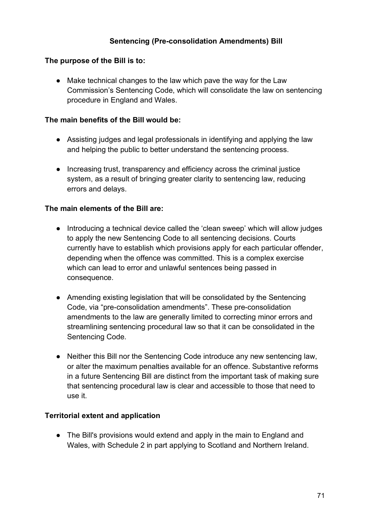## **Sentencing (Pre-consolidation Amendments) Bill**

#### **The purpose of the Bill is to:**

● Make technical changes to the law which pave the way for the Law Commission's Sentencing Code, which will consolidate the law on sentencing procedure in England and Wales.

#### **The main benefits of the Bill would be:**

- Assisting judges and legal professionals in identifying and applying the law and helping the public to better understand the sentencing process.
- Increasing trust, transparency and efficiency across the criminal justice system, as a result of bringing greater clarity to sentencing law, reducing errors and delays.

#### **The main elements of the Bill are:**

- Introducing a technical device called the 'clean sweep' which will allow judges to apply the new Sentencing Code to all sentencing decisions. Courts currently have to establish which provisions apply for each particular offender, depending when the offence was committed. This is a complex exercise which can lead to error and unlawful sentences being passed in consequence.
- Amending existing legislation that will be consolidated by the Sentencing Code, via "pre-consolidation amendments". These pre-consolidation amendments to the law are generally limited to correcting minor errors and streamlining sentencing procedural law so that it can be consolidated in the Sentencing Code.
- Neither this Bill nor the Sentencing Code introduce any new sentencing law, or alter the maximum penalties available for an offence. Substantive reforms in a future Sentencing Bill are distinct from the important task of making sure that sentencing procedural law is clear and accessible to those that need to use it.

#### **Territorial extent and application**

• The Bill's provisions would extend and apply in the main to England and Wales, with Schedule 2 in part applying to Scotland and Northern Ireland.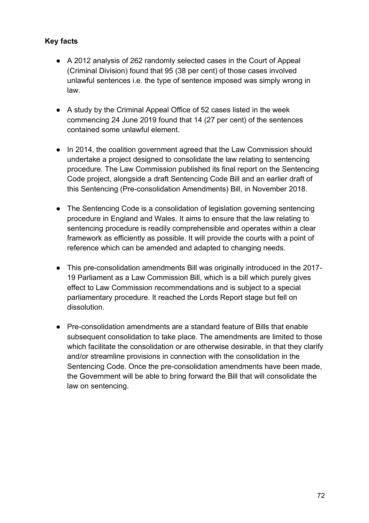- A 2012 analysis of 262 randomly selected cases in the Court of Appeal (Criminal Division) found that 95 (38 per cent) of those cases involved unlawful sentences i.e. the type of sentence imposed was simply wrong in law.
- A study by the Criminal Appeal Office of 52 cases listed in the week commencing 24 June 2019 found that 14 (27 per cent) of the sentences contained some unlawful element.
- In 2014, the coalition government agreed that the Law Commission should undertake a project designed to consolidate the law relating to sentencing procedure. The Law Commission published its final report on the Sentencing Code project, alongside a draft Sentencing Code Bill and an earlier draft of this Sentencing (Pre-consolidation Amendments) Bill, in November 2018.
- The Sentencing Code is a consolidation of legislation governing sentencing procedure in England and Wales. It aims to ensure that the law relating to sentencing procedure is readily comprehensible and operates within a clear framework as efficiently as possible. It will provide the courts with a point of reference which can be amended and adapted to changing needs.
- This pre-consolidation amendments Bill was originally introduced in the 2017- 19 Parliament as a Law Commission Bill, which is a bill which purely gives effect to Law Commission recommendations and is subject to a special parliamentary procedure. It reached the Lords Report stage but fell on dissolution.
- Pre-consolidation amendments are a standard feature of Bills that enable subsequent consolidation to take place. The amendments are limited to those which facilitate the consolidation or are otherwise desirable, in that they clarify and/or streamline provisions in connection with the consolidation in the Sentencing Code. Once the pre-consolidation amendments have been made, the Government will be able to bring forward the Bill that will consolidate the law on sentencing.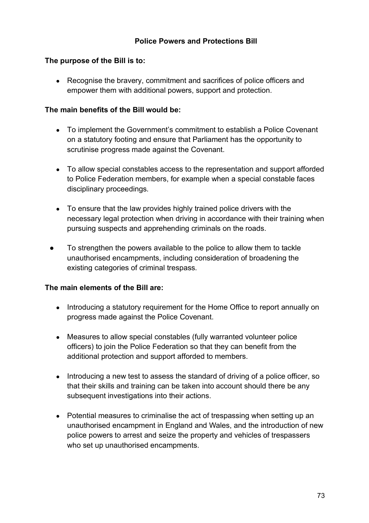## **The purpose of the Bill is to:**

• Recognise the bravery, commitment and sacrifices of police officers and empower them with additional powers, support and protection.

## **The main benefits of the Bill would be:**

- To implement the Government's commitment to establish a Police Covenant on a statutory footing and ensure that Parliament has the opportunity to scrutinise progress made against the Covenant.
- To allow special constables access to the representation and support afforded to Police Federation members, for example when a special constable faces disciplinary proceedings.
- To ensure that the law provides highly trained police drivers with the necessary legal protection when driving in accordance with their training when pursuing suspects and apprehending criminals on the roads.
- To strengthen the powers available to the police to allow them to tackle unauthorised encampments, including consideration of broadening the existing categories of criminal trespass.

## **The main elements of the Bill are:**

- Introducing a statutory requirement for the Home Office to report annually on progress made against the Police Covenant.
- Measures to allow special constables (fully warranted volunteer police officers) to join the Police Federation so that they can benefit from the additional protection and support afforded to members.
- Introducing a new test to assess the standard of driving of a police officer, so that their skills and training can be taken into account should there be any subsequent investigations into their actions.
- Potential measures to criminalise the act of trespassing when setting up an unauthorised encampment in England and Wales, and the introduction of new police powers to arrest and seize the property and vehicles of trespassers who set up unauthorised encampments.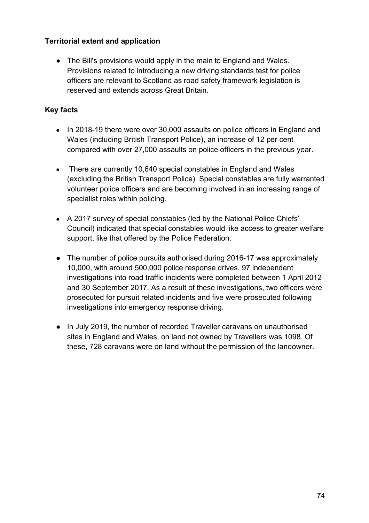## **Territorial extent and application**

• The Bill's provisions would apply in the main to England and Wales. Provisions related to introducing a new driving standards test for police officers are relevant to Scotland as road safety framework legislation is reserved and extends across Great Britain.

- In 2018-19 there were over 30,000 assaults on police officers in England and Wales (including British Transport Police), an increase of 12 per cent compared with over 27,000 assaults on police officers in the previous year.
- There are currently 10,640 special constables in England and Wales (excluding the British Transport Police). Special constables are fully warranted volunteer police officers and are becoming involved in an increasing range of specialist roles within policing.
- A 2017 survey of special constables (led by the National Police Chiefs' Council) indicated that special constables would like access to greater welfare support, like that offered by the Police Federation.
- The number of police pursuits authorised during 2016-17 was approximately 10,000, with around 500,000 police response drives. 97 independent investigations into road traffic incidents were completed between 1 April 2012 and 30 September 2017. As a result of these investigations, two officers were prosecuted for pursuit related incidents and five were prosecuted following investigations into emergency response driving.
- In July 2019, the number of recorded Traveller caravans on unauthorised sites in England and Wales, on land not owned by Travellers was 1098. Of these, 728 caravans were on land without the permission of the landowner.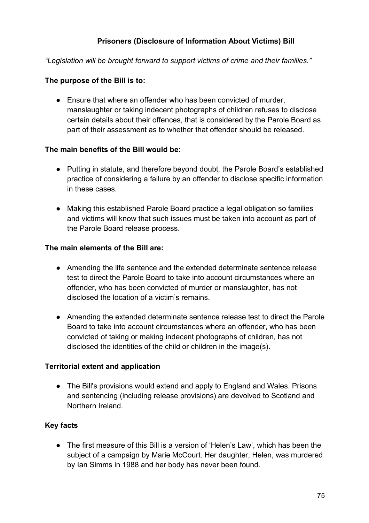# **Prisoners (Disclosure of Information About Victims) Bill**

*"Legislation will be brought forward to support victims of crime and their families."*

### **The purpose of the Bill is to:**

● Ensure that where an offender who has been convicted of murder, manslaughter or taking indecent photographs of children refuses to disclose certain details about their offences, that is considered by the Parole Board as part of their assessment as to whether that offender should be released.

### **The main benefits of the Bill would be:**

- Putting in statute, and therefore beyond doubt, the Parole Board's established practice of considering a failure by an offender to disclose specific information in these cases.
- Making this established Parole Board practice a legal obligation so families and victims will know that such issues must be taken into account as part of the Parole Board release process.

### **The main elements of the Bill are:**

- Amending the life sentence and the extended determinate sentence release test to direct the Parole Board to take into account circumstances where an offender, who has been convicted of murder or manslaughter, has not disclosed the location of a victim's remains.
- Amending the extended determinate sentence release test to direct the Parole Board to take into account circumstances where an offender, who has been convicted of taking or making indecent photographs of children, has not disclosed the identities of the child or children in the image(s).

#### **Territorial extent and application**

• The Bill's provisions would extend and apply to England and Wales. Prisons and sentencing (including release provisions) are devolved to Scotland and Northern Ireland.

## **Key facts**

● The first measure of this Bill is a version of 'Helen's Law', which has been the subject of a campaign by Marie McCourt. Her daughter, Helen, was murdered by Ian Simms in 1988 and her body has never been found.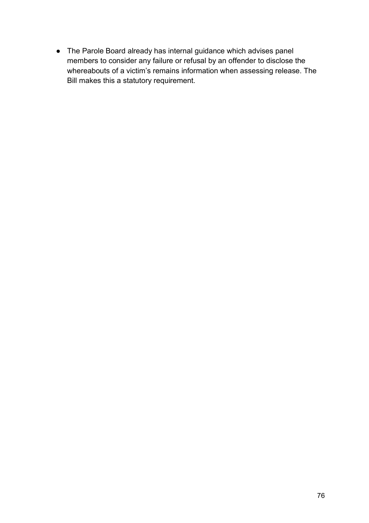● The Parole Board already has internal guidance which advises panel members to consider any failure or refusal by an offender to disclose the whereabouts of a victim's remains information when assessing release. The Bill makes this a statutory requirement.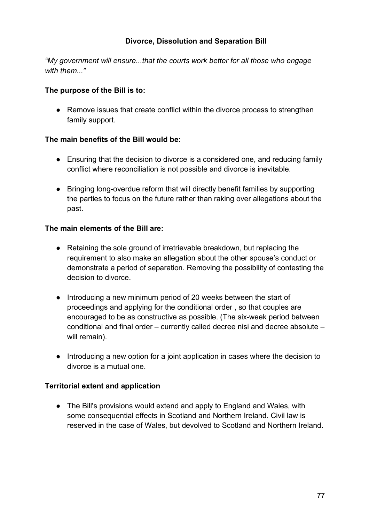## **Divorce, Dissolution and Separation Bill**

*"My government will ensure...that the courts work better for all those who engage with them..."*

## **The purpose of the Bill is to:**

● Remove issues that create conflict within the divorce process to strengthen family support.

### **The main benefits of the Bill would be:**

- Ensuring that the decision to divorce is a considered one, and reducing family conflict where reconciliation is not possible and divorce is inevitable.
- Bringing long-overdue reform that will directly benefit families by supporting the parties to focus on the future rather than raking over allegations about the past.

### **The main elements of the Bill are:**

- Retaining the sole ground of irretrievable breakdown, but replacing the requirement to also make an allegation about the other spouse's conduct or demonstrate a period of separation. Removing the possibility of contesting the decision to divorce.
- Introducing a new minimum period of 20 weeks between the start of proceedings and applying for the conditional order , so that couples are encouraged to be as constructive as possible. (The six-week period between conditional and final order – currently called decree nisi and decree absolute – will remain).
- Introducing a new option for a joint application in cases where the decision to divorce is a mutual one.

#### **Territorial extent and application**

● The Bill's provisions would extend and apply to England and Wales, with some consequential effects in Scotland and Northern Ireland. Civil law is reserved in the case of Wales, but devolved to Scotland and Northern Ireland.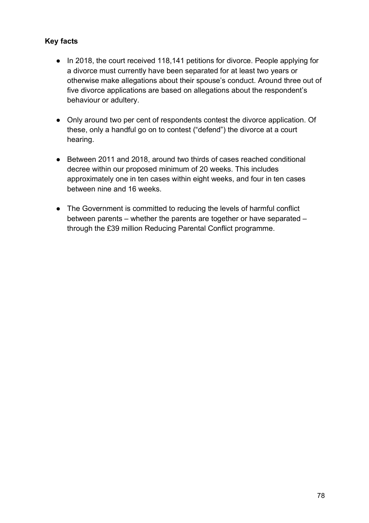- In 2018, the court received 118,141 petitions for divorce. People applying for a divorce must currently have been separated for at least two years or otherwise make allegations about their spouse's conduct. Around three out of five divorce applications are based on allegations about the respondent's behaviour or adultery.
- Only around two per cent of respondents contest the divorce application. Of these, only a handful go on to contest ("defend") the divorce at a court hearing.
- Between 2011 and 2018, around two thirds of cases reached conditional decree within our proposed minimum of 20 weeks. This includes approximately one in ten cases within eight weeks, and four in ten cases between nine and 16 weeks.
- The Government is committed to reducing the levels of harmful conflict between parents – whether the parents are together or have separated – through the £39 million Reducing Parental Conflict programme.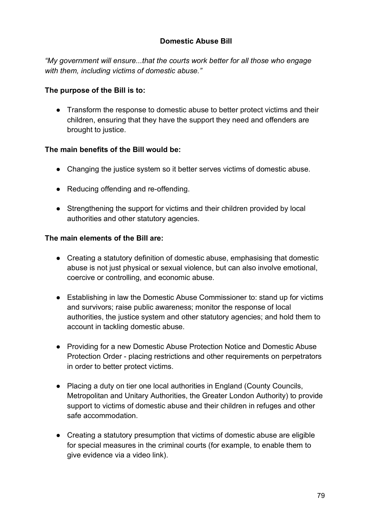### **Domestic Abuse Bill**

*"My government will ensure...that the courts work better for all those who engage with them, including victims of domestic abuse."*

### **The purpose of the Bill is to:**

● Transform the response to domestic abuse to better protect victims and their children, ensuring that they have the support they need and offenders are brought to justice.

### **The main benefits of the Bill would be:**

- Changing the justice system so it better serves victims of domestic abuse.
- Reducing offending and re-offending.
- Strengthening the support for victims and their children provided by local authorities and other statutory agencies.

### **The main elements of the Bill are:**

- Creating a statutory definition of domestic abuse, emphasising that domestic abuse is not just physical or sexual violence, but can also involve emotional, coercive or controlling, and economic abuse.
- Establishing in law the Domestic Abuse Commissioner to: stand up for victims and survivors; raise public awareness; monitor the response of local authorities, the justice system and other statutory agencies; and hold them to account in tackling domestic abuse.
- Providing for a new Domestic Abuse Protection Notice and Domestic Abuse Protection Order - placing restrictions and other requirements on perpetrators in order to better protect victims.
- Placing a duty on tier one local authorities in England (County Councils, Metropolitan and Unitary Authorities, the Greater London Authority) to provide support to victims of domestic abuse and their children in refuges and other safe accommodation.
- Creating a statutory presumption that victims of domestic abuse are eligible for special measures in the criminal courts (for example, to enable them to give evidence via a video link).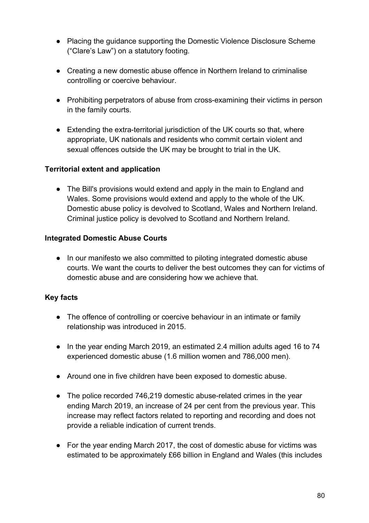- Placing the guidance supporting the Domestic Violence Disclosure Scheme ("Clare's Law") on a statutory footing.
- Creating a new domestic abuse offence in Northern Ireland to criminalise controlling or coercive behaviour.
- Prohibiting perpetrators of abuse from cross-examining their victims in person in the family courts.
- Extending the extra-territorial jurisdiction of the UK courts so that, where appropriate, UK nationals and residents who commit certain violent and sexual offences outside the UK may be brought to trial in the UK.

## **Territorial extent and application**

• The Bill's provisions would extend and apply in the main to England and Wales. Some provisions would extend and apply to the whole of the UK. Domestic abuse policy is devolved to Scotland, Wales and Northern Ireland. Criminal justice policy is devolved to Scotland and Northern Ireland.

## **Integrated Domestic Abuse Courts**

● In our manifesto we also committed to piloting integrated domestic abuse courts. We want the courts to deliver the best outcomes they can for victims of domestic abuse and are considering how we achieve that.

- The offence of controlling or coercive behaviour in an intimate or family relationship was introduced in 2015.
- In the year ending March 2019, an estimated 2.4 million adults aged 16 to 74 experienced domestic abuse (1.6 million women and 786,000 men).
- Around one in five children have been exposed to domestic abuse.
- The police recorded 746,219 domestic abuse-related crimes in the year ending March 2019, an increase of 24 per cent from the previous year. This increase may reflect factors related to reporting and recording and does not provide a reliable indication of current trends.
- For the year ending March 2017, the cost of domestic abuse for victims was estimated to be approximately £66 billion in England and Wales (this includes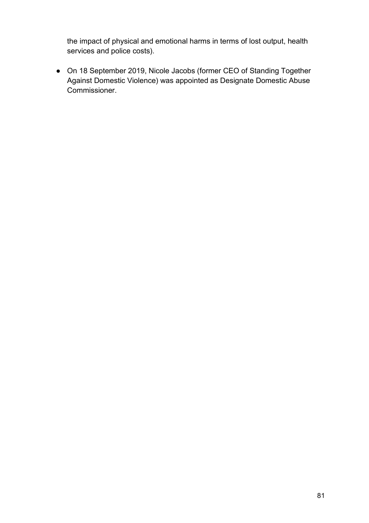the impact of physical and emotional harms in terms of lost output, health services and police costs).

● On 18 September 2019, Nicole Jacobs (former CEO of Standing Together Against Domestic Violence) was appointed as Designate Domestic Abuse Commissioner.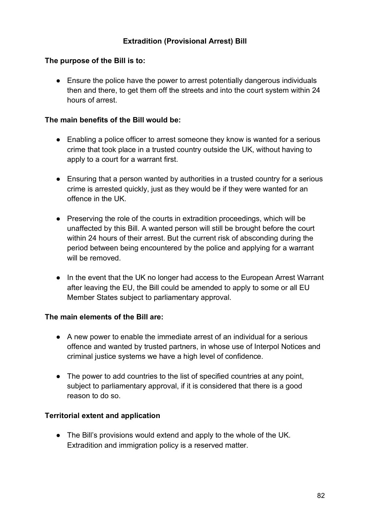# **Extradition (Provisional Arrest) Bill**

### **The purpose of the Bill is to:**

● Ensure the police have the power to arrest potentially dangerous individuals then and there, to get them off the streets and into the court system within 24 hours of arrest.

### **The main benefits of the Bill would be:**

- Enabling a police officer to arrest someone they know is wanted for a serious crime that took place in a trusted country outside the UK, without having to apply to a court for a warrant first.
- Ensuring that a person wanted by authorities in a trusted country for a serious crime is arrested quickly, just as they would be if they were wanted for an offence in the UK.
- Preserving the role of the courts in extradition proceedings, which will be unaffected by this Bill. A wanted person will still be brought before the court within 24 hours of their arrest. But the current risk of absconding during the period between being encountered by the police and applying for a warrant will be removed.
- In the event that the UK no longer had access to the European Arrest Warrant after leaving the EU, the Bill could be amended to apply to some or all EU Member States subject to parliamentary approval.

#### **The main elements of the Bill are:**

- A new power to enable the immediate arrest of an individual for a serious offence and wanted by trusted partners, in whose use of Interpol Notices and criminal justice systems we have a high level of confidence.
- The power to add countries to the list of specified countries at any point, subject to parliamentary approval, if it is considered that there is a good reason to do so.

#### **Territorial extent and application**

• The Bill's provisions would extend and apply to the whole of the UK. Extradition and immigration policy is a reserved matter.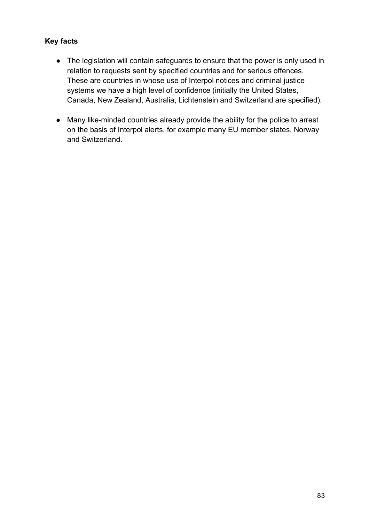- The legislation will contain safeguards to ensure that the power is only used in relation to requests sent by specified countries and for serious offences. These are countries in whose use of Interpol notices and criminal justice systems we have a high level of confidence (initially the United States, Canada, New Zealand, Australia, Lichtenstein and Switzerland are specified).
- Many like-minded countries already provide the ability for the police to arrest on the basis of Interpol alerts, for example many EU member states, Norway and Switzerland.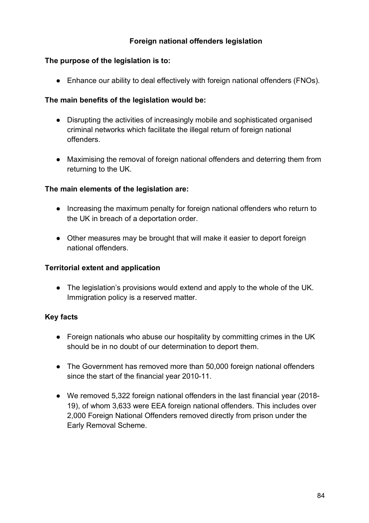# **Foreign national offenders legislation**

### **The purpose of the legislation is to:**

● Enhance our ability to deal effectively with foreign national offenders (FNOs).

### **The main benefits of the legislation would be:**

- Disrupting the activities of increasingly mobile and sophisticated organised criminal networks which facilitate the illegal return of foreign national offenders.
- Maximising the removal of foreign national offenders and deterring them from returning to the UK.

#### **The main elements of the legislation are:**

- Increasing the maximum penalty for foreign national offenders who return to the UK in breach of a deportation order.
- Other measures may be brought that will make it easier to deport foreign national offenders.

#### **Territorial extent and application**

● The legislation's provisions would extend and apply to the whole of the UK. Immigration policy is a reserved matter.

- Foreign nationals who abuse our hospitality by committing crimes in the UK should be in no doubt of our determination to deport them.
- The Government has removed more than 50,000 foreign national offenders since the start of the financial year 2010-11.
- We removed 5,322 foreign national offenders in the last financial year (2018-19), of whom 3,633 were EEA foreign national offenders. This includes over 2,000 Foreign National Offenders removed directly from prison under the Early Removal Scheme.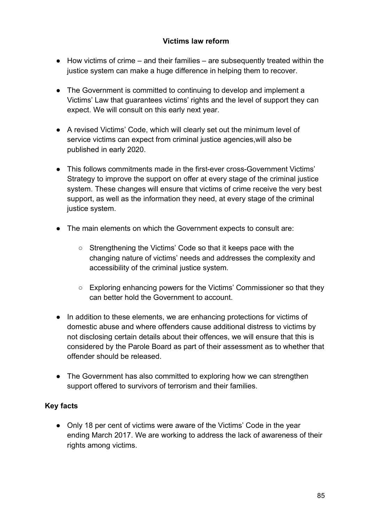## **Victims law reform**

- $\bullet$  How victims of crime and their families are subsequently treated within the justice system can make a huge difference in helping them to recover.
- The Government is committed to continuing to develop and implement a Victims' Law that guarantees victims' rights and the level of support they can expect. We will consult on this early next year.
- A revised Victims' Code, which will clearly set out the minimum level of service victims can expect from criminal justice agencies,will also be published in early 2020.
- This follows commitments made in the first-ever cross-Government Victims' Strategy to improve the support on offer at every stage of the criminal justice system. These changes will ensure that victims of crime receive the very best support, as well as the information they need, at every stage of the criminal justice system.
- The main elements on which the Government expects to consult are:
	- Strengthening the Victims' Code so that it keeps pace with the changing nature of victims' needs and addresses the complexity and accessibility of the criminal justice system.
	- Exploring enhancing powers for the Victims' Commissioner so that they can better hold the Government to account.
- In addition to these elements, we are enhancing protections for victims of domestic abuse and where offenders cause additional distress to victims by not disclosing certain details about their offences, we will ensure that this is considered by the Parole Board as part of their assessment as to whether that offender should be released.
- The Government has also committed to exploring how we can strengthen support offered to survivors of terrorism and their families.

## **Key facts**

• Only 18 per cent of victims were aware of the Victims' Code in the year ending March 2017. We are working to address the lack of awareness of their rights among victims.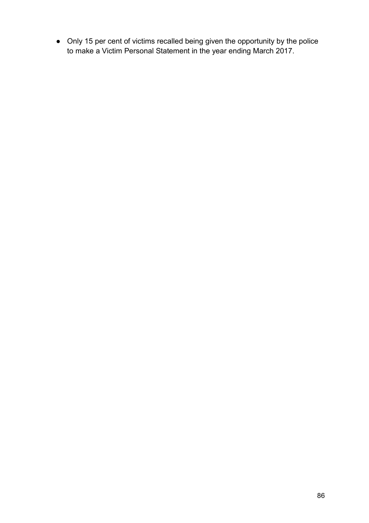● Only 15 per cent of victims recalled being given the opportunity by the police to make a Victim Personal Statement in the year ending March 2017.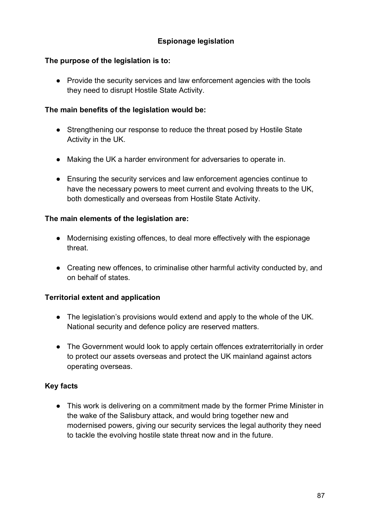## **Espionage legislation**

### **The purpose of the legislation is to:**

● Provide the security services and law enforcement agencies with the tools they need to disrupt Hostile State Activity.

#### **The main benefits of the legislation would be:**

- Strengthening our response to reduce the threat posed by Hostile State Activity in the UK.
- Making the UK a harder environment for adversaries to operate in.
- Ensuring the security services and law enforcement agencies continue to have the necessary powers to meet current and evolving threats to the UK, both domestically and overseas from Hostile State Activity.

### **The main elements of the legislation are:**

- Modernising existing offences, to deal more effectively with the espionage threat.
- Creating new offences, to criminalise other harmful activity conducted by, and on behalf of states.

## **Territorial extent and application**

- The legislation's provisions would extend and apply to the whole of the UK. National security and defence policy are reserved matters.
- The Government would look to apply certain offences extraterritorially in order to protect our assets overseas and protect the UK mainland against actors operating overseas.

## **Key facts**

● This work is delivering on a commitment made by the former Prime Minister in the wake of the Salisbury attack, and would bring together new and modernised powers, giving our security services the legal authority they need to tackle the evolving hostile state threat now and in the future.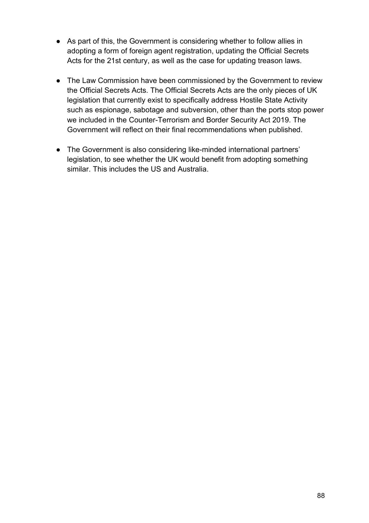- As part of this, the Government is considering whether to follow allies in adopting a form of foreign agent registration, updating the Official Secrets Acts for the 21st century, as well as the case for updating treason laws.
- The Law Commission have been commissioned by the Government to review the Official Secrets Acts. The Official Secrets Acts are the only pieces of UK legislation that currently exist to specifically address Hostile State Activity such as espionage, sabotage and subversion, other than the ports stop power we included in the Counter-Terrorism and Border Security Act 2019. The Government will reflect on their final recommendations when published.
- The Government is also considering like-minded international partners' legislation, to see whether the UK would benefit from adopting something similar. This includes the US and Australia.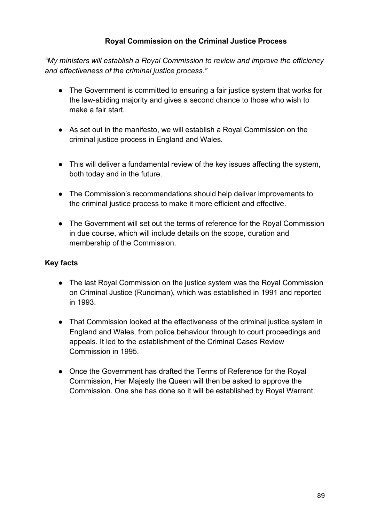## **Royal Commission on the Criminal Justice Process**

*"My ministers will establish a Royal Commission to review and improve the efficiency and effectiveness of the criminal justice process."*

- The Government is committed to ensuring a fair justice system that works for the law-abiding majority and gives a second chance to those who wish to make a fair start.
- As set out in the manifesto, we will establish a Royal Commission on the criminal justice process in England and Wales.
- This will deliver a fundamental review of the key issues affecting the system, both today and in the future.
- The Commission's recommendations should help deliver improvements to the criminal justice process to make it more efficient and effective.
- The Government will set out the terms of reference for the Royal Commission in due course, which will include details on the scope, duration and membership of the Commission.

- The last Royal Commission on the justice system was the Royal Commission on Criminal Justice (Runciman), which was established in 1991 and reported in 1993.
- That Commission looked at the effectiveness of the criminal justice system in England and Wales, from police behaviour through to court proceedings and appeals. It led to the establishment of the Criminal Cases Review Commission in 1995.
- Once the Government has drafted the Terms of Reference for the Royal Commission, Her Majesty the Queen will then be asked to approve the Commission. One she has done so it will be established by Royal Warrant.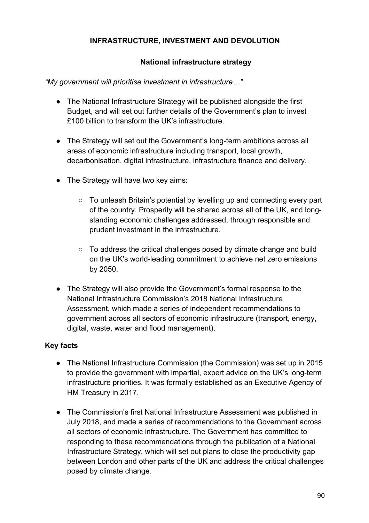# **INFRASTRUCTURE, INVESTMENT AND DEVOLUTION**

## **National infrastructure strategy**

*"My government will prioritise investment in infrastructure…"*

- The National Infrastructure Strategy will be published alongside the first Budget, and will set out further details of the Government's plan to invest £100 billion to transform the UK's infrastructure.
- The Strategy will set out the Government's long-term ambitions across all areas of economic infrastructure including transport, local growth, decarbonisation, digital infrastructure, infrastructure finance and delivery.
- The Strategy will have two key aims:
	- To unleash Britain's potential by levelling up and connecting every part of the country. Prosperity will be shared across all of the UK, and longstanding economic challenges addressed, through responsible and prudent investment in the infrastructure.
	- To address the critical challenges posed by climate change and build on the UK's world-leading commitment to achieve net zero emissions by 2050.
- The Strategy will also provide the Government's formal response to the National Infrastructure Commission's 2018 National Infrastructure Assessment, which made a series of independent recommendations to government across all sectors of economic infrastructure (transport, energy, digital, waste, water and flood management).

- The National Infrastructure Commission (the Commission) was set up in 2015 to provide the government with impartial, expert advice on the UK's long-term infrastructure priorities. It was formally established as an Executive Agency of HM Treasury in 2017.
- The Commission's first National Infrastructure Assessment was published in July 2018, and made a series of recommendations to the Government across all sectors of economic infrastructure. The Government has committed to responding to these recommendations through the publication of a National Infrastructure Strategy, which will set out plans to close the productivity gap between London and other parts of the UK and address the critical challenges posed by climate change.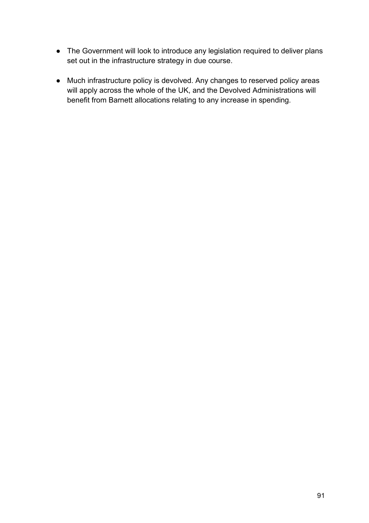- The Government will look to introduce any legislation required to deliver plans set out in the infrastructure strategy in due course.
- Much infrastructure policy is devolved. Any changes to reserved policy areas will apply across the whole of the UK, and the Devolved Administrations will benefit from Barnett allocations relating to any increase in spending.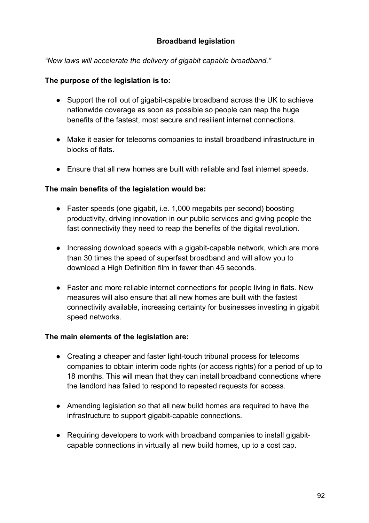## **Broadband legislation**

*"New laws will accelerate the delivery of gigabit capable broadband."*

## **The purpose of the legislation is to:**

- Support the roll out of gigabit-capable broadband across the UK to achieve nationwide coverage as soon as possible so people can reap the huge benefits of the fastest, most secure and resilient internet connections.
- Make it easier for telecoms companies to install broadband infrastructure in blocks of flats.
- Ensure that all new homes are built with reliable and fast internet speeds.

### **The main benefits of the legislation would be:**

- Faster speeds (one gigabit, i.e. 1,000 megabits per second) boosting productivity, driving innovation in our public services and giving people the fast connectivity they need to reap the benefits of the digital revolution.
- Increasing download speeds with a gigabit-capable network, which are more than 30 times the speed of superfast broadband and will allow you to download a High Definition film in fewer than 45 seconds.
- Faster and more reliable internet connections for people living in flats. New measures will also ensure that all new homes are built with the fastest connectivity available, increasing certainty for businesses investing in gigabit speed networks.

## **The main elements of the legislation are:**

- Creating a cheaper and faster light-touch tribunal process for telecoms companies to obtain interim code rights (or access rights) for a period of up to 18 months. This will mean that they can install broadband connections where the landlord has failed to respond to repeated requests for access.
- Amending legislation so that all new build homes are required to have the infrastructure to support gigabit-capable connections.
- Requiring developers to work with broadband companies to install gigabitcapable connections in virtually all new build homes, up to a cost cap.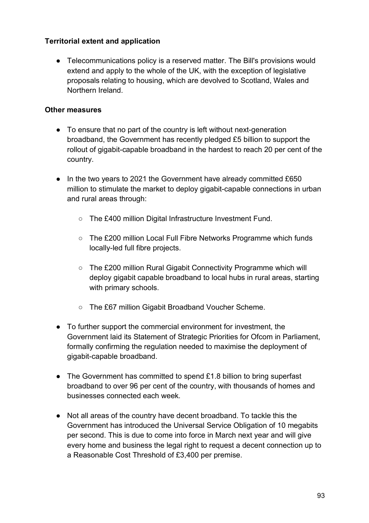## **Territorial extent and application**

● Telecommunications policy is a reserved matter. The Bill's provisions would extend and apply to the whole of the UK, with the exception of legislative proposals relating to housing, which are devolved to Scotland, Wales and Northern Ireland.

### **Other measures**

- To ensure that no part of the country is left without next-generation broadband, the Government has recently pledged £5 billion to support the rollout of gigabit-capable broadband in the hardest to reach 20 per cent of the country.
- In the two years to 2021 the Government have already committed £650 million to stimulate the market to deploy gigabit-capable connections in urban and rural areas through:
	- The £400 million Digital Infrastructure Investment Fund.
	- The £200 million Local Full Fibre Networks Programme which funds locally-led full fibre projects.
	- The £200 million Rural Gigabit Connectivity Programme which will deploy gigabit capable broadband to local hubs in rural areas, starting with primary schools.
	- The £67 million Gigabit Broadband Voucher Scheme.
- To further support the commercial environment for investment, the Government laid its Statement of Strategic Priorities for Ofcom in Parliament, formally confirming the regulation needed to maximise the deployment of gigabit-capable broadband.
- The Government has committed to spend £1.8 billion to bring superfast broadband to over 96 per cent of the country, with thousands of homes and businesses connected each week.
- Not all areas of the country have decent broadband. To tackle this the Government has introduced the Universal Service Obligation of 10 megabits per second. This is due to come into force in March next year and will give every home and business the legal right to request a decent connection up to a Reasonable Cost Threshold of £3,400 per premise.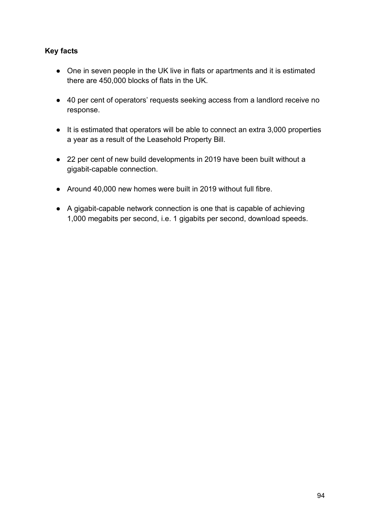- One in seven people in the UK live in flats or apartments and it is estimated there are 450,000 blocks of flats in the UK.
- 40 per cent of operators' requests seeking access from a landlord receive no response.
- It is estimated that operators will be able to connect an extra 3,000 properties a year as a result of the Leasehold Property Bill.
- 22 per cent of new build developments in 2019 have been built without a gigabit-capable connection.
- Around 40,000 new homes were built in 2019 without full fibre.
- A gigabit-capable network connection is one that is capable of achieving 1,000 megabits per second, i.e. 1 gigabits per second, download speeds.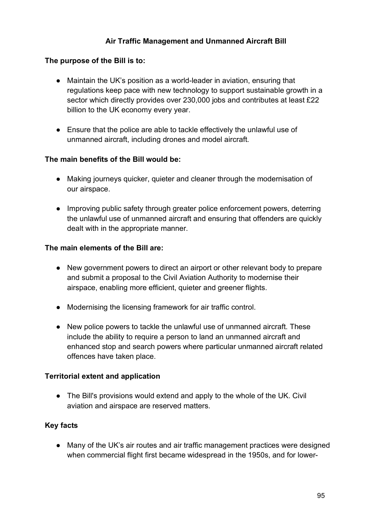# **Air Traffic Management and Unmanned Aircraft Bill**

### **The purpose of the Bill is to:**

- Maintain the UK's position as a world-leader in aviation, ensuring that regulations keep pace with new technology to support sustainable growth in a sector which directly provides over 230,000 jobs and contributes at least £22 billion to the UK economy every year.
- Ensure that the police are able to tackle effectively the unlawful use of unmanned aircraft, including drones and model aircraft.

### **The main benefits of the Bill would be:**

- Making journeys quicker, quieter and cleaner through the modernisation of our airspace.
- Improving public safety through greater police enforcement powers, deterring the unlawful use of unmanned aircraft and ensuring that offenders are quickly dealt with in the appropriate manner.

### **The main elements of the Bill are:**

- New government powers to direct an airport or other relevant body to prepare and submit a proposal to the Civil Aviation Authority to modernise their airspace, enabling more efficient, quieter and greener flights.
- Modernising the licensing framework for air traffic control.
- New police powers to tackle the unlawful use of unmanned aircraft. These include the ability to require a person to land an unmanned aircraft and enhanced stop and search powers where particular unmanned aircraft related offences have taken place.

#### **Territorial extent and application**

● The Bill's provisions would extend and apply to the whole of the UK. Civil aviation and airspace are reserved matters.

## **Key facts**

● Many of the UK's air routes and air traffic management practices were designed when commercial flight first became widespread in the 1950s, and for lower-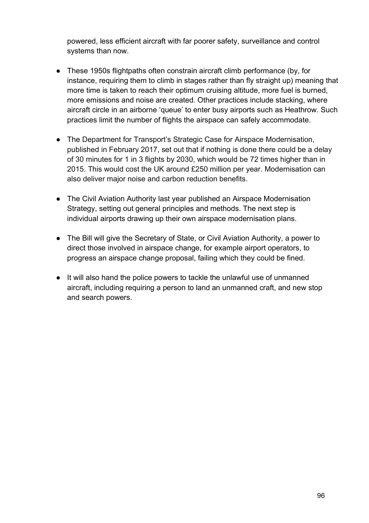powered, less efficient aircraft with far poorer safety, surveillance and control systems than now.

- These 1950s flightpaths often constrain aircraft climb performance (by, for instance, requiring them to climb in stages rather than fly straight up) meaning that more time is taken to reach their optimum cruising altitude, more fuel is burned, more emissions and noise are created. Other practices include stacking, where aircraft circle in an airborne 'queue' to enter busy airports such as Heathrow. Such practices limit the number of flights the airspace can safely accommodate.
- The Department for Transport's Strategic Case for Airspace Modernisation, published in February 2017, set out that if nothing is done there could be a delay of 30 minutes for 1 in 3 flights by 2030, which would be 72 times higher than in 2015. This would cost the UK around £250 million per year. Modernisation can also deliver major noise and carbon reduction benefits.
- The Civil Aviation Authority last year published an Airspace Modernisation Strategy, setting out general principles and methods. The next step is individual airports drawing up their own airspace modernisation plans.
- The Bill will give the Secretary of State, or Civil Aviation Authority, a power to direct those involved in airspace change, for example airport operators, to progress an airspace change proposal, failing which they could be fined.
- It will also hand the police powers to tackle the unlawful use of unmanned aircraft, including requiring a person to land an unmanned craft, and new stop and search powers.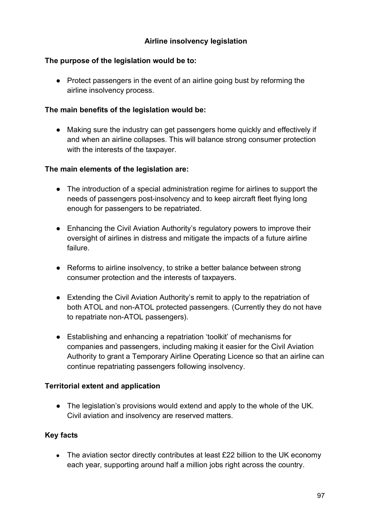## **Airline insolvency legislation**

### **The purpose of the legislation would be to:**

● Protect passengers in the event of an airline going bust by reforming the airline insolvency process.

### **The main benefits of the legislation would be:**

● Making sure the industry can get passengers home quickly and effectively if and when an airline collapses. This will balance strong consumer protection with the interests of the taxpayer.

### **The main elements of the legislation are:**

- The introduction of a special administration regime for airlines to support the needs of passengers post-insolvency and to keep aircraft fleet flying long enough for passengers to be repatriated.
- Enhancing the Civil Aviation Authority's regulatory powers to improve their oversight of airlines in distress and mitigate the impacts of a future airline failure.
- Reforms to airline insolvency, to strike a better balance between strong consumer protection and the interests of taxpayers.
- Extending the Civil Aviation Authority's remit to apply to the repatriation of both ATOL and non-ATOL protected passengers. (Currently they do not have to repatriate non-ATOL passengers).
- Establishing and enhancing a repatriation 'toolkit' of mechanisms for companies and passengers, including making it easier for the Civil Aviation Authority to grant a Temporary Airline Operating Licence so that an airline can continue repatriating passengers following insolvency.

## **Territorial extent and application**

● The legislation's provisions would extend and apply to the whole of the UK. Civil aviation and insolvency are reserved matters.

## **Key facts**

• The aviation sector directly contributes at least £22 billion to the UK economy each year, supporting around half a million jobs right across the country.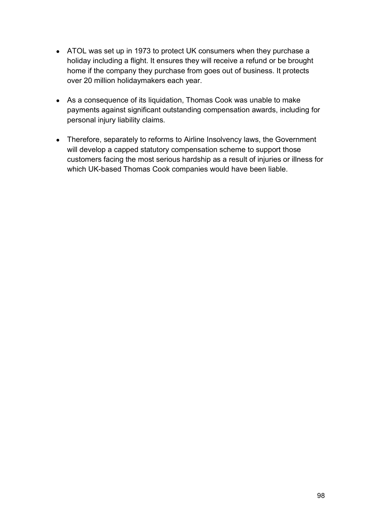- ATOL was set up in 1973 to protect UK consumers when they purchase a holiday including a flight. It ensures they will receive a refund or be brought home if the company they purchase from goes out of business. It protects over 20 million holidaymakers each year.
- As a consequence of its liquidation, Thomas Cook was unable to make payments against significant outstanding compensation awards, including for personal injury liability claims.
- Therefore, separately to reforms to Airline Insolvency laws, the Government will develop a capped statutory compensation scheme to support those customers facing the most serious hardship as a result of injuries or illness for which UK-based Thomas Cook companies would have been liable.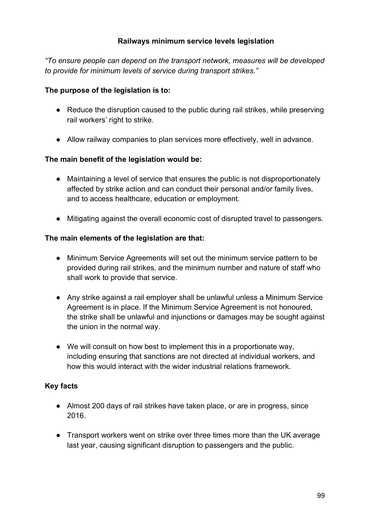## **Railways minimum service levels legislation**

*"To ensure people can depend on the transport network, measures will be developed to provide for minimum levels of service during transport strikes."*

## **The purpose of the legislation is to:**

- Reduce the disruption caused to the public during rail strikes, while preserving rail workers' right to strike.
- Allow railway companies to plan services more effectively, well in advance.

## **The main benefit of the legislation would be:**

- Maintaining a level of service that ensures the public is not disproportionately affected by strike action and can conduct their personal and/or family lives, and to access healthcare, education or employment.
- Mitigating against the overall economic cost of disrupted travel to passengers.

## **The main elements of the legislation are that:**

- Minimum Service Agreements will set out the minimum service pattern to be provided during rail strikes, and the minimum number and nature of staff who shall work to provide that service.
- Any strike against a rail employer shall be unlawful unless a Minimum Service Agreement is in place. If the Minimum Service Agreement is not honoured, the strike shall be unlawful and injunctions or damages may be sought against the union in the normal way.
- We will consult on how best to implement this in a proportionate way, including ensuring that sanctions are not directed at individual workers, and how this would interact with the wider industrial relations framework.

- Almost 200 days of rail strikes have taken place, or are in progress, since 2016.
- Transport workers went on strike over three times more than the UK average last year, causing significant disruption to passengers and the public.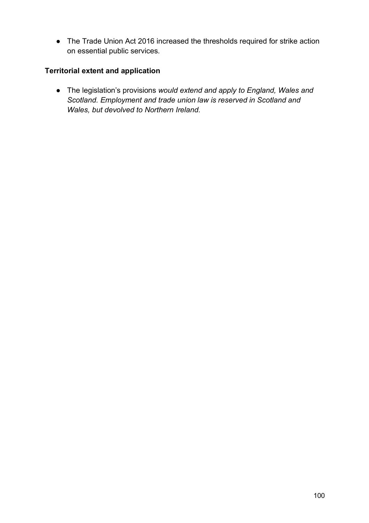● The Trade Union Act 2016 increased the thresholds required for strike action on essential public services.

## **Territorial extent and application**

● The legislation's provisions *would extend and apply to England, Wales and Scotland. Employment and trade union law is reserved in Scotland and Wales, but devolved to Northern Ireland.*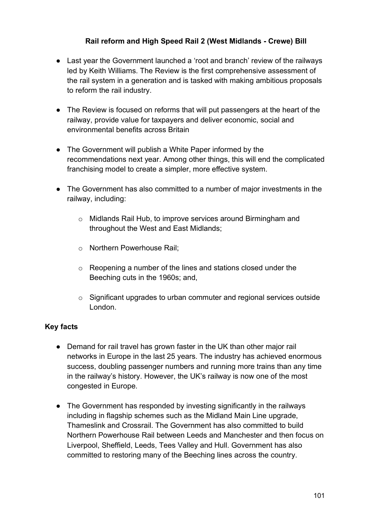# **Rail reform and High Speed Rail 2 (West Midlands - Crewe) Bill**

- Last year the Government launched a 'root and branch' review of the railways led by Keith Williams. The Review is the first comprehensive assessment of the rail system in a generation and is tasked with making ambitious proposals to reform the rail industry.
- The Review is focused on reforms that will put passengers at the heart of the railway, provide value for taxpayers and deliver economic, social and environmental benefits across Britain
- The Government will publish a White Paper informed by the recommendations next year. Among other things, this will end the complicated franchising model to create a simpler, more effective system.
- The Government has also committed to a number of major investments in the railway, including:
	- o Midlands Rail Hub, to improve services around Birmingham and throughout the West and East Midlands;
	- o Northern Powerhouse Rail;
	- o Reopening a number of the lines and stations closed under the Beeching cuts in the 1960s; and,
	- o Significant upgrades to urban commuter and regional services outside London.

- Demand for rail travel has grown faster in the UK than other major rail networks in Europe in the last 25 years. The industry has achieved enormous success, doubling passenger numbers and running more trains than any time in the railway's history. However, the UK's railway is now one of the most congested in Europe.
- The Government has responded by investing significantly in the railways including in flagship schemes such as the Midland Main Line upgrade, Thameslink and Crossrail. The Government has also committed to build Northern Powerhouse Rail between Leeds and Manchester and then focus on Liverpool, Sheffield, Leeds, Tees Valley and Hull. Government has also committed to restoring many of the Beeching lines across the country.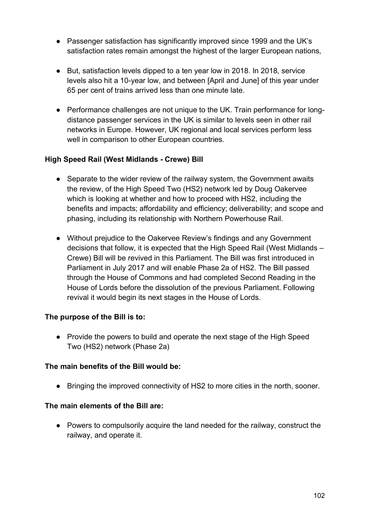- Passenger satisfaction has significantly improved since 1999 and the UK's satisfaction rates remain amongst the highest of the larger European nations,
- But, satisfaction levels dipped to a ten year low in 2018. In 2018, service levels also hit a 10-year low, and between [April and June] of this year under 65 per cent of trains arrived less than one minute late.
- Performance challenges are not unique to the UK. Train performance for longdistance passenger services in the UK is similar to levels seen in other rail networks in Europe. However, UK regional and local services perform less well in comparison to other European countries.

## **High Speed Rail (West Midlands - Crewe) Bill**

- Separate to the wider review of the railway system, the Government awaits the review, of the High Speed Two (HS2) network led by Doug Oakervee which is looking at whether and how to proceed with HS2, including the benefits and impacts; affordability and efficiency; deliverability; and scope and phasing, including its relationship with Northern Powerhouse Rail.
- Without prejudice to the Oakervee Review's findings and any Government decisions that follow, it is expected that the High Speed Rail (West Midlands – Crewe) Bill will be revived in this Parliament. The Bill was first introduced in Parliament in July 2017 and will enable Phase 2a of HS2. The Bill passed through the House of Commons and had completed Second Reading in the House of Lords before the dissolution of the previous Parliament. Following revival it would begin its next stages in the House of Lords.

## **The purpose of the Bill is to:**

● Provide the powers to build and operate the next stage of the High Speed Two (HS2) network (Phase 2a)

## **The main benefits of the Bill would be:**

● Bringing the improved connectivity of HS2 to more cities in the north, sooner.

## **The main elements of the Bill are:**

● Powers to compulsorily acquire the land needed for the railway, construct the railway, and operate it.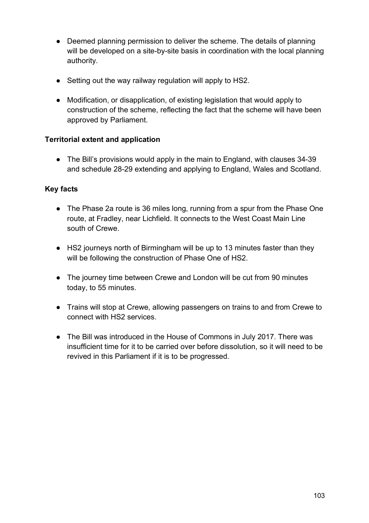- Deemed planning permission to deliver the scheme. The details of planning will be developed on a site-by-site basis in coordination with the local planning authority.
- Setting out the way railway regulation will apply to HS2.
- Modification, or disapplication, of existing legislation that would apply to construction of the scheme, reflecting the fact that the scheme will have been approved by Parliament.

## **Territorial extent and application**

● The Bill's provisions would apply in the main to England, with clauses 34-39 and schedule 28-29 extending and applying to England, Wales and Scotland.

- The Phase 2a route is 36 miles long, running from a spur from the Phase One route, at Fradley, near Lichfield. It connects to the West Coast Main Line south of Crewe.
- HS2 journeys north of Birmingham will be up to 13 minutes faster than they will be following the construction of Phase One of HS2.
- The journey time between Crewe and London will be cut from 90 minutes today, to 55 minutes.
- Trains will stop at Crewe, allowing passengers on trains to and from Crewe to connect with HS2 services.
- The Bill was introduced in the House of Commons in July 2017. There was insufficient time for it to be carried over before dissolution, so it will need to be revived in this Parliament if it is to be progressed.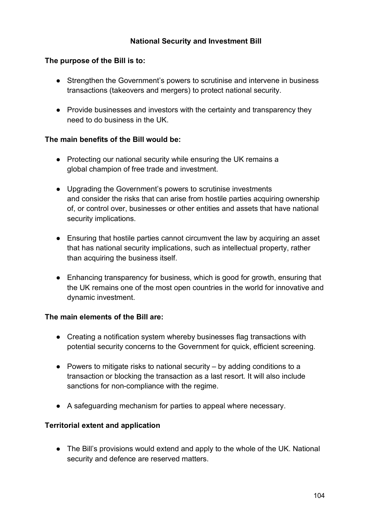## **National Security and Investment Bill**

## **The purpose of the Bill is to:**

- Strengthen the Government's powers to scrutinise and intervene in business transactions (takeovers and mergers) to protect national security.
- Provide businesses and investors with the certainty and transparency they need to do business in the UK.

### **The main benefits of the Bill would be:**

- Protecting our national security while ensuring the UK remains a global champion of free trade and investment.
- Upgrading the Government's powers to scrutinise investments and consider the risks that can arise from hostile parties acquiring ownership of, or control over, businesses or other entities and assets that have national security implications.
- Ensuring that hostile parties cannot circumvent the law by acquiring an asset that has national security implications, such as intellectual property, rather than acquiring the business itself.
- Enhancing transparency for business, which is good for growth, ensuring that the UK remains one of the most open countries in the world for innovative and dynamic investment.

#### **The main elements of the Bill are:**

- Creating a notification system whereby businesses flag transactions with potential security concerns to the Government for quick, efficient screening.
- $\bullet$  Powers to mitigate risks to national security by adding conditions to a transaction or blocking the transaction as a last resort. It will also include sanctions for non-compliance with the regime.
- A safeguarding mechanism for parties to appeal where necessary.

#### **Territorial extent and application**

• The Bill's provisions would extend and apply to the whole of the UK. National security and defence are reserved matters.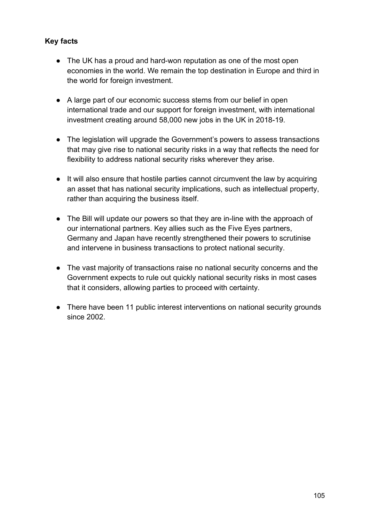- The UK has a proud and hard-won reputation as one of the most open economies in the world. We remain the top destination in Europe and third in the world for foreign investment.
- A large part of our economic success stems from our belief in open international trade and our support for foreign investment, with international investment creating around 58,000 new jobs in the UK in 2018-19.
- The legislation will upgrade the Government's powers to assess transactions that may give rise to national security risks in a way that reflects the need for flexibility to address national security risks wherever they arise.
- It will also ensure that hostile parties cannot circumvent the law by acquiring an asset that has national security implications, such as intellectual property, rather than acquiring the business itself.
- The Bill will update our powers so that they are in-line with the approach of our international partners. Key allies such as the Five Eyes partners, Germany and Japan have recently strengthened their powers to scrutinise and intervene in business transactions to protect national security.
- The vast majority of transactions raise no national security concerns and the Government expects to rule out quickly national security risks in most cases that it considers, allowing parties to proceed with certainty.
- There have been 11 public interest interventions on national security grounds since 2002.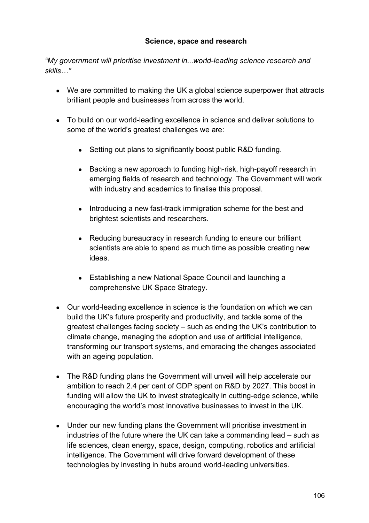#### **Science, space and research**

*"My government will prioritise investment in...world-leading science research and skills…"*

- We are committed to making the UK a global science superpower that attracts brilliant people and businesses from across the world.
- To build on our world-leading excellence in science and deliver solutions to some of the world's greatest challenges we are:
	- Setting out plans to significantly boost public R&D funding.
	- Backing a new approach to funding high-risk, high-payoff research in emerging fields of research and technology. The Government will work with industry and academics to finalise this proposal.
	- Introducing a new fast-track immigration scheme for the best and brightest scientists and researchers.
	- Reducing bureaucracy in research funding to ensure our brilliant scientists are able to spend as much time as possible creating new ideas.
	- Establishing a new National Space Council and launching a comprehensive UK Space Strategy.
- Our world-leading excellence in science is the foundation on which we can build the UK's future prosperity and productivity, and tackle some of the greatest challenges facing society – such as ending the UK's contribution to climate change, managing the adoption and use of artificial intelligence, transforming our transport systems, and embracing the changes associated with an ageing population.
- The R&D funding plans the Government will unveil will help accelerate our ambition to reach 2.4 per cent of GDP spent on R&D by 2027. This boost in funding will allow the UK to invest strategically in cutting-edge science, while encouraging the world's most innovative businesses to invest in the UK.
- Under our new funding plans the Government will prioritise investment in industries of the future where the UK can take a commanding lead – such as life sciences, clean energy, space, design, computing, robotics and artificial intelligence. The Government will drive forward development of these technologies by investing in hubs around world-leading universities.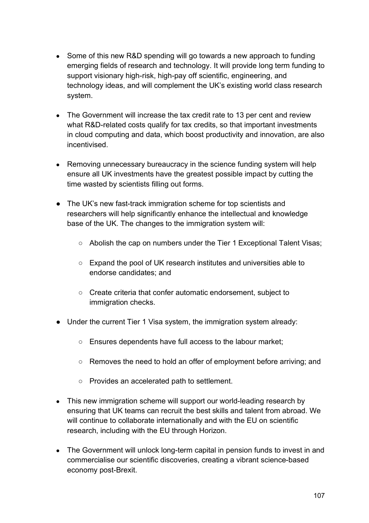- Some of this new R&D spending will go towards a new approach to funding emerging fields of research and technology. It will provide long term funding to support visionary high-risk, high-pay off scientific, engineering, and technology ideas, and will complement the UK's existing world class research system.
- The Government will increase the tax credit rate to 13 per cent and review what R&D-related costs qualify for tax credits, so that important investments in cloud computing and data, which boost productivity and innovation, are also incentivised.
- Removing unnecessary bureaucracy in the science funding system will help ensure all UK investments have the greatest possible impact by cutting the time wasted by scientists filling out forms.
- The UK's new fast-track immigration scheme for top scientists and researchers will help significantly enhance the intellectual and knowledge base of the UK. The changes to the immigration system will:
	- Abolish the cap on numbers under the Tier 1 Exceptional Talent Visas;
	- Expand the pool of UK research institutes and universities able to endorse candidates; and
	- Create criteria that confer automatic endorsement, subject to immigration checks.
- Under the current Tier 1 Visa system, the immigration system already:
	- Ensures dependents have full access to the labour market;
	- Removes the need to hold an offer of employment before arriving; and
	- Provides an accelerated path to settlement.
- This new immigration scheme will support our world-leading research by ensuring that UK teams can recruit the best skills and talent from abroad. We will continue to collaborate internationally and with the EU on scientific research, including with the EU through Horizon.
- The Government will unlock long-term capital in pension funds to invest in and commercialise our scientific discoveries, creating a vibrant science-based economy post-Brexit.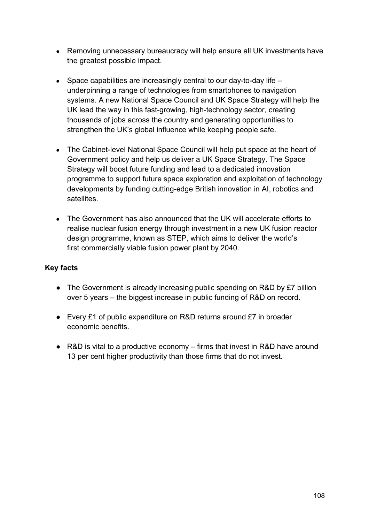- Removing unnecessary bureaucracy will help ensure all UK investments have the greatest possible impact.
- $\bullet$  Space capabilities are increasingly central to our day-to-day life  $$ underpinning a range of technologies from smartphones to navigation systems. A new National Space Council and UK Space Strategy will help the UK lead the way in this fast-growing, high-technology sector, creating thousands of jobs across the country and generating opportunities to strengthen the UK's global influence while keeping people safe.
- The Cabinet-level National Space Council will help put space at the heart of Government policy and help us deliver a UK Space Strategy. The Space Strategy will boost future funding and lead to a dedicated innovation programme to support future space exploration and exploitation of technology developments by funding cutting-edge British innovation in AI, robotics and satellites.
- The Government has also announced that the UK will accelerate efforts to realise nuclear fusion energy through investment in a new UK fusion reactor design programme, known as STEP, which aims to deliver the world's first commercially viable fusion power plant by 2040.

- The Government is already increasing public spending on R&D by £7 billion over 5 years – the biggest increase in public funding of R&D on record.
- Every £1 of public expenditure on R&D returns around £7 in broader economic benefits.
- R&D is vital to a productive economy firms that invest in R&D have around 13 per cent higher productivity than those firms that do not invest.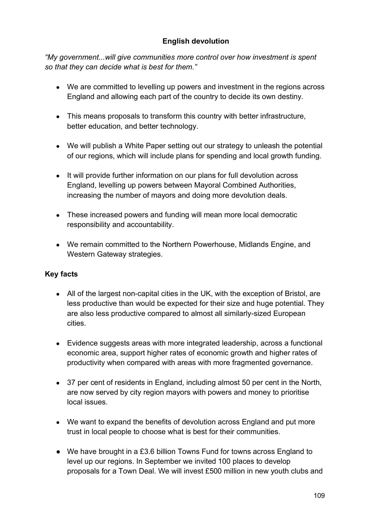# **English devolution**

*"My government...will give communities more control over how investment is spent so that they can decide what is best for them."*

- We are committed to levelling up powers and investment in the regions across England and allowing each part of the country to decide its own destiny.
- This means proposals to transform this country with better infrastructure, better education, and better technology.
- We will publish a White Paper setting out our strategy to unleash the potential of our regions, which will include plans for spending and local growth funding.
- It will provide further information on our plans for full devolution across England, levelling up powers between Mayoral Combined Authorities, increasing the number of mayors and doing more devolution deals.
- These increased powers and funding will mean more local democratic responsibility and accountability.
- We remain committed to the Northern Powerhouse, Midlands Engine, and Western Gateway strategies.

- All of the largest non-capital cities in the UK, with the exception of Bristol, are less productive than would be expected for their size and huge potential. They are also less productive compared to almost all similarly-sized European cities.
- Evidence suggests areas with more integrated leadership, across a functional economic area, support higher rates of economic growth and higher rates of productivity when compared with areas with more fragmented governance.
- 37 per cent of residents in England, including almost 50 per cent in the North, are now served by city region mayors with powers and money to prioritise local issues.
- We want to expand the benefits of devolution across England and put more trust in local people to choose what is best for their communities.
- We have brought in a £3.6 billion Towns Fund for towns across England to level up our regions. In September we invited 100 places to develop proposals for a Town Deal. We will invest £500 million in new youth clubs and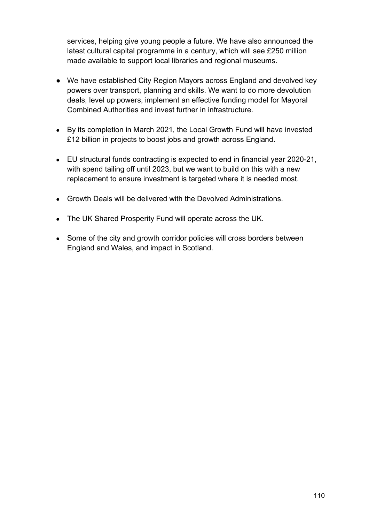services, helping give young people a future. We have also announced the latest cultural capital programme in a century, which will see £250 million made available to support local libraries and regional museums.

- We have established City Region Mayors across England and devolved key powers over transport, planning and skills. We want to do more devolution deals, level up powers, implement an effective funding model for Mayoral Combined Authorities and invest further in infrastructure.
- By its completion in March 2021, the Local Growth Fund will have invested £12 billion in projects to boost jobs and growth across England.
- EU structural funds contracting is expected to end in financial year 2020-21, with spend tailing off until 2023, but we want to build on this with a new replacement to ensure investment is targeted where it is needed most.
- Growth Deals will be delivered with the Devolved Administrations.
- The UK Shared Prosperity Fund will operate across the UK.
- Some of the city and growth corridor policies will cross borders between England and Wales, and impact in Scotland.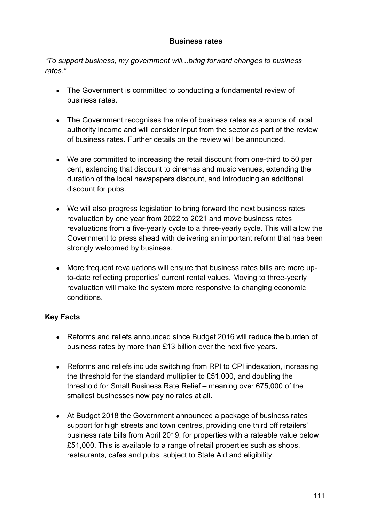### **Business rates**

*"To support business, my government will...bring forward changes to business rates."*

- The Government is committed to conducting a fundamental review of business rates.
- The Government recognises the role of business rates as a source of local authority income and will consider input from the sector as part of the review of business rates. Further details on the review will be announced.
- We are committed to increasing the retail discount from one-third to 50 per cent, extending that discount to cinemas and music venues, extending the duration of the local newspapers discount, and introducing an additional discount for pubs.
- We will also progress legislation to bring forward the next business rates revaluation by one year from 2022 to 2021 and move business rates revaluations from a five-yearly cycle to a three-yearly cycle. This will allow the Government to press ahead with delivering an important reform that has been strongly welcomed by business.
- More frequent revaluations will ensure that business rates bills are more upto-date reflecting properties' current rental values. Moving to three-yearly revaluation will make the system more responsive to changing economic conditions.

## **Key Facts**

- Reforms and reliefs announced since Budget 2016 will reduce the burden of business rates by more than £13 billion over the next five years.
- Reforms and reliefs include switching from RPI to CPI indexation, increasing the threshold for the standard multiplier to £51,000, and doubling the threshold for Small Business Rate Relief – meaning over 675,000 of the smallest businesses now pay no rates at all.
- At Budget 2018 the Government announced a package of business rates support for high streets and town centres, providing one third off retailers' business rate bills from April 2019, for properties with a rateable value below £51,000. This is available to a range of retail properties such as shops, restaurants, cafes and pubs, subject to State Aid and eligibility.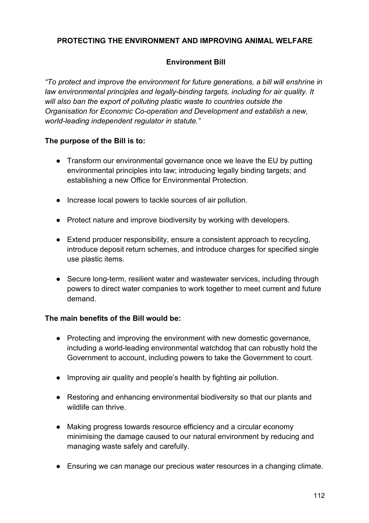# **PROTECTING THE ENVIRONMENT AND IMPROVING ANIMAL WELFARE**

## **Environment Bill**

*"To protect and improve the environment for future generations, a bill will enshrine in law environmental principles and legally-binding targets, including for air quality. It will also ban the export of polluting plastic waste to countries outside the Organisation for Economic Co-operation and Development and establish a new, world-leading independent regulator in statute."*

## **The purpose of the Bill is to:**

- Transform our environmental governance once we leave the EU by putting environmental principles into law; introducing legally binding targets; and establishing a new Office for Environmental Protection.
- Increase local powers to tackle sources of air pollution.
- Protect nature and improve biodiversity by working with developers.
- Extend producer responsibility, ensure a consistent approach to recycling, introduce deposit return schemes, and introduce charges for specified single use plastic items.
- Secure long-term, resilient water and wastewater services, including through powers to direct water companies to work together to meet current and future demand.

### **The main benefits of the Bill would be:**

- Protecting and improving the environment with new domestic governance, including a world-leading environmental watchdog that can robustly hold the Government to account, including powers to take the Government to court.
- Improving air quality and people's health by fighting air pollution.
- Restoring and enhancing environmental biodiversity so that our plants and wildlife can thrive.
- Making progress towards resource efficiency and a circular economy minimising the damage caused to our natural environment by reducing and managing waste safely and carefully.
- Ensuring we can manage our precious water resources in a changing climate.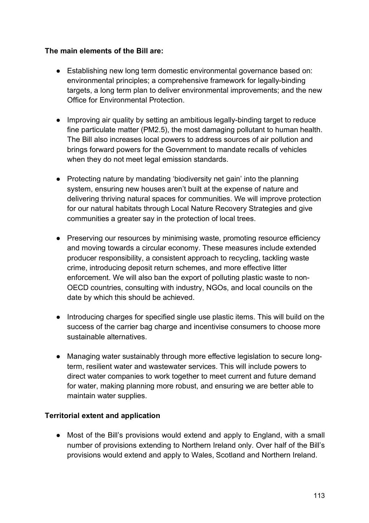## **The main elements of the Bill are:**

- Establishing new long term domestic environmental governance based on: environmental principles; a comprehensive framework for legally-binding targets, a long term plan to deliver environmental improvements; and the new Office for Environmental Protection.
- Improving air quality by setting an ambitious legally-binding target to reduce fine particulate matter (PM2.5), the most damaging pollutant to human health. The Bill also increases local powers to address sources of air pollution and brings forward powers for the Government to mandate recalls of vehicles when they do not meet legal emission standards.
- Protecting nature by mandating 'biodiversity net gain' into the planning system, ensuring new houses aren't built at the expense of nature and delivering thriving natural spaces for communities. We will improve protection for our natural habitats through Local Nature Recovery Strategies and give communities a greater say in the protection of local trees.
- Preserving our resources by minimising waste, promoting resource efficiency and moving towards a circular economy. These measures include extended producer responsibility, a consistent approach to recycling, tackling waste crime, introducing deposit return schemes, and more effective litter enforcement. We will also ban the export of polluting plastic waste to non-OECD countries, consulting with industry, NGOs, and local councils on the date by which this should be achieved.
- Introducing charges for specified single use plastic items. This will build on the success of the carrier bag charge and incentivise consumers to choose more sustainable alternatives.
- Managing water sustainably through more effective legislation to secure longterm, resilient water and wastewater services. This will include powers to direct water companies to work together to meet current and future demand for water, making planning more robust, and ensuring we are better able to maintain water supplies.

## **Territorial extent and application**

• Most of the Bill's provisions would extend and apply to England, with a small number of provisions extending to Northern Ireland only. Over half of the Bill's provisions would extend and apply to Wales, Scotland and Northern Ireland.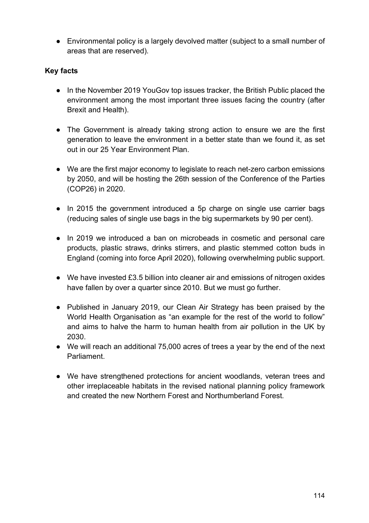● Environmental policy is a largely devolved matter (subject to a small number of areas that are reserved).

- In the November 2019 YouGov top issues tracker, the British Public placed the environment among the most important three issues facing the country (after Brexit and Health).
- The Government is already taking strong action to ensure we are the first generation to leave the environment in a better state than we found it, as set out in our 25 Year Environment Plan.
- We are the first major economy to legislate to reach net-zero carbon emissions by 2050, and will be hosting the 26th session of the Conference of the Parties (COP26) in 2020.
- In 2015 the government introduced a 5p charge on single use carrier bags (reducing sales of single use bags in the big supermarkets by 90 per cent).
- In 2019 we introduced a ban on microbeads in cosmetic and personal care products, plastic straws, drinks stirrers, and plastic stemmed cotton buds in England (coming into force April 2020), following overwhelming public support.
- We have invested £3.5 billion into cleaner air and emissions of nitrogen oxides have fallen by over a quarter since 2010. But we must go further.
- Published in January 2019, our Clean Air Strategy has been praised by the World Health Organisation as "an example for the rest of the world to follow" and aims to halve the harm to human health from air pollution in the UK by 2030.
- We will reach an additional 75,000 acres of trees a year by the end of the next Parliament.
- We have strengthened protections for ancient woodlands, veteran trees and other irreplaceable habitats in the revised national planning policy framework and created the new Northern Forest and Northumberland Forest.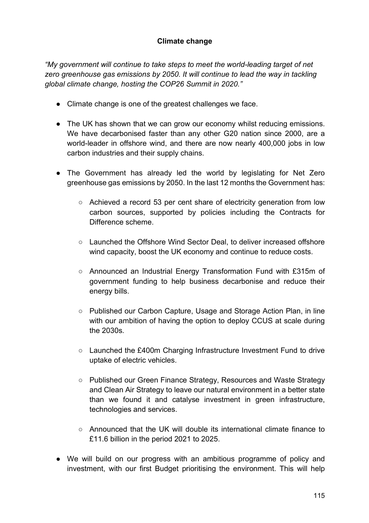### **Climate change**

*"My government will continue to take steps to meet the world-leading target of net zero greenhouse gas emissions by 2050. It will continue to lead the way in tackling global climate change, hosting the COP26 Summit in 2020."*

- Climate change is one of the greatest challenges we face.
- The UK has shown that we can grow our economy whilst reducing emissions. We have decarbonised faster than any other G20 nation since 2000, are a world-leader in offshore wind, and there are now nearly 400,000 jobs in low carbon industries and their supply chains.
- The Government has already led the world by legislating for Net Zero greenhouse gas emissions by 2050. In the last 12 months the Government has:
	- Achieved a record 53 per cent share of electricity generation from low carbon sources, supported by policies including the Contracts for Difference scheme.
	- Launched the Offshore Wind Sector Deal, to deliver increased offshore wind capacity, boost the UK economy and continue to reduce costs.
	- Announced an Industrial Energy Transformation Fund with £315m of government funding to help business decarbonise and reduce their energy bills.
	- Published our Carbon Capture, Usage and Storage Action Plan, in line with our ambition of having the option to deploy CCUS at scale during the 2030s.
	- Launched the £400m Charging Infrastructure Investment Fund to drive uptake of electric vehicles.
	- Published our Green Finance Strategy, Resources and Waste Strategy and Clean Air Strategy to leave our natural environment in a better state than we found it and catalyse investment in green infrastructure, technologies and services.
	- Announced that the UK will double its international climate finance to £11.6 billion in the period 2021 to 2025.
- We will build on our progress with an ambitious programme of policy and investment, with our first Budget prioritising the environment. This will help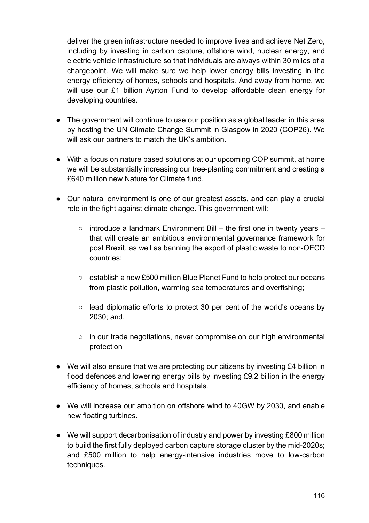deliver the green infrastructure needed to improve lives and achieve Net Zero, including by investing in carbon capture, offshore wind, nuclear energy, and electric vehicle infrastructure so that individuals are always within 30 miles of a chargepoint. We will make sure we help lower energy bills investing in the energy efficiency of homes, schools and hospitals. And away from home, we will use our £1 billion Ayrton Fund to develop affordable clean energy for developing countries.

- The government will continue to use our position as a global leader in this area by hosting the UN Climate Change Summit in Glasgow in 2020 (COP26). We will ask our partners to match the UK's ambition.
- With a focus on nature based solutions at our upcoming COP summit, at home we will be substantially increasing our tree-planting commitment and creating a £640 million new Nature for Climate fund.
- Our natural environment is one of our greatest assets, and can play a crucial role in the fight against climate change. This government will:
	- $\circ$  introduce a landmark Environment Bill the first one in twenty years that will create an ambitious environmental governance framework for post Brexit, as well as banning the export of plastic waste to non-OECD countries;
	- establish a new £500 million Blue Planet Fund to help protect our oceans from plastic pollution, warming sea temperatures and overfishing;
	- lead diplomatic efforts to protect 30 per cent of the world's oceans by 2030; and,
	- in our trade negotiations, never compromise on our high environmental protection
- We will also ensure that we are protecting our citizens by investing £4 billion in flood defences and lowering energy bills by investing £9.2 billion in the energy efficiency of homes, schools and hospitals.
- We will increase our ambition on offshore wind to 40GW by 2030, and enable new floating turbines.
- We will support decarbonisation of industry and power by investing £800 million to build the first fully deployed carbon capture storage cluster by the mid-2020s; and £500 million to help energy-intensive industries move to low-carbon techniques.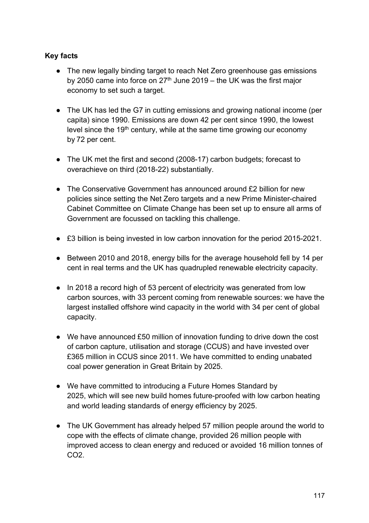- The new legally binding target to reach Net Zero greenhouse gas emissions by 2050 came into force on  $27<sup>th</sup>$  June 2019 – the UK was the first major economy to set such a target.
- The UK has led the G7 in cutting emissions and growing national income (per capita) since 1990. Emissions are down 42 per cent since 1990, the lowest level since the  $19<sup>th</sup>$  century, while at the same time growing our economy by 72 per cent.
- The UK met the first and second (2008-17) carbon budgets; forecast to overachieve on third (2018-22) substantially.
- The Conservative Government has announced around £2 billion for new policies since setting the Net Zero targets and a new Prime Minister-chaired Cabinet Committee on Climate Change has been set up to ensure all arms of Government are focussed on tackling this challenge.
- £3 billion is being invested in low carbon innovation for the period 2015-2021.
- Between 2010 and 2018, energy bills for the average household fell by 14 per cent in real terms and the UK has quadrupled renewable electricity capacity.
- In 2018 a record high of 53 percent of electricity was generated from low carbon sources, with 33 percent coming from renewable sources: we have the largest installed offshore wind capacity in the world with 34 per cent of global capacity.
- We have announced £50 million of innovation funding to drive down the cost of carbon capture, utilisation and storage (CCUS) and have invested over £365 million in CCUS since 2011. We have committed to ending unabated coal power generation in Great Britain by 2025.
- We have committed to introducing a Future Homes Standard by 2025, which will see new build homes future-proofed with low carbon heating and world leading standards of energy efficiency by 2025.
- The UK Government has already helped 57 million people around the world to cope with the effects of climate change, provided 26 million people with improved access to clean energy and reduced or avoided 16 million tonnes of CO<sub>2</sub>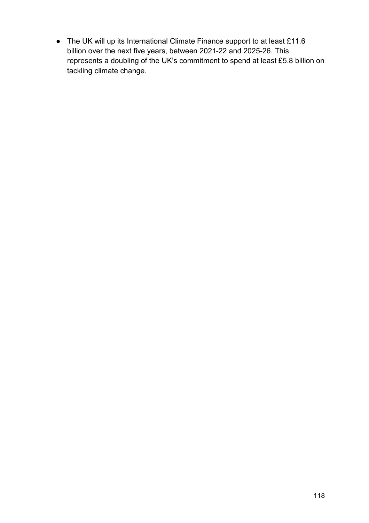● The UK will up its International Climate Finance support to at least £11.6 billion over the next five years, between 2021-22 and 2025-26. This represents a doubling of the UK's commitment to spend at least £5.8 billion on tackling climate change.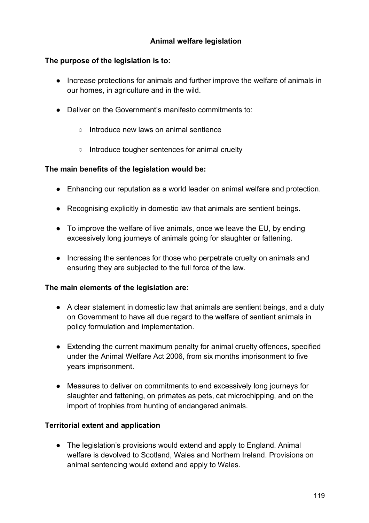## **Animal welfare legislation**

## **The purpose of the legislation is to:**

- Increase protections for animals and further improve the welfare of animals in our homes, in agriculture and in the wild.
- Deliver on the Government's manifesto commitments to:
	- Introduce new laws on animal sentience
	- Introduce tougher sentences for animal cruelty

### **The main benefits of the legislation would be:**

- Enhancing our reputation as a world leader on animal welfare and protection.
- Recognising explicitly in domestic law that animals are sentient beings.
- To improve the welfare of live animals, once we leave the EU, by ending excessively long journeys of animals going for slaughter or fattening.
- Increasing the sentences for those who perpetrate cruelty on animals and ensuring they are subjected to the full force of the law.

### **The main elements of the legislation are:**

- A clear statement in domestic law that animals are sentient beings, and a duty on Government to have all due regard to the welfare of sentient animals in policy formulation and implementation.
- Extending the current maximum penalty for animal cruelty offences, specified under the Animal Welfare Act 2006, from six months imprisonment to five years imprisonment.
- Measures to deliver on commitments to end excessively long journeys for slaughter and fattening, on primates as pets, cat microchipping, and on the import of trophies from hunting of endangered animals.

### **Territorial extent and application**

● The legislation's provisions would extend and apply to England. Animal welfare is devolved to Scotland, Wales and Northern Ireland. Provisions on animal sentencing would extend and apply to Wales.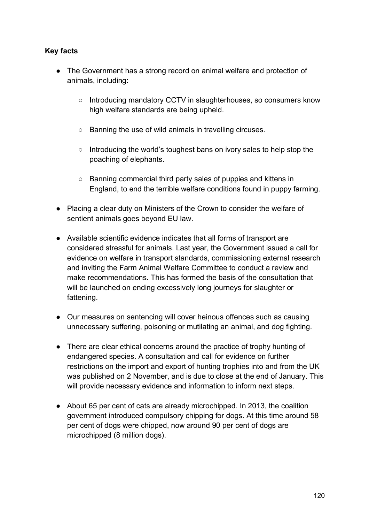- The Government has a strong record on animal welfare and protection of animals, including:
	- Introducing mandatory CCTV in slaughterhouses, so consumers know high welfare standards are being upheld.
	- Banning the use of wild animals in travelling circuses.
	- $\circ$  Introducing the world's toughest bans on ivory sales to help stop the poaching of elephants.
	- Banning commercial third party sales of puppies and kittens in England, to end the terrible welfare conditions found in puppy farming.
- Placing a clear duty on Ministers of the Crown to consider the welfare of sentient animals goes beyond EU law.
- Available scientific evidence indicates that all forms of transport are considered stressful for animals. Last year, the Government issued a call for evidence on welfare in transport standards, commissioning external research and inviting the Farm Animal Welfare Committee to conduct a review and make recommendations. This has formed the basis of the consultation that will be launched on ending excessively long journeys for slaughter or fattening.
- Our measures on sentencing will cover heinous offences such as causing unnecessary suffering, poisoning or mutilating an animal, and dog fighting.
- There are clear ethical concerns around the practice of trophy hunting of endangered species. A consultation and call for evidence on further restrictions on the import and export of hunting trophies into and from the UK was published on 2 November, and is due to close at the end of January. This will provide necessary evidence and information to inform next steps.
- About 65 per cent of cats are already microchipped. In 2013, the coalition government introduced compulsory chipping for dogs. At this time around 58 per cent of dogs were chipped, now around 90 per cent of dogs are microchipped (8 million dogs).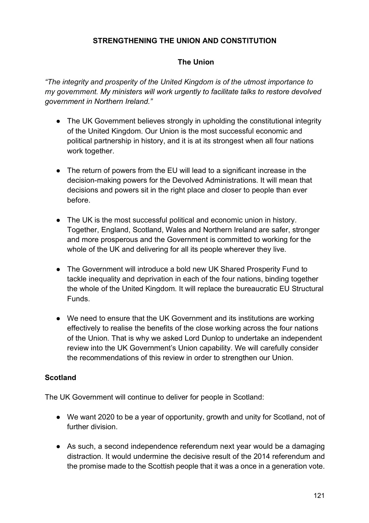# **STRENGTHENING THE UNION AND CONSTITUTION**

## **The Union**

*"The integrity and prosperity of the United Kingdom is of the utmost importance to my government. My ministers will work urgently to facilitate talks to restore devolved government in Northern Ireland."*

- The UK Government believes strongly in upholding the constitutional integrity of the United Kingdom. Our Union is the most successful economic and political partnership in history, and it is at its strongest when all four nations work together.
- The return of powers from the EU will lead to a significant increase in the decision-making powers for the Devolved Administrations. It will mean that decisions and powers sit in the right place and closer to people than ever before.
- The UK is the most successful political and economic union in history. Together, England, Scotland, Wales and Northern Ireland are safer, stronger and more prosperous and the Government is committed to working for the whole of the UK and delivering for all its people wherever they live.
- The Government will introduce a bold new UK Shared Prosperity Fund to tackle inequality and deprivation in each of the four nations, binding together the whole of the United Kingdom. It will replace the bureaucratic EU Structural Funds.
- We need to ensure that the UK Government and its institutions are working effectively to realise the benefits of the close working across the four nations of the Union. That is why we asked Lord Dunlop to undertake an independent review into the UK Government's Union capability. We will carefully consider the recommendations of this review in order to strengthen our Union.

## **Scotland**

The UK Government will continue to deliver for people in Scotland:

- We want 2020 to be a year of opportunity, growth and unity for Scotland, not of further division.
- As such, a second independence referendum next year would be a damaging distraction. It would undermine the decisive result of the 2014 referendum and the promise made to the Scottish people that it was a once in a generation vote.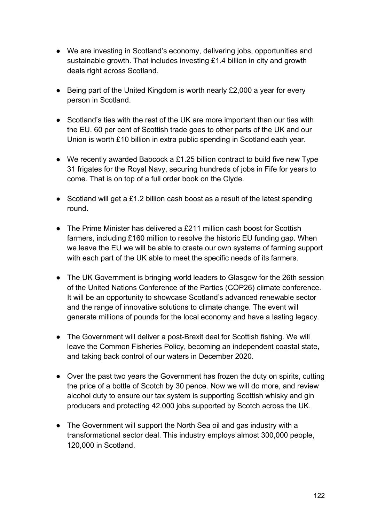- We are investing in Scotland's economy, delivering jobs, opportunities and sustainable growth. That includes investing £1.4 billion in city and growth deals right across Scotland.
- Being part of the United Kingdom is worth nearly £2,000 a year for every person in Scotland.
- Scotland's ties with the rest of the UK are more important than our ties with the EU. 60 per cent of Scottish trade goes to other parts of the UK and our Union is worth £10 billion in extra public spending in Scotland each year.
- We recently awarded Babcock a £1.25 billion contract to build five new Type 31 frigates for the Royal Navy, securing hundreds of jobs in Fife for years to come. That is on top of a full order book on the Clyde.
- Scotland will get a £1.2 billion cash boost as a result of the latest spending round.
- $\bullet$  The Prime Minister has delivered a £211 million cash boost for Scottish farmers, including £160 million to resolve the historic EU funding gap. When we leave the EU we will be able to create our own systems of farming support with each part of the UK able to meet the specific needs of its farmers.
- The UK Government is bringing world leaders to Glasgow for the 26th session of the United Nations Conference of the Parties (COP26) climate conference. It will be an opportunity to showcase Scotland's advanced renewable sector and the range of innovative solutions to climate change. The event will generate millions of pounds for the local economy and have a lasting legacy.
- The Government will deliver a post-Brexit deal for Scottish fishing. We will leave the Common Fisheries Policy, becoming an independent coastal state, and taking back control of our waters in December 2020.
- Over the past two years the Government has frozen the duty on spirits, cutting the price of a bottle of Scotch by 30 pence. Now we will do more, and review alcohol duty to ensure our tax system is supporting Scottish whisky and gin producers and protecting 42,000 jobs supported by Scotch across the UK.
- The Government will support the North Sea oil and gas industry with a transformational sector deal. This industry employs almost 300,000 people, 120,000 in Scotland.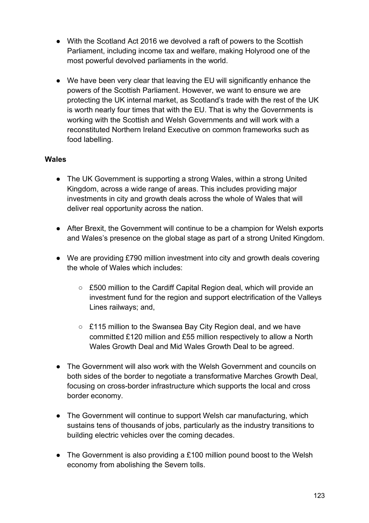- With the Scotland Act 2016 we devolved a raft of powers to the Scottish Parliament, including income tax and welfare, making Holyrood one of the most powerful devolved parliaments in the world.
- We have been very clear that leaving the EU will significantly enhance the powers of the Scottish Parliament. However, we want to ensure we are protecting the UK internal market, as Scotland's trade with the rest of the UK is worth nearly four times that with the EU. That is why the Governments is working with the Scottish and Welsh Governments and will work with a reconstituted Northern Ireland Executive on common frameworks such as food labelling.

## **Wales**

- The UK Government is supporting a strong Wales, within a strong United Kingdom, across a wide range of areas. This includes providing major investments in city and growth deals across the whole of Wales that will deliver real opportunity across the nation.
- After Brexit, the Government will continue to be a champion for Welsh exports and Wales's presence on the global stage as part of a strong United Kingdom.
- We are providing £790 million investment into city and growth deals covering the whole of Wales which includes:
	- £500 million to the Cardiff Capital Region deal, which will provide an investment fund for the region and support electrification of the Valleys Lines railways; and,
	- £115 million to the Swansea Bay City Region deal, and we have committed £120 million and £55 million respectively to allow a North Wales Growth Deal and Mid Wales Growth Deal to be agreed.
- The Government will also work with the Welsh Government and councils on both sides of the border to negotiate a transformative Marches Growth Deal, focusing on cross-border infrastructure which supports the local and cross border economy.
- The Government will continue to support Welsh car manufacturing, which sustains tens of thousands of jobs, particularly as the industry transitions to building electric vehicles over the coming decades.
- The Government is also providing a £100 million pound boost to the Welsh economy from abolishing the Severn tolls.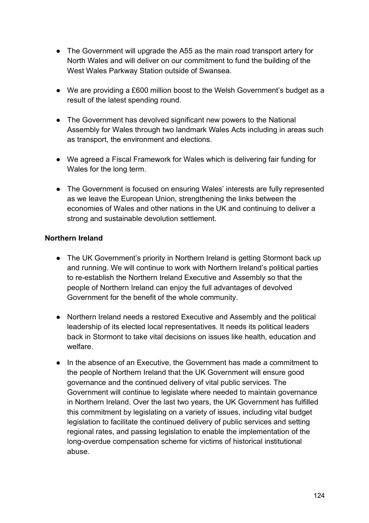- The Government will upgrade the A55 as the main road transport artery for North Wales and will deliver on our commitment to fund the building of the West Wales Parkway Station outside of Swansea.
- We are providing a £600 million boost to the Welsh Government's budget as a result of the latest spending round.
- The Government has devolved significant new powers to the National Assembly for Wales through two landmark Wales Acts including in areas such as transport, the environment and elections.
- We agreed a Fiscal Framework for Wales which is delivering fair funding for Wales for the long term.
- The Government is focused on ensuring Wales' interests are fully represented as we leave the European Union, strengthening the links between the economies of Wales and other nations in the UK and continuing to deliver a strong and sustainable devolution settlement.

# **Northern Ireland**

- The UK Government's priority in Northern Ireland is getting Stormont back up and running. We will continue to work with Northern Ireland's political parties to re-establish the Northern Ireland Executive and Assembly so that the people of Northern Ireland can enjoy the full advantages of devolved Government for the benefit of the whole community.
- Northern Ireland needs a restored Executive and Assembly and the political leadership of its elected local representatives. It needs its political leaders back in Stormont to take vital decisions on issues like health, education and welfare.
- In the absence of an Executive, the Government has made a commitment to the people of Northern Ireland that the UK Government will ensure good governance and the continued delivery of vital public services. The Government will continue to legislate where needed to maintain governance in Northern Ireland. Over the last two years, the UK Government has fulfilled this commitment by legislating on a variety of issues, including vital budget legislation to facilitate the continued delivery of public services and setting regional rates, and passing legislation to enable the implementation of the long-overdue compensation scheme for victims of historical institutional abuse.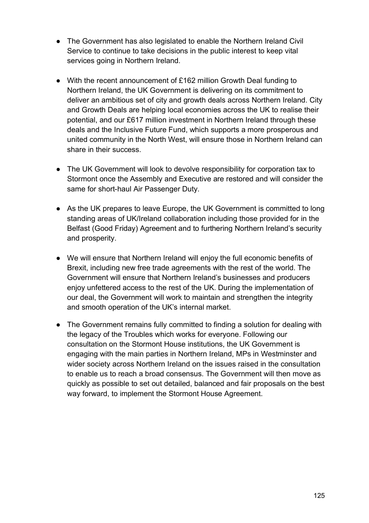- The Government has also legislated to enable the Northern Ireland Civil Service to continue to take decisions in the public interest to keep vital services going in Northern Ireland.
- With the recent announcement of £162 million Growth Deal funding to Northern Ireland, the UK Government is delivering on its commitment to deliver an ambitious set of city and growth deals across Northern Ireland. City and Growth Deals are helping local economies across the UK to realise their potential, and our £617 million investment in Northern Ireland through these deals and the Inclusive Future Fund, which supports a more prosperous and united community in the North West, will ensure those in Northern Ireland can share in their success.
- The UK Government will look to devolve responsibility for corporation tax to Stormont once the Assembly and Executive are restored and will consider the same for short-haul Air Passenger Duty.
- As the UK prepares to leave Europe, the UK Government is committed to long standing areas of UK/Ireland collaboration including those provided for in the Belfast (Good Friday) Agreement and to furthering Northern Ireland's security and prosperity.
- We will ensure that Northern Ireland will enjoy the full economic benefits of Brexit, including new free trade agreements with the rest of the world. The Government will ensure that Northern Ireland's businesses and producers enjoy unfettered access to the rest of the UK. During the implementation of our deal, the Government will work to maintain and strengthen the integrity and smooth operation of the UK's internal market.
- The Government remains fully committed to finding a solution for dealing with the legacy of the Troubles which works for everyone. Following our consultation on the Stormont House institutions, the UK Government is engaging with the main parties in Northern Ireland, MPs in Westminster and wider society across Northern Ireland on the issues raised in the consultation to enable us to reach a broad consensus. The Government will then move as quickly as possible to set out detailed, balanced and fair proposals on the best way forward, to implement the Stormont House Agreement.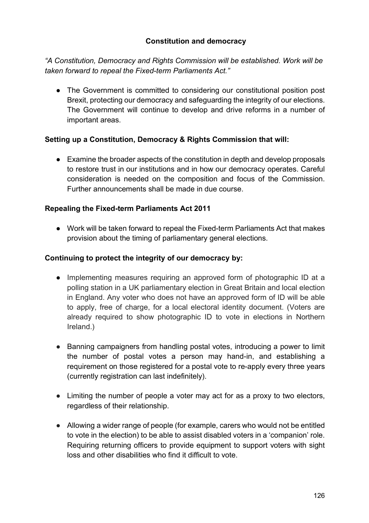## **Constitution and democracy**

*"A Constitution, Democracy and Rights Commission will be established. Work will be taken forward to repeal the Fixed-term Parliaments Act."*

• The Government is committed to considering our constitutional position post Brexit, protecting our democracy and safeguarding the integrity of our elections. The Government will continue to develop and drive reforms in a number of important areas.

## **Setting up a Constitution, Democracy & Rights Commission that will:**

● Examine the broader aspects of the constitution in depth and develop proposals to restore trust in our institutions and in how our democracy operates. Careful consideration is needed on the composition and focus of the Commission. Further announcements shall be made in due course.

## **Repealing the Fixed-term Parliaments Act 2011**

● Work will be taken forward to repeal the Fixed-term Parliaments Act that makes provision about the timing of parliamentary general elections.

## **Continuing to protect the integrity of our democracy by:**

- Implementing measures requiring an approved form of photographic ID at a polling station in a UK parliamentary election in Great Britain and local election in England. Any voter who does not have an approved form of ID will be able to apply, free of charge, for a local electoral identity document. (Voters are already required to show photographic ID to vote in elections in Northern Ireland.)
- Banning campaigners from handling postal votes, introducing a power to limit the number of postal votes a person may hand-in, and establishing a requirement on those registered for a postal vote to re-apply every three years (currently registration can last indefinitely).
- Limiting the number of people a voter may act for as a proxy to two electors, regardless of their relationship.
- Allowing a wider range of people (for example, carers who would not be entitled to vote in the election) to be able to assist disabled voters in a 'companion' role. Requiring returning officers to provide equipment to support voters with sight loss and other disabilities who find it difficult to vote.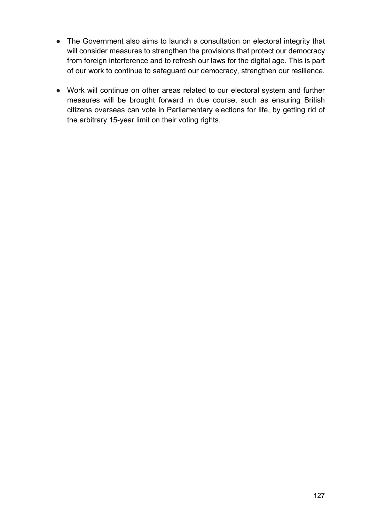- The Government also aims to launch a consultation on electoral integrity that will consider measures to strengthen the provisions that protect our democracy from foreign interference and to refresh our laws for the digital age. This is part of our work to continue to safeguard our democracy, strengthen our resilience.
- Work will continue on other areas related to our electoral system and further measures will be brought forward in due course, such as ensuring British citizens overseas can vote in Parliamentary elections for life, by getting rid of the arbitrary 15-year limit on their voting rights.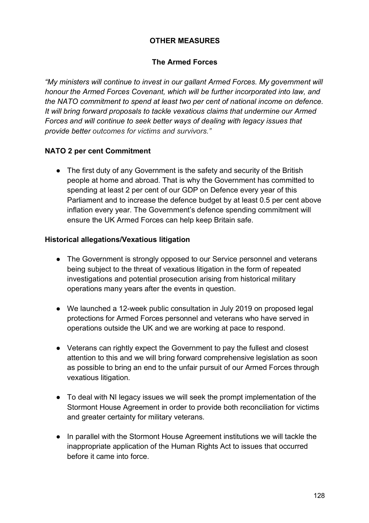## **OTHER MEASURES**

## **The Armed Forces**

*"My ministers will continue to invest in our gallant Armed Forces. My government will honour the Armed Forces Covenant, which will be further incorporated into law, and the NATO commitment to spend at least two per cent of national income on defence. It will bring forward proposals to tackle vexatious claims that undermine our Armed Forces and will continue to seek better ways of dealing with legacy issues that provide better outcomes for victims and survivors."*

## **NATO 2 per cent Commitment**

• The first duty of any Government is the safety and security of the British people at home and abroad. That is why the Government has committed to spending at least 2 per cent of our GDP on Defence every year of this Parliament and to increase the defence budget by at least 0.5 per cent above inflation every year. The Government's defence spending commitment will ensure the UK Armed Forces can help keep Britain safe.

### **Historical allegations/Vexatious litigation**

- The Government is strongly opposed to our Service personnel and veterans being subject to the threat of vexatious litigation in the form of repeated investigations and potential prosecution arising from historical military operations many years after the events in question.
- We launched a 12-week public consultation in July 2019 on proposed legal protections for Armed Forces personnel and veterans who have served in operations outside the UK and we are working at pace to respond.
- Veterans can rightly expect the Government to pay the fullest and closest attention to this and we will bring forward comprehensive legislation as soon as possible to bring an end to the unfair pursuit of our Armed Forces through vexatious litigation.
- To deal with NI legacy issues we will seek the prompt implementation of the Stormont House Agreement in order to provide both reconciliation for victims and greater certainty for military veterans.
- In parallel with the Stormont House Agreement institutions we will tackle the inappropriate application of the Human Rights Act to issues that occurred before it came into force.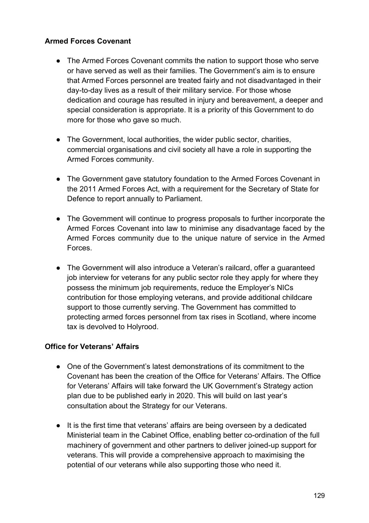## **Armed Forces Covenant**

- The Armed Forces Covenant commits the nation to support those who serve or have served as well as their families. The Government's aim is to ensure that Armed Forces personnel are treated fairly and not disadvantaged in their day-to-day lives as a result of their military service. For those whose dedication and courage has resulted in injury and bereavement, a deeper and special consideration is appropriate. It is a priority of this Government to do more for those who gave so much.
- The Government, local authorities, the wider public sector, charities, commercial organisations and civil society all have a role in supporting the Armed Forces community.
- The Government gave statutory foundation to the Armed Forces Covenant in the 2011 Armed Forces Act, with a requirement for the Secretary of State for Defence to report annually to Parliament.
- The Government will continue to progress proposals to further incorporate the Armed Forces Covenant into law to minimise any disadvantage faced by the Armed Forces community due to the unique nature of service in the Armed Forces.
- The Government will also introduce a Veteran's railcard, offer a guaranteed job interview for veterans for any public sector role they apply for where they possess the minimum job requirements, reduce the Employer's NICs contribution for those employing veterans, and provide additional childcare support to those currently serving. The Government has committed to protecting armed forces personnel from tax rises in Scotland, where income tax is devolved to Holyrood.

## **Office for Veterans' Affairs**

- One of the Government's latest demonstrations of its commitment to the Covenant has been the creation of the Office for Veterans' Affairs. The Office for Veterans' Affairs will take forward the UK Government's Strategy action plan due to be published early in 2020. This will build on last year's consultation about the Strategy for our Veterans.
- It is the first time that veterans' affairs are being overseen by a dedicated Ministerial team in the Cabinet Office, enabling better co-ordination of the full machinery of government and other partners to deliver joined-up support for veterans. This will provide a comprehensive approach to maximising the potential of our veterans while also supporting those who need it.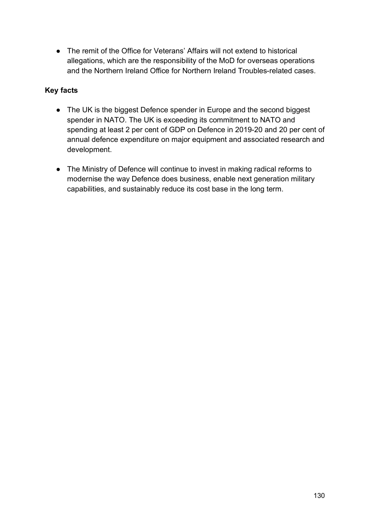● The remit of the Office for Veterans' Affairs will not extend to historical allegations, which are the responsibility of the MoD for overseas operations and the Northern Ireland Office for Northern Ireland Troubles-related cases.

- The UK is the biggest Defence spender in Europe and the second biggest spender in NATO. The UK is exceeding its commitment to NATO and spending at least 2 per cent of GDP on Defence in 2019-20 and 20 per cent of annual defence expenditure on major equipment and associated research and development.
- The Ministry of Defence will continue to invest in making radical reforms to modernise the way Defence does business, enable next generation military capabilities, and sustainably reduce its cost base in the long term.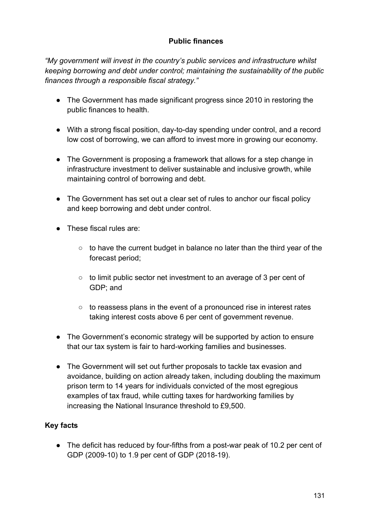# **Public finances**

*"My government will invest in the country's public services and infrastructure whilst keeping borrowing and debt under control; maintaining the sustainability of the public finances through a responsible fiscal strategy."*

- The Government has made significant progress since 2010 in restoring the public finances to health.
- With a strong fiscal position, day-to-day spending under control, and a record low cost of borrowing, we can afford to invest more in growing our economy.
- The Government is proposing a framework that allows for a step change in infrastructure investment to deliver sustainable and inclusive growth, while maintaining control of borrowing and debt.
- The Government has set out a clear set of rules to anchor our fiscal policy and keep borrowing and debt under control.
- These fiscal rules are:
	- to have the current budget in balance no later than the third year of the forecast period;
	- to limit public sector net investment to an average of 3 per cent of GDP; and
	- to reassess plans in the event of a pronounced rise in interest rates taking interest costs above 6 per cent of government revenue.
- The Government's economic strategy will be supported by action to ensure that our tax system is fair to hard-working families and businesses.
- The Government will set out further proposals to tackle tax evasion and avoidance, building on action already taken, including doubling the maximum prison term to 14 years for individuals convicted of the most egregious examples of tax fraud, while cutting taxes for hardworking families by increasing the National Insurance threshold to £9,500.

## **Key facts**

• The deficit has reduced by four-fifths from a post-war peak of 10.2 per cent of GDP (2009-10) to 1.9 per cent of GDP (2018-19).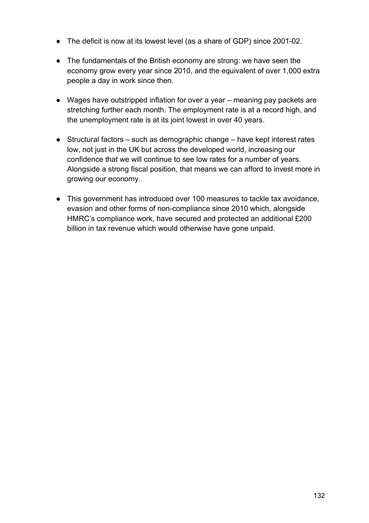- The deficit is now at its lowest level (as a share of GDP) since 2001-02.
- The fundamentals of the British economy are strong: we have seen the economy grow every year since 2010, and the equivalent of over 1,000 extra people a day in work since then.
- Wages have outstripped inflation for over a year meaning pay packets are stretching further each month. The employment rate is at a record high, and the unemployment rate is at its joint lowest in over 40 years.
- Structural factors such as demographic change have kept interest rates low, not just in the UK but across the developed world, increasing our confidence that we will continue to see low rates for a number of years. Alongside a strong fiscal position, that means we can afford to invest more in growing our economy.
- This government has introduced over 100 measures to tackle tax avoidance, evasion and other forms of non-compliance since 2010 which, alongside HMRC's compliance work, have secured and protected an additional £200 billion in tax revenue which would otherwise have gone unpaid.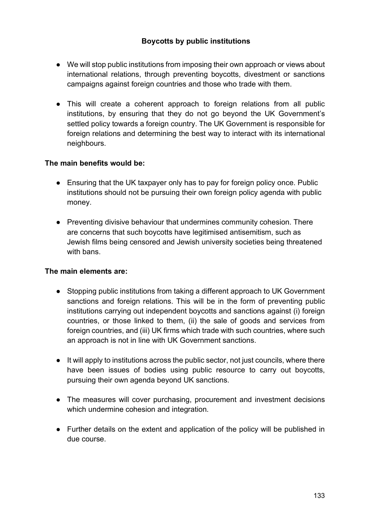- We will stop public institutions from imposing their own approach or views about international relations, through preventing boycotts, divestment or sanctions campaigns against foreign countries and those who trade with them.
- This will create a coherent approach to foreign relations from all public institutions, by ensuring that they do not go beyond the UK Government's settled policy towards a foreign country. The UK Government is responsible for foreign relations and determining the best way to interact with its international neighbours.

# **The main benefits would be:**

- Ensuring that the UK taxpayer only has to pay for foreign policy once. Public institutions should not be pursuing their own foreign policy agenda with public money.
- Preventing divisive behaviour that undermines community cohesion. There are concerns that such boycotts have legitimised antisemitism, such as Jewish films being censored and Jewish university societies being threatened with bans.

## **The main elements are:**

- Stopping public institutions from taking a different approach to UK Government sanctions and foreign relations. This will be in the form of preventing public institutions carrying out independent boycotts and sanctions against (i) foreign countries, or those linked to them, (ii) the sale of goods and services from foreign countries, and (iii) UK firms which trade with such countries, where such an approach is not in line with UK Government sanctions.
- It will apply to institutions across the public sector, not just councils, where there have been issues of bodies using public resource to carry out boycotts, pursuing their own agenda beyond UK sanctions.
- The measures will cover purchasing, procurement and investment decisions which undermine cohesion and integration.
- Further details on the extent and application of the policy will be published in due course.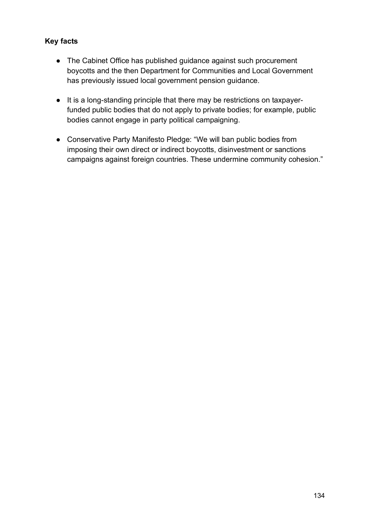- The Cabinet Office has published guidance against such procurement boycotts and the then Department for Communities and Local Government has previously issued local government pension guidance.
- It is a long-standing principle that there may be restrictions on taxpayerfunded public bodies that do not apply to private bodies; for example, public bodies cannot engage in party political campaigning.
- Conservative Party Manifesto Pledge: "We will ban public bodies from imposing their own direct or indirect boycotts, disinvestment or sanctions campaigns against foreign countries. These undermine community cohesion."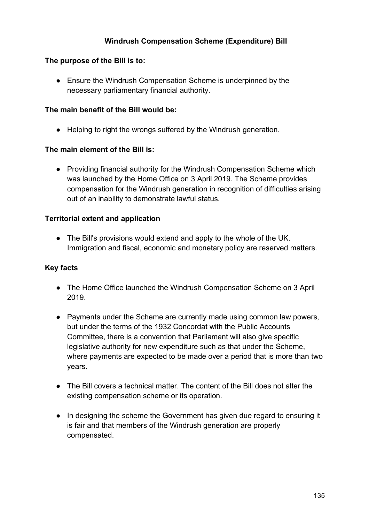# **Windrush Compensation Scheme (Expenditure) Bill**

### **The purpose of the Bill is to:**

● Ensure the Windrush Compensation Scheme is underpinned by the necessary parliamentary financial authority.

### **The main benefit of the Bill would be:**

● Helping to right the wrongs suffered by the Windrush generation.

### **The main element of the Bill is:**

● Providing financial authority for the Windrush Compensation Scheme which was launched by the Home Office on 3 April 2019. The Scheme provides compensation for the Windrush generation in recognition of difficulties arising out of an inability to demonstrate lawful status.

### **Territorial extent and application**

● The Bill's provisions would extend and apply to the whole of the UK. Immigration and fiscal, economic and monetary policy are reserved matters.

- The Home Office launched the Windrush Compensation Scheme on 3 April 2019.
- Payments under the Scheme are currently made using common law powers, but under the terms of the 1932 Concordat with the Public Accounts Committee, there is a convention that Parliament will also give specific legislative authority for new expenditure such as that under the Scheme, where payments are expected to be made over a period that is more than two years.
- The Bill covers a technical matter. The content of the Bill does not alter the existing compensation scheme or its operation.
- In designing the scheme the Government has given due regard to ensuring it is fair and that members of the Windrush generation are properly compensated.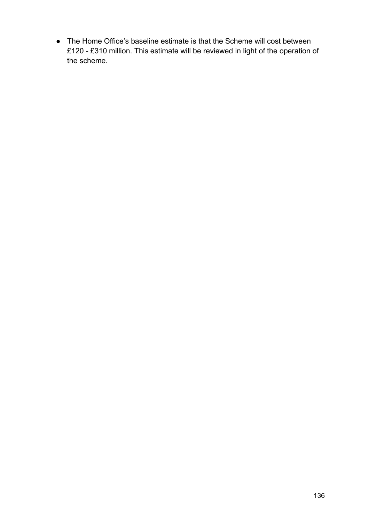● The Home Office's baseline estimate is that the Scheme will cost between £120 - £310 million. This estimate will be reviewed in light of the operation of the scheme.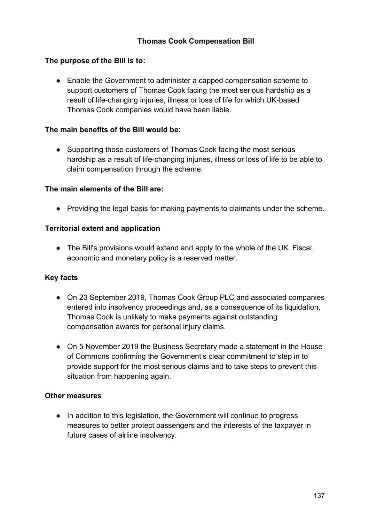## **Thomas Cook Compensation Bill**

### **The purpose of the Bill is to:**

● Enable the Government to administer a capped compensation scheme to support customers of Thomas Cook facing the most serious hardship as a result of life-changing injuries, illness or loss of life for which UK-based Thomas Cook companies would have been liable.

### **The main benefits of the Bill would be:**

• Supporting those customers of Thomas Cook facing the most serious hardship as a result of life-changing injuries, illness or loss of life to be able to claim compensation through the scheme.

#### **The main elements of the Bill are:**

● Providing the legal basis for making payments to claimants under the scheme.

### **Territorial extent and application**

• The Bill's provisions would extend and apply to the whole of the UK. Fiscal, economic and monetary policy is a reserved matter.

### **Key facts**

- On 23 September 2019, Thomas Cook Group PLC and associated companies entered into insolvency proceedings and, as a consequence of its liquidation, Thomas Cook is unlikely to make payments against outstanding compensation awards for personal injury claims.
- On 5 November 2019 the Business Secretary made a statement in the House of Commons confirming the Government's clear commitment to step in to provide support for the most serious claims and to take steps to prevent this situation from happening again.

#### **Other measures**

• In addition to this legislation, the Government will continue to progress measures to better protect passengers and the interests of the taxpayer in future cases of airline insolvency.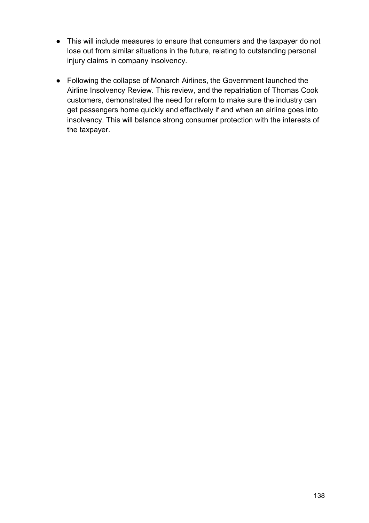- This will include measures to ensure that consumers and the taxpayer do not lose out from similar situations in the future, relating to outstanding personal injury claims in company insolvency.
- Following the collapse of Monarch Airlines, the Government launched the Airline Insolvency Review. This review, and the repatriation of Thomas Cook customers, demonstrated the need for reform to make sure the industry can get passengers home quickly and effectively if and when an airline goes into insolvency. This will balance strong consumer protection with the interests of the taxpayer.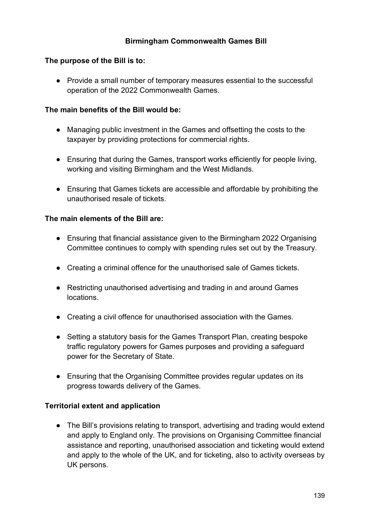## **Birmingham Commonwealth Games Bill**

### **The purpose of the Bill is to:**

● Provide a small number of temporary measures essential to the successful operation of the 2022 Commonwealth Games.

### **The main benefits of the Bill would be:**

- Managing public investment in the Games and offsetting the costs to the taxpayer by providing protections for commercial rights.
- Ensuring that during the Games, transport works efficiently for people living, working and visiting Birmingham and the West Midlands.
- Ensuring that Games tickets are accessible and affordable by prohibiting the unauthorised resale of tickets.

### **The main elements of the Bill are:**

- Ensuring that financial assistance given to the Birmingham 2022 Organising Committee continues to comply with spending rules set out by the Treasury.
- Creating a criminal offence for the unauthorised sale of Games tickets.
- Restricting unauthorised advertising and trading in and around Games locations.
- Creating a civil offence for unauthorised association with the Games.
- Setting a statutory basis for the Games Transport Plan, creating bespoke traffic regulatory powers for Games purposes and providing a safeguard power for the Secretary of State.
- Ensuring that the Organising Committee provides regular updates on its progress towards delivery of the Games.

## **Territorial extent and application**

● The Bill's provisions relating to transport, advertising and trading would extend and apply to England only. The provisions on Organising Committee financial assistance and reporting, unauthorised association and ticketing would extend and apply to the whole of the UK, and for ticketing, also to activity overseas by UK persons.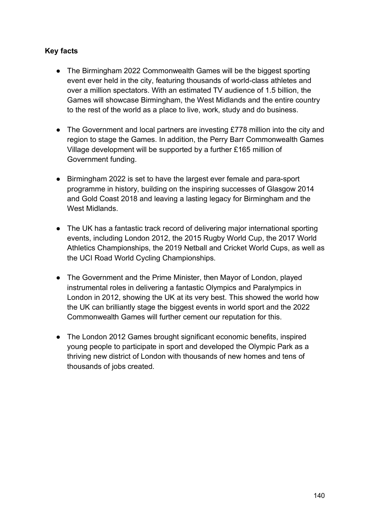- The Birmingham 2022 Commonwealth Games will be the biggest sporting event ever held in the city, featuring thousands of world-class athletes and over a million spectators. With an estimated TV audience of 1.5 billion, the Games will showcase Birmingham, the West Midlands and the entire country to the rest of the world as a place to live, work, study and do business.
- The Government and local partners are investing £778 million into the city and region to stage the Games. In addition, the Perry Barr Commonwealth Games Village development will be supported by a further £165 million of Government funding.
- Birmingham 2022 is set to have the largest ever female and para-sport programme in history, building on the inspiring successes of Glasgow 2014 and Gold Coast 2018 and leaving a lasting legacy for Birmingham and the West Midlands.
- The UK has a fantastic track record of delivering major international sporting events, including London 2012, the 2015 Rugby World Cup, the 2017 World Athletics Championships, the 2019 Netball and Cricket World Cups, as well as the UCI Road World Cycling Championships.
- The Government and the Prime Minister, then Mayor of London, played instrumental roles in delivering a fantastic Olympics and Paralympics in London in 2012, showing the UK at its very best. This showed the world how the UK can brilliantly stage the biggest events in world sport and the 2022 Commonwealth Games will further cement our reputation for this.
- The London 2012 Games brought significant economic benefits, inspired young people to participate in sport and developed the Olympic Park as a thriving new district of London with thousands of new homes and tens of thousands of jobs created.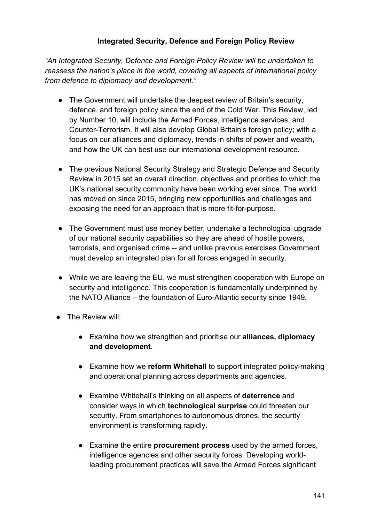## **Integrated Security, Defence and Foreign Policy Review**

*"An Integrated Security, Defence and Foreign Policy Review will be undertaken to reassess the nation's place in the world, covering all aspects of international policy from defence to diplomacy and development."*

- The Government will undertake the deepest review of Britain's security, defence, and foreign policy since the end of the Cold War. This Review, led by Number 10, will include the Armed Forces, intelligence services, and Counter-Terrorism. It will also develop Global Britain's foreign policy; with a focus on our alliances and diplomacy, trends in shifts of power and wealth, and how the UK can best use our international development resource.
- The previous National Security Strategy and Strategic Defence and Security Review in 2015 set an overall direction, objectives and priorities to which the UK's national security community have been working ever since. The world has moved on since 2015, bringing new opportunities and challenges and exposing the need for an approach that is more fit-for-purpose.
- The Government must use money better, undertake a technological upgrade of our national security capabilities so they are ahead of hostile powers, terrorists, and organised crime -- and unlike previous exercises Government must develop an integrated plan for all forces engaged in security.
- While we are leaving the EU, we must strengthen cooperation with Europe on security and intelligence. This cooperation is fundamentally underpinned by the NATO Alliance – the foundation of Euro-Atlantic security since 1949.
- The Review will<sup>:</sup>
	- Examine how we strengthen and prioritise our **alliances, diplomacy and development**.
	- Examine how we **reform Whitehall** to support integrated policy-making and operational planning across departments and agencies.
	- Examine Whitehall's thinking on all aspects of **deterrence** and consider ways in which **technological surprise** could threaten our security. From smartphones to autonomous drones, the security environment is transforming rapidly.
	- Examine the entire **procurement process** used by the armed forces, intelligence agencies and other security forces. Developing worldleading procurement practices will save the Armed Forces significant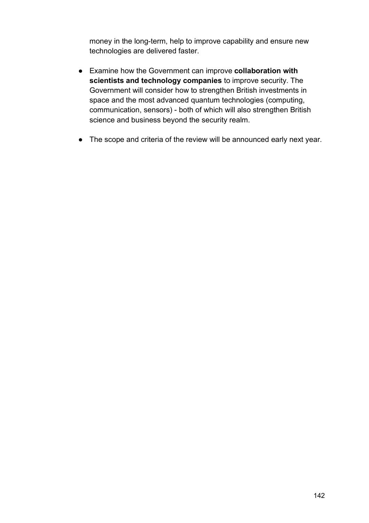money in the long-term, help to improve capability and ensure new technologies are delivered faster.

- Examine how the Government can improve **collaboration with scientists and technology companies** to improve security. The Government will consider how to strengthen British investments in space and the most advanced quantum technologies (computing, communication, sensors) - both of which will also strengthen British science and business beyond the security realm.
- The scope and criteria of the review will be announced early next year.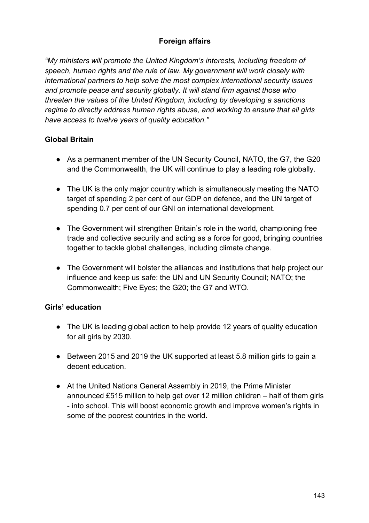## **Foreign affairs**

*"My ministers will promote the United Kingdom's interests, including freedom of speech, human rights and the rule of law. My government will work closely with international partners to help solve the most complex international security issues and promote peace and security globally. It will stand firm against those who threaten the values of the United Kingdom, including by developing a sanctions regime to directly address human rights abuse, and working to ensure that all girls have access to twelve years of quality education."*

## **Global Britain**

- As a permanent member of the UN Security Council, NATO, the G7, the G20 and the Commonwealth, the UK will continue to play a leading role globally.
- The UK is the only major country which is simultaneously meeting the NATO target of spending 2 per cent of our GDP on defence, and the UN target of spending 0.7 per cent of our GNI on international development.
- The Government will strengthen Britain's role in the world, championing free trade and collective security and acting as a force for good, bringing countries together to tackle global challenges, including climate change.
- The Government will bolster the alliances and institutions that help project our influence and keep us safe: the UN and UN Security Council; NATO; the Commonwealth; Five Eyes; the G20; the G7 and WTO.

## **Girls' education**

- The UK is leading global action to help provide 12 years of quality education for all girls by 2030.
- Between 2015 and 2019 the UK supported at least 5.8 million girls to gain a decent education.
- At the United Nations General Assembly in 2019, the Prime Minister announced £515 million to help get over 12 million children – half of them girls - into school. This will boost economic growth and improve women's rights in some of the poorest countries in the world.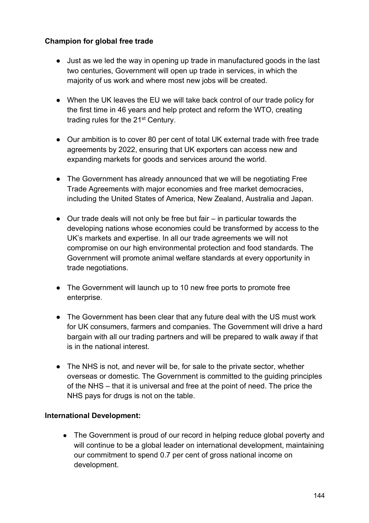## **Champion for global free trade**

- Just as we led the way in opening up trade in manufactured goods in the last two centuries, Government will open up trade in services, in which the majority of us work and where most new jobs will be created.
- When the UK leaves the EU we will take back control of our trade policy for the first time in 46 years and help protect and reform the WTO, creating trading rules for the 21st Century.
- Our ambition is to cover 80 per cent of total UK external trade with free trade agreements by 2022, ensuring that UK exporters can access new and expanding markets for goods and services around the world.
- The Government has already announced that we will be negotiating Free Trade Agreements with major economies and free market democracies, including the United States of America, New Zealand, Australia and Japan.
- $\bullet$  Our trade deals will not only be free but fair in particular towards the developing nations whose economies could be transformed by access to the UK's markets and expertise. In all our trade agreements we will not compromise on our high environmental protection and food standards. The Government will promote animal welfare standards at every opportunity in trade negotiations.
- The Government will launch up to 10 new free ports to promote free enterprise.
- The Government has been clear that any future deal with the US must work for UK consumers, farmers and companies. The Government will drive a hard bargain with all our trading partners and will be prepared to walk away if that is in the national interest.
- The NHS is not, and never will be, for sale to the private sector, whether overseas or domestic. The Government is committed to the guiding principles of the NHS – that it is universal and free at the point of need. The price the NHS pays for drugs is not on the table.

## **International Development:**

• The Government is proud of our record in helping reduce global poverty and will continue to be a global leader on international development, maintaining our commitment to spend 0.7 per cent of gross national income on development.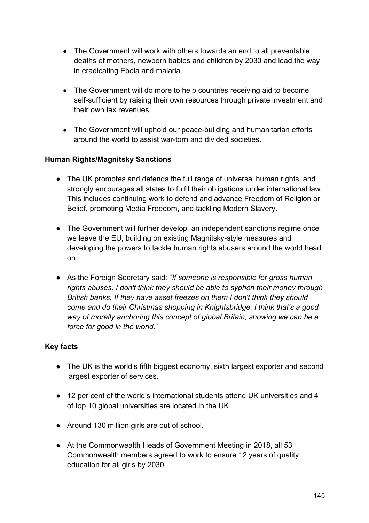- The Government will work with others towards an end to all preventable deaths of mothers, newborn babies and children by 2030 and lead the way in eradicating Ebola and malaria.
- The Government will do more to help countries receiving aid to become self-sufficient by raising their own resources through private investment and their own tax revenues.
- The Government will uphold our peace-building and humanitarian efforts around the world to assist war-torn and divided societies.

## **Human Rights/Magnitsky Sanctions**

- The UK promotes and defends the full range of universal human rights, and strongly encourages all states to fulfil their obligations under international law. This includes continuing work to defend and advance Freedom of Religion or Belief, promoting Media Freedom, and tackling Modern Slavery.
- The Government will further develop an independent sanctions regime once we leave the EU, building on existing Magnitsky-style measures and developing the powers to tackle human rights abusers around the world head on.
- As the Foreign Secretary said: "*If someone is responsible for gross human rights abuses, I don't think they should be able to syphon their money through British banks. If they have asset freezes on them I don't think they should come and do their Christmas shopping in Knightsbridge. I think that's a good way of morally anchoring this concept of global Britain, showing we can be a force for good in the world.*"

## **Key facts**

- The UK is the world's fifth biggest economy, sixth largest exporter and second largest exporter of services.
- 12 per cent of the world's international students attend UK universities and 4 of top 10 global universities are located in the UK.
- Around 130 million girls are out of school.
- At the Commonwealth Heads of Government Meeting in 2018, all 53 Commonwealth members agreed to work to ensure 12 years of quality education for all girls by 2030.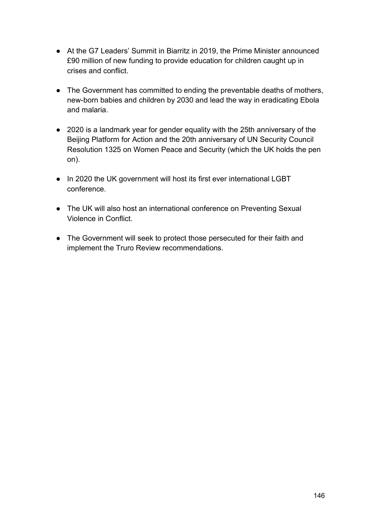- At the G7 Leaders' Summit in Biarritz in 2019, the Prime Minister announced £90 million of new funding to provide education for children caught up in crises and conflict.
- The Government has committed to ending the preventable deaths of mothers, new-born babies and children by 2030 and lead the way in eradicating Ebola and malaria.
- 2020 is a landmark year for gender equality with the 25th anniversary of the Beijing Platform for Action and the 20th anniversary of UN Security Council Resolution 1325 on Women Peace and Security (which the UK holds the pen on).
- In 2020 the UK government will host its first ever international LGBT conference.
- The UK will also host an international conference on Preventing Sexual Violence in Conflict.
- The Government will seek to protect those persecuted for their faith and implement the Truro Review recommendations.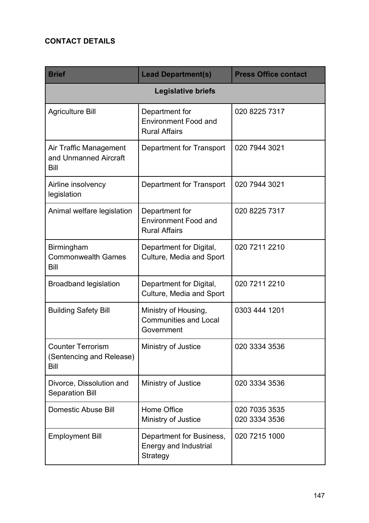## **CONTACT DETAILS**

| <b>Brief</b>                                                 | <b>Lead Department(s)</b>                                             | <b>Press Office contact</b>    |  |  |
|--------------------------------------------------------------|-----------------------------------------------------------------------|--------------------------------|--|--|
| <b>Legislative briefs</b>                                    |                                                                       |                                |  |  |
| <b>Agriculture Bill</b>                                      | Department for<br><b>Environment Food and</b><br><b>Rural Affairs</b> | 020 8225 7317                  |  |  |
| Air Traffic Management<br>and Unmanned Aircraft<br>Bill      | <b>Department for Transport</b>                                       | 020 7944 3021                  |  |  |
| Airline insolvency<br>legislation                            | Department for Transport                                              | 020 7944 3021                  |  |  |
| Animal welfare legislation                                   | Department for<br><b>Environment Food and</b><br><b>Rural Affairs</b> | 020 8225 7317                  |  |  |
| Birmingham<br><b>Commonwealth Games</b><br>Bill              | Department for Digital,<br>Culture, Media and Sport                   | 020 7211 2210                  |  |  |
| <b>Broadband legislation</b>                                 | Department for Digital,<br>Culture, Media and Sport                   | 020 7211 2210                  |  |  |
| <b>Building Safety Bill</b>                                  | Ministry of Housing,<br><b>Communities and Local</b><br>Government    | 0303 444 1201                  |  |  |
| <b>Counter Terrorism</b><br>(Sentencing and Release)<br>Bill | Ministry of Justice                                                   | 020 3334 3536                  |  |  |
| Divorce, Dissolution and<br><b>Separation Bill</b>           | Ministry of Justice                                                   | 020 3334 3536                  |  |  |
| <b>Domestic Abuse Bill</b>                                   | Home Office<br>Ministry of Justice                                    | 020 7035 3535<br>020 3334 3536 |  |  |
| <b>Employment Bill</b>                                       | Department for Business,<br>Energy and Industrial<br>Strategy         | 020 7215 1000                  |  |  |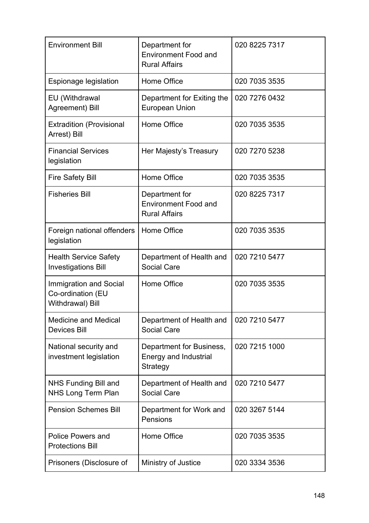| <b>Environment Bill</b>                                         | Department for<br>Environment Food and<br><b>Rural Affairs</b>        | 020 8225 7317 |
|-----------------------------------------------------------------|-----------------------------------------------------------------------|---------------|
| Espionage legislation                                           | Home Office                                                           | 020 7035 3535 |
| EU (Withdrawal<br>Agreement) Bill                               | Department for Exiting the<br><b>European Union</b>                   | 020 7276 0432 |
| <b>Extradition (Provisional</b><br>Arrest) Bill                 | Home Office                                                           | 020 7035 3535 |
| <b>Financial Services</b><br>legislation                        | Her Majesty's Treasury                                                | 020 7270 5238 |
| <b>Fire Safety Bill</b>                                         | Home Office                                                           | 020 7035 3535 |
| <b>Fisheries Bill</b>                                           | Department for<br><b>Environment Food and</b><br><b>Rural Affairs</b> | 020 8225 7317 |
| Foreign national offenders<br>legislation                       | Home Office                                                           | 020 7035 3535 |
| <b>Health Service Safety</b><br><b>Investigations Bill</b>      | Department of Health and<br><b>Social Care</b>                        | 020 7210 5477 |
| Immigration and Social<br>Co-ordination (EU<br>Withdrawal) Bill | Home Office                                                           | 020 7035 3535 |
| <b>Medicine and Medical</b><br><b>Devices Bill</b>              | Department of Health and<br><b>Social Care</b>                        | 020 7210 5477 |
| National security and<br>investment legislation                 | Department for Business,<br>Energy and Industrial<br>Strategy         | 020 7215 1000 |
| NHS Funding Bill and<br>NHS Long Term Plan                      | Department of Health and<br><b>Social Care</b>                        | 020 7210 5477 |
| <b>Pension Schemes Bill</b>                                     | Department for Work and<br>Pensions                                   | 020 3267 5144 |
| <b>Police Powers and</b><br><b>Protections Bill</b>             | Home Office                                                           | 020 7035 3535 |
| Prisoners (Disclosure of                                        | Ministry of Justice                                                   | 020 3334 3536 |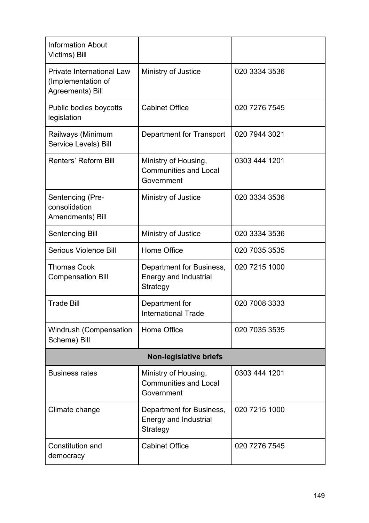| <b>Information About</b><br>Victims) Bill                           |                                                                    |               |  |  |
|---------------------------------------------------------------------|--------------------------------------------------------------------|---------------|--|--|
| Private International Law<br>(Implementation of<br>Agreements) Bill | Ministry of Justice                                                | 020 3334 3536 |  |  |
| Public bodies boycotts<br>legislation                               | <b>Cabinet Office</b>                                              | 020 7276 7545 |  |  |
| Railways (Minimum<br>Service Levels) Bill                           | Department for Transport                                           | 020 7944 3021 |  |  |
| <b>Renters' Reform Bill</b>                                         | Ministry of Housing,<br><b>Communities and Local</b><br>Government | 0303 444 1201 |  |  |
| Sentencing (Pre-<br>consolidation<br>Amendments) Bill               | Ministry of Justice                                                | 020 3334 3536 |  |  |
| <b>Sentencing Bill</b>                                              | Ministry of Justice                                                | 020 3334 3536 |  |  |
| <b>Serious Violence Bill</b>                                        | Home Office                                                        | 020 7035 3535 |  |  |
| <b>Thomas Cook</b><br><b>Compensation Bill</b>                      | Department for Business,<br>Energy and Industrial<br>Strategy      | 020 7215 1000 |  |  |
| <b>Trade Bill</b>                                                   | Department for<br><b>International Trade</b>                       | 020 7008 3333 |  |  |
| Windrush (Compensation<br>Scheme) Bill                              | Home Office                                                        | 020 7035 3535 |  |  |
| <b>Non-legislative briefs</b>                                       |                                                                    |               |  |  |
| <b>Business rates</b>                                               | Ministry of Housing,<br><b>Communities and Local</b><br>Government | 0303 444 1201 |  |  |
| Climate change                                                      | Department for Business,<br>Energy and Industrial<br>Strategy      | 020 7215 1000 |  |  |
| Constitution and<br>democracy                                       | <b>Cabinet Office</b>                                              | 020 7276 7545 |  |  |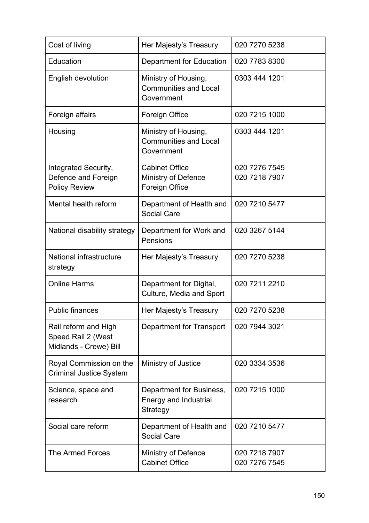| Cost of living                                                       | Her Majesty's Treasury                                                | 020 7270 5238                  |
|----------------------------------------------------------------------|-----------------------------------------------------------------------|--------------------------------|
| Education                                                            | Department for Education                                              | 020 7783 8300                  |
| <b>English devolution</b>                                            | Ministry of Housing,<br><b>Communities and Local</b><br>Government    | 0303 444 1201                  |
| Foreign affairs                                                      | Foreign Office                                                        | 020 7215 1000                  |
| Housing                                                              | Ministry of Housing,<br><b>Communities and Local</b><br>Government    | 0303 444 1201                  |
| Integrated Security,<br>Defence and Foreign<br><b>Policy Review</b>  | <b>Cabinet Office</b><br><b>Ministry of Defence</b><br>Foreign Office | 020 7276 7545<br>020 7218 7907 |
| Mental health reform                                                 | Department of Health and<br><b>Social Care</b>                        | 020 7210 5477                  |
| National disability strategy                                         | Department for Work and<br>Pensions                                   | 020 3267 5144                  |
| National infrastructure<br>strategy                                  | Her Majesty's Treasury                                                | 020 7270 5238                  |
| <b>Online Harms</b>                                                  | Department for Digital,<br>Culture, Media and Sport                   | 020 7211 2210                  |
| <b>Public finances</b>                                               | Her Majesty's Treasury                                                | 020 7270 5238                  |
| Rail reform and High<br>Speed Rail 2 (West<br>Midlands - Crewe) Bill | Department for Transport                                              | 020 7944 3021                  |
| Royal Commission on the<br><b>Criminal Justice System</b>            | Ministry of Justice                                                   | 020 3334 3536                  |
| Science, space and<br>research                                       | Department for Business,<br><b>Energy and Industrial</b><br>Strategy  | 020 7215 1000                  |
| Social care reform                                                   | Department of Health and<br><b>Social Care</b>                        | 020 7210 5477                  |
| <b>The Armed Forces</b>                                              | <b>Ministry of Defence</b><br><b>Cabinet Office</b>                   | 020 7218 7907<br>020 7276 7545 |